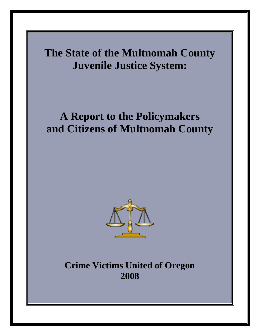

**Crime Victims United of Oregon 2008**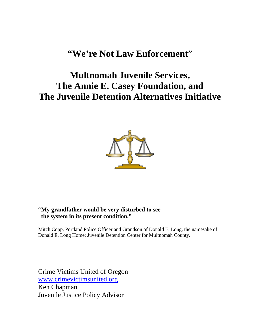# **"We're Not Law Enforcement**"

# **Multnomah Juvenile Services, The Annie E. Casey Foundation, and The Juvenile Detention Alternatives Initiative**



## **"My grandfather would be very disturbed to see the system in its present condition."**

Mitch Copp, Portland Police Officer and Grandson of Donald E. Long, the namesake of Donald E. Long Home; Juvenile Detention Center for Multnomah County.

Crime Victims United of Oregon [www.crimevictimsunited.org](http://www.crimevictimsunited.org/) Ken Chapman Juvenile Justice Policy Advisor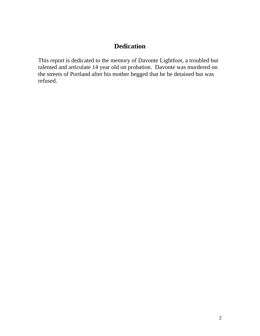## **Dedication**

This report is dedicated to the memory of Davonte Lightfoot, a troubled but talented and articulate 14 year old on probation. Davonte was murdered on the streets of Portland after his mother begged that he be detained but was refused.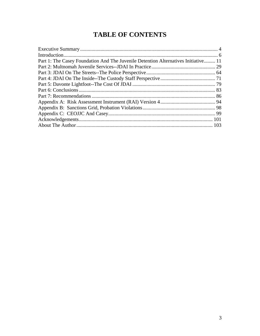# **TABLE OF CONTENTS**

| Part 1: The Casey Foundation And The Juvenile Detention Alternatives Initiative 11 |  |
|------------------------------------------------------------------------------------|--|
|                                                                                    |  |
|                                                                                    |  |
|                                                                                    |  |
|                                                                                    |  |
|                                                                                    |  |
|                                                                                    |  |
|                                                                                    |  |
|                                                                                    |  |
|                                                                                    |  |
|                                                                                    |  |
|                                                                                    |  |
|                                                                                    |  |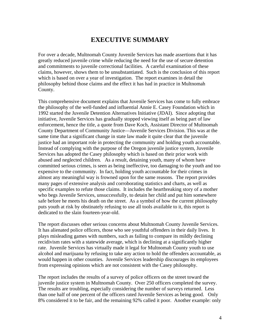## **EXECUTIVE SUMMARY**

<span id="page-4-0"></span>For over a decade, Multnomah County Juvenile Services has made assertions that it has greatly reduced juvenile crime while reducing the need for the use of secure detention and commitments to juvenile correctional facilities. A careful examination of these claims, however, shows them to be unsubstantiated. Such is the conclusion of this report which is based on over a year of investigation. The report examines in detail the philosophy behind those claims and the effect it has had in practice in Multnomah County.

This comprehensive document explains that Juvenile Services has come to fully embrace the philosophy of the well-funded and influential Annie E. Casey Foundation which in 1992 started the Juvenile Detention Alternatives Initiative (JDAI). Since adopting that initiative, Juvenile Services has gradually stopped viewing itself as being part of law enforcement, hence the title, a quote from Dave Koch, Assistant Director of Multnomah County Department of Community Justice—Juvenile Services Division. This was at the same time that a significant change in state law made it quite clear that the juvenile justice had an important role in protecting the community and holding youth accountable. Instead of complying with the purpose of the Oregon juvenile justice system, Juvenile Services has adopted the Casey philosophy which is based on their prior work with abused and neglected children. As a result, detaining youth, many of whom have committed serious crimes, is seen as being ineffective, too damaging to the youth and too expensive to the community. In fact, holding youth accountable for their crimes in almost any meaningful way is frowned upon for the same reasons. The report provides many pages of extensive analysis and corroborating statistics and charts, as well as specific examples to refute those claims. It includes the heartbreaking story of a mother who begs Juvenile Services, unsuccessfully, to detain her child and put him somewhere safe before he meets his death on the street. As a symbol of how the current philosophy puts youth at risk by obstinately refusing to use all tools available to it, this report is dedicated to the slain fourteen-year-old.

The report discusses other serious concerns about Multnomah County Juvenile Services. It has alienated police officers, those who see youthful offenders in their daily lives. It plays misleading games with numbers, such as failing to compare its mildly declining recidivism rates with a statewide average, which is declining at a significantly higher rate. Juvenile Services has virtually made it legal for Multnomah County youth to use alcohol and marijuana by refusing to take any action to hold the offenders accountable, as would happen in other counties. Juvenile Services leadership discourages its employees from expressing opinions which are not consistent with the Casey philosophy.

The report includes the results of a survey of police officers on the street toward the juvenile justice system in Multnomah County. Over 250 officers completed the survey. The results are troubling, especially considering the number of surveys returned. Less than one half of one percent of the officers rated Juvenile Services as being good. Only 8% considered it to be fair, and the remaining 92% called it poor. Another example: only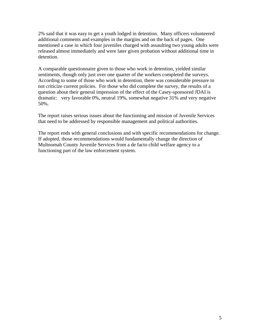2% said that it was easy to get a youth lodged in detention. Many officers volunteered additional comments and examples in the margins and on the back of pages. One mentioned a case in which four juveniles charged with assaulting two young adults were released almost immediately and were later given probation without additional time in detention.

A comparable questionnaire given to those who work in detention, yielded similar sentiments, though only just over one quarter of the workers completed the surveys. According to some of those who work in detention, there was considerable pressure to not criticize current policies. For those who did complete the survey, the results of a question about their general impression of the effect of the Casey-sponsored JDAI is dramatic: very favorable 0%, neutral 19%, somewhat negative 31% and very negative 50%.

The report raises serious issues about the functioning and mission of Juvenile Services that need to be addressed by responsible management and political authorities.

The report ends with general conclusions and with specific recommendations for change. If adopted, those recommendations would fundamentally change the direction of Multnomah County Juvenile Services from a de facto child welfare agency to a functioning part of the law enforcement system.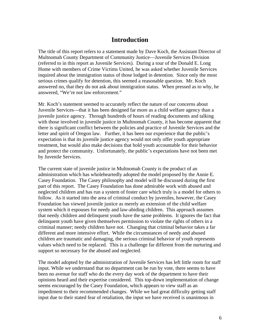## **Introduction**

<span id="page-6-0"></span>The title of this report refers to a statement made by Dave Koch, the Assistant Director of Multnomah County Department of Community Justice—Juvenile Services Division (referred to in this report as Juvenile Services). During a tour of the Donald E. Long Home with members of Crime Victims United, he was asked whether Juvenile Services inquired about the immigration status of those lodged in detention. Since only the most serious crimes qualify for detention, this seemed a reasonable question. Mr. Koch answered no, that they do not ask about immigration status. When pressed as to why, he answered, "We're not law enforcement."

Mr. Koch's statement seemed to accurately reflect the nature of our concerns about Juvenile Services—that it has been designed far more as a child welfare agency than a juvenile justice agency. Through hundreds of hours of reading documents and talking with those involved in juvenile justice in Multnomah County, it has become apparent that there is significant conflict between the policies and practice of Juvenile Services and the letter and spirit of Oregon law. Further, it has been our experience that the public's expectation is that its juvenile justice agency would not only offer youth appropriate treatment, but would also make decisions that hold youth accountable for their behavior and protect the community. Unfortunately, the public's expectations have not been met by Juvenile Services.

The current state of juvenile justice in Multnomah County is the product of an administration which has wholeheartedly adopted the model proposed by the Annie E. Casey Foundation. The Casey philosophy and model will be discussed during the first part of this report. The Casey Foundation has done admirable work with abused and neglected children and has run a system of foster care which truly is a model for others to follow. As it started into the area of criminal conduct by juveniles, however, the Casey Foundation has viewed juvenile justice as merely an extension of the child welfare system which it espouses for needy and law-abiding children. This approach assumes that needy children and delinquent youth have the same problems. It ignores the fact that delinquent youth have given themselves permission to violate the rights of others in a criminal manner; needy children have not. Changing that criminal behavior takes a far different and more intensive effort. While the circumstances of needy and abused children are traumatic and damaging, the serious criminal behavior of youth represents values which need to be replaced. This is a challenge far different from the nurturing and support so necessary for the abused and neglected.

The model adopted by the administration of Juvenile Services has left little room for staff input. While we understand that no department can be run by vote, there seems to have been no avenue for staff who do the every day work of the department to have their opinions heard and their expertise considered. This top-down implementation of change seems encouraged by the Casey Foundation, which appears to view staff as an impediment to their recommended changes. While we had great difficulty getting staff input due to their stated fear of retaliation, the input we have received is unanimous in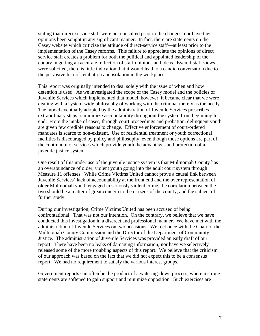stating that direct-service staff were not consulted prior to the changes, nor have their opinions been sought in any significant manner. In fact, there are statements on the Casey website which criticize the attitude of direct-service staff—at least prior to the implementation of the Casey reforms. This failure to appreciate the opinions of direct service staff creates a problem for both the political and appointed leadership of the county in getting an accurate reflection of staff opinions and ideas. Even if staff views were solicited, there is little indication that it would lead to a candid conversation due to the pervasive fear of retaliation and isolation in the workplace.

This report was originally intended to deal solely with the issue of when and how detention is used. As we investigated the scope of the Casey model and the policies of Juvenile Services which implemented that model, however, it became clear that we were dealing with a system-wide philosophy of working with the criminal merely as the needy. The model eventually adopted by the administration of Juvenile Services prescribes extraordinary steps to minimize accountability throughout the system from beginning to end. From the intake of cases, through court proceedings and probation, delinquent youth are given few credible reasons to change. Effective enforcement of court-ordered mandates is scarce to non-existent. Use of residential treatment or youth correctional facilities is discouraged by policy and philosophy, even though those options are part of the continuum of services which provide youth the advantages and protection of a juvenile justice system.

One result of this under use of the juvenile justice system is that Multnomah County has an overabundance of older, violent youth going into the adult court system through Measure 11 offenses. While Crime Victims United cannot prove a causal link between Juvenile Services' lack of accountability at the front end and the over representation of older Multnomah youth engaged in seriously violent crime, the correlation between the two should be a matter of great concern to the citizens of the county, and the subject of further study.

During our investigation, Crime Victims United has been accused of being confrontational. That was not our intention. On the contrary, we believe that we have conducted this investigation in a discreet and professional manner. We have met with the administration of Juvenile Services on two occasions. We met once with the Chair of the Multnomah County Commission and the Director of the Department of Community Justice. The administration of Juvenile Services was provided an early draft of our report. There have been no leaks of damaging information; nor have we selectively released some of the more troubling aspects of this report. We believe that the criticism of our approach was based on the fact that we did not expect this to be a consensus report. We had no requirement to satisfy the various interest groups.

Government reports can often be the product of a watering-down process, wherein strong statements are softened to gain support and minimize opposition. Such exercises are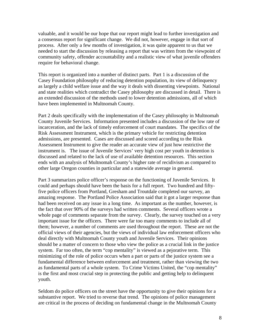valuable, and it would be our hope that our report might lead to further investigation and a consensus report for significant change. We did not, however, engage in that sort of process. After only a few months of investigation, it was quite apparent to us that we needed to start the discussion by releasing a report that was written from the viewpoint of community safety, offender accountability and a realistic view of what juvenile offenders require for behavioral change.

This report is organized into a number of distinct parts. Part 1 is a discussion of the Casey Foundation philosophy of reducing detention population, its view of delinquency as largely a child welfare issue and the way it deals with dissenting viewpoints. National and state realities which contradict the Casey philosophy are discussed in detail. There is an extended discussion of the methods used to lower detention admissions, all of which have been implemented in Multnomah County.

Part 2 deals specifically with the implementation of the Casey philosophy in Multnomah County Juvenile Services. Information presented includes a discussion of the low rate of incarceration, and the lack of timely enforcement of court mandates. The specifics of the Risk Assessment Instrument, which is the primary vehicle for restricting detention admissions, are presented. Cases are discussed and scored according to the Risk Assessment Instrument to give the reader an accurate view of just how restrictive the instrument is. The issue of Juvenile Services' very high cost per youth in detention is discussed and related to the lack of use of available detention resources. This section ends with an analysis of Multnomah County's higher rate of recidivism as compared to other large Oregon counties in particular and a statewide average in general.

Part 3 summarizes police officer's response on the functioning of Juvenile Services. It could and perhaps should have been the basis for a full report. Two hundred and fiftyfive police officers from Portland, Gresham and Troutdale completed our survey, an amazing response. The Portland Police Association said that it got a larger response than had been received on any issue in a long time. As important as the number, however, is the fact that over 90% of the surveys had written comments. Several officers wrote a whole page of comments separate from the survey. Clearly, the survey touched on a very important issue for the officers. There were far too many comments to include all of them; however, a number of comments are used throughout the report. These are not the official views of their agencies, but the views of individual law enforcement officers who deal directly with Multnomah County youth and Juvenile Services. Their opinions should be a matter of concern to those who view the police as a crucial link in the justice system. Far too often, the term "cop mentality" is viewed as a pejorative term. This minimizing of the role of police occurs when a part or parts of the justice system see a fundamental difference between enforcement and treatment, rather than viewing the two as fundamental parts of a whole system. To Crime Victims United, the "cop mentality" is the first and most crucial step in protecting the public and getting help to delinquent youth.

Seldom do police officers on the street have the opportunity to give their opinions for a substantive report. We tried to reverse that trend. The opinions of police management are critical in the process of deciding on fundamental change in the Multnomah County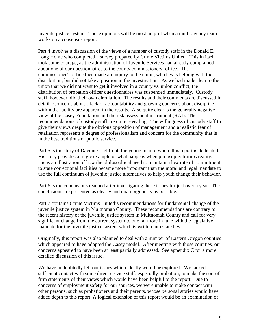juvenile justice system. Those opinions will be most helpful when a multi-agency team works on a consensus report.

Part 4 involves a discussion of the views of a number of custody staff in the Donald E. Long Home who completed a survey prepared by Crime Victims United. This in itself took some courage, as the administration of Juvenile Services had already complained about one of our questionnaires to the county commissioners' office. The commissioner's office then made an inquiry to the union, which was helping with the distribution, but did not take a position in the investigation. As we had made clear to the union that we did not want to get it involved in a county vs. union conflict, the distribution of probation officer questionnaires was suspended immediately. Custody staff, however, did their own circulation. The results and their comments are discussed in detail. Concerns about a lack of accountability and growing concerns about discipline within the facility are apparent in the results. Also quite clear is the generally negative view of the Casey Foundation and the risk assessment instrument (RAI). The recommendations of custody staff are quite revealing. The willingness of custody staff to give their views despite the obvious opposition of management and a realistic fear of retaliation represents a degree of professionalism and concern for the community that is in the best traditions of public service.

Part 5 is the story of Davonte Lightfoot, the young man to whom this report is dedicated. His story provides a tragic example of what happens when philosophy trumps reality. His is an illustration of how the philosophical need to maintain a low rate of commitment to state correctional facilities became more important than the moral and legal mandate to use the full continuum of juvenile justice alternatives to help youth change their behavior.

Part 6 is the conclusions reached after investigating these issues for just over a year. The conclusions are presented as clearly and unambiguously as possible.

Part 7 contains Crime Victims United's recommendations for fundamental change of the juvenile justice system in Multnomah County. These recommendations are contrary to the recent history of the juvenile justice system in Multnomah County and call for very significant change from the current system to one far more in tune with the legislative mandate for the juvenile justice system which is written into state law.

Originally, this report was also planned to deal with a number of Eastern Oregon counties which appeared to have adopted the Casey model. After meeting with those counties, our concerns appeared to have been at least partially addressed. See appendix C for a more detailed discussion of this issue.

We have undoubtedly left out issues which ideally would be explored. We lacked sufficient contact with some direct-service staff, especially probation, to make the sort of firm statements of their views which would have been helpful to the report. Due to concerns of employment safety for our sources, we were unable to make contact with other persons, such as probationers and their parents, whose personal stories would have added depth to this report. A logical extension of this report would be an examination of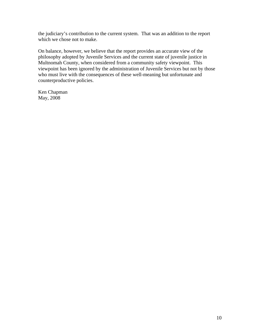the judiciary's contribution to the current system. That was an addition to the report which we chose not to make.

On balance, however, we believe that the report provides an accurate view of the philosophy adopted by Juvenile Services and the current state of juvenile justice in Multnomah County, when considered from a community safety viewpoint. This viewpoint has been ignored by the administration of Juvenile Services but not by those who must live with the consequences of these well-meaning but unfortunate and counterproductive policies.

Ken Chapman May, 2008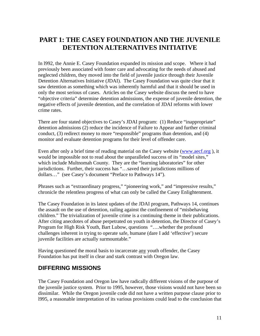## <span id="page-11-0"></span>**PART 1: THE CASEY FOUNDATION AND THE JUVENILE DETENTION ALTERNATIVES INITIATIVE**

In l992, the Annie E. Casey Foundation expanded its mission and scope. Where it had previously been associated with foster care and advocating for the needs of abused and neglected children, they moved into the field of juvenile justice through their Juvenile Detention Alternatives Initiative (JDAI). The Casey Foundation was quite clear that it saw detention as something which was inherently harmful and that it should be used in only the most serious of cases. Articles on the Casey website discuss the need to have "objective criteria" determine detention admissions, the expense of juvenile detention, the negative effects of juvenile detention, and the correlation of JDAI reforms with lower crime rates.

There are four stated objectives to Casey's JDAI program: (1) Reduce "inappropriate" detention admissions (2) reduce the incidence of Failure to Appear and further criminal conduct, (3) redirect money to more "responsible" programs than detention, and (4) monitor and evaluate detention programs for their level of offender care.

Even after only a brief time of reading material on the Casey website [\(www.aecf.org](http://www.aecf.org/) ), it would be impossible not to read about the unparalleled success of its "model sites," which include Multnomah County. They are the "learning laboratories" for other jurisdictions. Further, their success has "…saved their jurisdictions millions of dollars…" (see Casey's document "Preface to Pathways 14").

Phrases such as "extraordinary progress," "pioneering work," and "impressive results," chronicle the relentless progress of what can only be called the Casey Enlightenment.

The Casey Foundation in its latest updates of the JDAI program, Pathways 14, continues the assault on the use of detention, railing against the confinement of "misbehaving children." The trivialization of juvenile crime is a continuing theme in their publications. After citing anecdotes of abuse perpetrated on youth in detention, the Director of Casey's Program for High Risk Youth, Bart Lubow, questions "….whether the profound challenges inherent in trying to operate safe, humane (dare I add 'effective') secure juvenile facilities are actually surmountable."

Having questioned the moral basis to incarcerate any youth offender, the Casey Foundation has put itself in clear and stark contrast with Oregon law.

## **DIFFERING MISSIONS**

The Casey Foundation and Oregon law have radically different visions of the purpose of the juvenile justice system. Prior to 1995, however, those visions would not have been so dissimilar. While the Oregon juvenile code did not have a written purpose clause prior to l995, a reasonable interpretation of its various provisions could lead to the conclusion that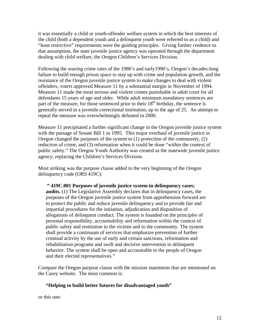it was essentially a child or youth-offender welfare system in which the best interests of the child (both a dependent youth and a delinquent youth were referred to as a child) and "least restrictive" requirements were the guiding principles. Giving further credence to that assumption, the state juvenile justice agency was operated through the department dealing with child welfare, the Oregon Children's Services Division.

Following the soaring crime rates of the 1980's and early1990's, Oregon's decades-long failure to build enough prison space to stay up with crime and population growth, and the resistance of the Oregon juvenile justice system to make changes to deal with violent offenders, voters approved Measure 11 by a substantial margin in November of 1994. Measure 11 made the most serious and violent crimes punishable in adult court for all defendants 15 years of age and older. While adult minimum mandatory sentences are part of the measure, for those sentenced prior to their  $18<sup>th</sup>$  birthday, the sentence is generally served in a juvenile correctional institution, up to the age of 25. An attempt to repeal the measure was overwhelmingly defeated in 2000.

Measure 11 precipitated a further significant change in the Oregon juvenile justice system with the passage of Senate Bill 1 in 1995. This major overhaul of juvenile justice in Oregon changed the purposes of the system to (1) protection of the community, (2) reduction of crime, and (3) reformation when it could be done "within the context of public safety." The Oregon Youth Authority was created as the statewide juvenile justice agency, replacing the Children's Services Division.

Most striking was the purpose clause added to the very beginning of the Oregon delinquency code (ORS 419C):

#### **" 419C.001 Purposes of juvenile justice system in delinquency cases; audits.** (1) The Legislative Assembly declares that in delinquency cases, the purposes of the Oregon juvenile justice system from apprehension forward are to protect the public and reduce juvenile delinquency and to provide fair and impartial procedures for the initiation, adjudication and disposition of allegations of delinquent conduct. The system is founded on the principles of personal responsibility, accountability and reformation within the context of public safety and restitution to the victims and to the community. The system shall provide a continuum of services that emphasize prevention of further criminal activity by the use of early and certain sanctions, reformation and rehabilitation programs and swift and decisive intervention in delinquent behavior. The system shall be open and accountable to the people of Oregon and their elected representatives."

Compare the Oregon purpose clause with the mission statements that are mentioned on the Casey website. The most common is:

#### **"Helping to build better futures for disadvantaged youth"**

or this one: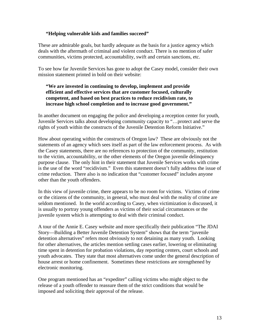#### **"Helping vulnerable kids and families succeed"**

These are admirable goals, but hardly adequate as the basis for a justice agency which deals with the aftermath of criminal and violent conduct. There is no mention of safer communities, victims protected, accountability, swift and certain sanctions, etc.

To see how far Juvenile Services has gone to adopt the Casey model, consider their own mission statement printed in bold on their website:

#### **"We are invested in continuing to develop, implement and provide efficient and effective services that are customer focused, culturally competent, and based on best practices to reduce recidivism rate, to increase high school completion and to increase good government."**

In another document on engaging the police and developing a reception center for youth, Juvenile Services talks about developing community capacity to "…protect and serve the rights of youth within the constructs of the Juvenile Detention Reform Initiative."

How about operating within the constructs of Oregon law? These are obviously not the statements of an agency which sees itself as part of the law enforcement process. As with the Casey statements, there are no references to protection of the community, restitution to the victim, accountability, or the other elements of the Oregon juvenile delinquency purpose clause. The only hint in their statement that Juvenile Services works with crime is the use of the word "recidivism." Even this statement doesn't fully address the issue of crime reduction. There also is no indication that "customer focused" includes anyone other than the youth offenders.

In this view of juvenile crime, there appears to be no room for victims. Victims of crime or the citizens of the community, in general, who must deal with the reality of crime are seldom mentioned. In the world according to Casey, when victimization is discussed, it is usually to portray young offenders as victims of their social circumstances or the juvenile system which is attempting to deal with their criminal conduct.

A tour of the Annie E. Casey website and more specifically their publication "The JDAI Story—Building a Better Juvenile Detention System" shows that the term "juvenile detention alternatives" refers most obviously to not detaining as many youth. Looking for other alternatives, the articles mention settling cases earlier, lowering or eliminating time spent in detention for probation violations, day reporting centers, court schools and youth advocates. They state that most alternatives come under the general description of house arrest or home confinement. Sometimes these restrictions are strengthened by electronic monitoring.

One program mentioned has an "expediter" calling victims who might object to the release of a youth offender to reassure them of the strict conditions that would be imposed and soliciting their approval of the release.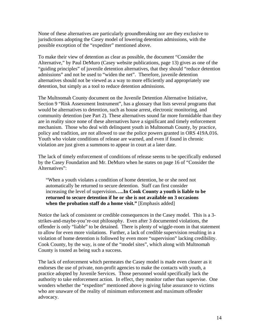None of these alternatives are particularly groundbreaking nor are they exclusive to jurisdictions adopting the Casey model of lowering detention admissions, with the possible exception of the "expediter" mentioned above.

To make their view of detention as clear as possible, the document "Consider the Alternative," by Paul DeMuro (Casey website publications, page 13) gives as one of the "guiding principles" of juvenile detention alternatives, that they should "reduce detention admissions" and not be used to "widen the net". Therefore, juvenile detention alternatives should not be viewed as a way to more efficiently and appropriately use detention, but simply as a tool to reduce detention admissions.

The Multnomah County document on the Juvenile Detention Alternative Initiative, Section 9 "Risk Assessment Instrument", has a glossary that lists several programs that would be alternatives to detention, such as house arrest, electronic monitoring, and community detention (see Part 2). These alternatives sound far more formidable than they are in reality since none of these alternatives have a significant and timely enforcement mechanism. Those who deal with delinquent youth in Multnomah County, by practice, policy and tradition, are not allowed to use the police powers granted in ORS 419A.016. Youth who violate conditions of release are warned, and even if found in chronic violation are just given a summons to appear in court at a later date.

The lack of timely enforcement of conditions of release seems to be specifically endorsed by the Casey Foundation and Mr. DeMuro when he states on page 16 of "Consider the Alternatives":

"When a youth violates a condition of home detention, he or she need not automatically be returned to secure detention. Staff can first consider increasing the level of supervision**…..In Cook County a youth is liable to be returned to secure detention if he or she is not available on 3 occasions when the probation staff do a home visit."** [Emphasis added]

Notice the lack of consistent or credible consequences in the Casey model. This is a 3 strikes-and-maybe-you're-out philosophy. Even after 3 documented violations, the offender is only "liable" to be detained. There is plenty of wiggle-room in that statement to allow for even more violations. Further, a lack of credible supervision resulting in a violation of home detention is followed by even more "supervision" lacking credibility. Cook County, by the way, is one of the "model sites", which along with Multnomah County is touted as being such a success.

The lack of enforcement which permeates the Casey model is made even clearer as it endorses the use of private, non-profit agencies to make the contacts with youth, a practice adopted by Juvenile Services. Those personnel would specifically lack the authority to take enforcement action. In effect, they monitor rather than supervise. One wonders whether the "expediter" mentioned above is giving false assurance to victims who are unaware of the reality of minimum enforcement and maximum offender advocacy.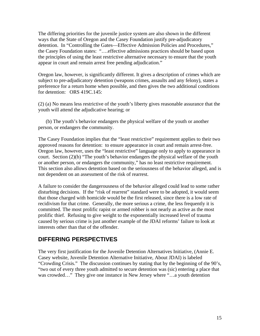The differing priorities for the juvenile justice system are also shown in the different ways that the State of Oregon and the Casey Foundation justify pre-adjudicatory detention. In "Controlling the Gates—Effective Admission Policies and Procedures," the Casey Foundation states: "….effective admissions practices should be based upon the principles of using the least restrictive alternative necessary to ensure that the youth appear in court and remain arrest free pending adjudication."

Oregon law, however, is significantly different. It gives a description of crimes which are subject to pre-adjudicatory detention (weapons crimes, assaults and any felony), states a preference for a return home when possible, and then gives the two additional conditions for detention: ORS 419C.145:

(2) (a) No means less restrictive of the youth's liberty gives reasonable assurance that the youth will attend the adjudicative hearing; or

 (b) The youth's behavior endangers the physical welfare of the youth or another person, or endangers the community.

The Casey Foundation implies that the "least restrictive" requirement applies to their two approved reasons for detention: to ensure appearance in court and remain arrest-free. Oregon law, however, uses the "least restrictive" language only to apply to appearance in court. Section (2)(b) "The youth's behavior endangers the physical welfare of the youth or another person, or endangers the community," has no least restrictive requirement. This section also allows detention based on the seriousness of the behavior alleged, and is not dependent on an assessment of the risk of rearrest.

A failure to consider the dangerousness of the behavior alleged could lead to some rather disturbing decisions. If the "risk of rearrest" standard were to be adopted, it would seem that those charged with homicide would be the first released, since there is a low rate of recidivism for that crime. Generally, the more serious a crime, the less frequently it is committed. The most prolific rapist or armed robber is not nearly as active as the most prolific thief. Refusing to give weight to the exponentially increased level of trauma caused by serious crime is just another example of the JDAI reforms' failure to look at interests other than that of the offender.

### **DIFFERING PERSPECTIVES**

The very first justification for the Juvenile Detention Alternatives Initiative, (Annie E. Casey website, Juvenile Detention Alternative Initiative, About JDAI) is labeled "Crowding Crisis." The discussion continues by stating that by the beginning of the 90's, "two out of every three youth admitted to secure detention was (sic) entering a place that was crowded..." They give one instance in New Jersey where "...a youth detention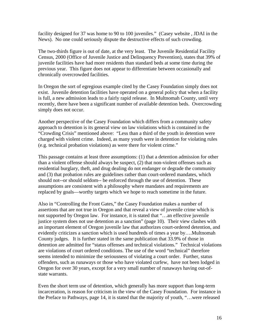facility designed for 37 was home to 90 to 100 juveniles." (Casey website , JDAI in the News). No one could seriously dispute the destructive effects of such crowding.

The two-thirds figure is out of date, at the very least. The Juvenile Residential Facility Census, 2000 (Office of Juvenile Justice and Delinquency Prevention), states that 39% of juvenile facilities have had more residents than standard beds at some time during the previous year. This figure does not appear to differentiate between occasionally and chronically overcrowded facilities.

In Oregon the sort of egregious example cited by the Casey Foundation simply does not exist. Juvenile detention facilities have operated on a general policy that when a facility is full, a new admission leads to a fairly rapid release. In Multnomah County, until very recently, there have been a significant number of available detention beds. Overcrowding simply does not occur.

Another perspective of the Casey Foundation which differs from a community safety approach to detention is its general view on law violations which is contained in the "Crowding Crisis" mentioned above: "Less than a third of the youth in detention were charged with violent crime. Indeed, as many youth were in detention for violating rules (e.g. technical probation violations) as were there for violent crime."

This passage contains at least three assumptions: (1) that a detention admission for other than a violent offense should always be suspect, (2) that non-violent offenses such as residential burglary, theft, and drug dealing do not endanger or degrade the community and (3) that probation rules are guidelines rather than court-ordered mandates, which should not--or should seldom-- be enforced through the use of detention. These assumptions are consistent with a philosophy where mandates and requirements are replaced by goals—worthy targets which we hope to reach sometime in the future.

Also in "Controlling the Front Gates," the Casey Foundation makes a number of assertions that are not true in Oregon and that reveal a view of juvenile crime which is not supported by Oregon law. For instance, it is stated that "…an effective juvenile justice system does not use detention as a sanction" (page 10). Their view clashes with an important element of Oregon juvenile law that authorizes court-ordered detention, and evidently criticizes a sanction which is used hundreds of times a year by….Multnomah County judges. It is further stated in the same publication that 33.9% of those in detention are admitted for "status offenses and technical violations." Technical violations are violations of court ordered conditions. The use of the word "technical" therefore seems intended to minimize the seriousness of violating a court order. Further, status offenders, such as runaways or those who have violated curfew, have not been lodged in Oregon for over 30 years, except for a very small number of runaways having out-ofstate warrants.

Even the short term use of detention, which generally has more support than long-term incarceration, is reason for criticism in the view of the Casey Foundation. For instance in the Preface to Pathways, page 14, it is stated that the majority of youth, "…were released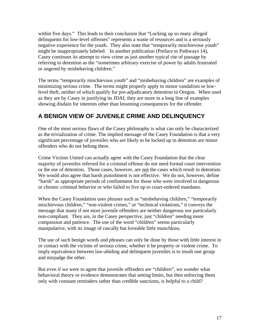within five days." This leads to their conclusion that "Locking up so many alleged delinquents for low-level offenses" represents a waste of resources and is a seriously negative experience for the youth. They also state that "temporarily mischievous youth" might be inappropriately labeled. In another publication (Preface to Pathways 14), Casey continues its attempt to view crime as just another typical rite of passage by referring to detention as the "sometimes arbitrary exercise of power by adults frustrated or angered by misbehaving children."

The terms "temporarily mischievous youth" and "misbehaving children" are examples of minimizing serious crime. The terms might properly apply to minor vandalism or lowlevel theft, neither of which qualify for pre-adjudicatory detention in Oregon. When used as they are by Casey in justifying its JDAI, they are more in a long line of examples showing disdain for interests other than lessening consequences for the offender.

## **A BENIGN VIEW OF JUVENILE CRIME AND DELINQUENCY**

One of the most serious flaws of the Casey philosophy is what can only be characterized as the trivialization of crime. The implied message of the Casey Foundation is that a very significant percentage of juveniles who are likely to be locked up in detention are minor offenders who do not belong there.

Crime Victims United can actually agree with the Casey Foundation that the clear majority of juveniles referred for a criminal offense do not need formal court intervention or the use of detention. Those cases, however, are not the cases which result in detention. We would also agree that harsh punishment is not effective. We do not, however, define "harsh" as appropriate periods of confinement for those who were involved in dangerous or chronic criminal behavior or who failed to live up to court-ordered mandates.

When the Casey Foundation uses phrases such as "misbehaving children," "temporarily mischievous children," "non-violent crimes," or "technical violations," it conveys the message that many if not most juvenile offenders are neither dangerous nor particularly non-compliant. They are, in the Casey perspective, just "children" needing more compassion and patience. The use of the word "children" seems particularly manipulative, with its image of rascally but loveable little munchkins.

The use of such benign words and phrases can only be done by those with little interest in or contact with the victims of serious crime, whether it be property or violent crime. To imply equivalence between law-abiding and delinquent juveniles is to insult one group and misjudge the other.

But even if we were to agree that juvenile offenders are "children", we wonder what behavioral theory or evidence demonstrates that setting limits, but then enforcing them only with constant reminders rather than credible sanctions, is helpful to a child?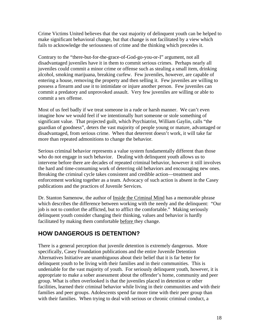Crime Victims United believes that the vast majority of delinquent youth can be helped to make significant behavioral change, but that change is not facilitated by a view which fails to acknowledge the seriousness of crime and the thinking which precedes it.

Contrary to the "there-but-for-the-grace-of-God-go-you-or-I" argument, not all disadvantaged juveniles have it in them to commit serious crimes. Perhaps nearly all juveniles could commit a minor crime or offense such as stealing a small item, drinking alcohol, smoking marijuana, breaking curfew. Few juveniles, however, are capable of entering a house, removing the property and then selling it. Few juveniles are willing to possess a firearm and use it to intimidate or injure another person. Few juveniles can commit a predatory and unprovoked assault. Very few juveniles are willing or able to commit a sex offense.

Most of us feel badly if we treat someone in a rude or harsh manner. We can't even imagine how we would feel if we intentionally hurt someone or stole something of significant value. That projected guilt, which Psychiatrist, William Gaylin, calls "the guardian of goodness", deters the vast majority of people young or mature, advantaged or disadvantaged, from serious crime. When that deterrent doesn't work, it will take far more than repeated admonitions to change the behavior.

Serious criminal behavior represents a value system fundamentally different than those who do not engage in such behavior. Dealing with delinquent youth allows us to intervene before there are decades of repeated criminal behavior, however it still involves the hard and time-consuming work of deterring old behaviors and encouraging new ones. Breaking the criminal cycle takes consistent and credible action—treatment and enforcement working together as a team. Advocacy of such action is absent in the Casey publications and the practices of Juvenile Services.

Dr. Stanton Samenow, the author of Inside the Criminal Mind has a memorable phrase which describes the difference between working with the needy and the delinquent: "Our job is not to comfort the afflicted, but to afflict the comfortable." Making seriously delinquent youth consider changing their thinking, values and behavior is hardly facilitated by making them comfortable before they change.

## **HOW DANGEROUS IS DETENTION?**

There is a general perception that juvenile detention is extremely dangerous. More specifically, Casey Foundation publications and the entire Juvenile Detention Alternatives Initiative are unambiguous about their belief that it is far better for delinquent youth to be living with their families and in their communities. This is undeniable for the vast majority of youth. For seriously delinquent youth, however, it is appropriate to make a sober assessment about the offender's home, community and peer group. What is often overlooked is that the juveniles placed in detention or other facilities, learned their criminal behavior while living in their communities and with their families and peer groups. Adolescents spend far more time with their peer group than with their families. When trying to deal with serious or chronic criminal conduct, a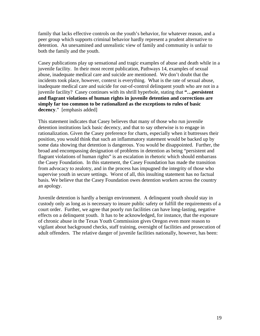family that lacks effective controls on the youth's behavior, for whatever reason, and a peer group which supports criminal behavior hardly represent a prudent alternative to detention. An unexamined and unrealistic view of family and community is unfair to both the family and the youth.

Casey publications play up sensational and tragic examples of abuse and death while in a juvenile facility. In their most recent publication, Pathways 14, examples of sexual abuse, inadequate medical care and suicide are mentioned. We don't doubt that the incidents took place, however, context is everything. What is the rate of sexual abuse, inadequate medical care and suicide for out-of-control delinquent youth who are not in a juvenile facility? Casey continues with its shrill hyperbole, stating that **"…persistent and flagrant violations of human rights in juvenile detention and corrections are simply far too common to be rationalized as the exceptions to rules of basic decency**." [emphasis added]

This statement indicates that Casey believes that many of those who run juvenile detention institutions lack basic decency, and that to say otherwise is to engage in rationalization. Given the Casey preference for charts, especially when it buttresses their position, you would think that such an inflammatory statement would be backed up by some data showing that detention is dangerous. You would be disappointed. Further, the broad and encompassing designation of problems in detention as being "persistent and flagrant violations of human rights" is an escalation in rhetoric which should embarrass the Casey Foundation. In this statement, the Casey Foundation has made the transition from advocacy to zealotry, and in the process has impugned the integrity of those who supervise youth in secure settings. Worst of all, this insulting statement has no factual basis. We believe that the Casey Foundation owes detention workers across the country an apology.

Juvenile detention is hardly a benign environment. A delinquent youth should stay in custody only as long as is necessary to insure public safety or fulfill the requirements of a court order. Further, we agree that poorly run facilities can have long-lasting, negative effects on a delinquent youth. It has to be acknowledged, for instance, that the exposure of chronic abuse in the Texas Youth Commission gives Oregon even more reason to vigilant about background checks, staff training, oversight of facilities and prosecution of adult offenders. The relative danger of juvenile facilities nationally, however, has been: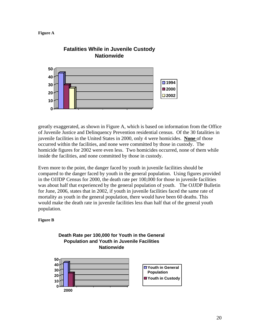



# **Fatalities While in Juvenile Custody**

greatly exaggerated, as shown in Figure A, which is based on information from the Office of Juvenile Justice and Delinquency Prevention residential census. Of the 30 fatalities in juvenile facilities in the United States in 2000, only 4 were homicides. **None** of those occurred within the facilities, and none were committed by those in custody. The homicide figures for 2002 were even less. Two homicides occurred, none of them while inside the facilities, and none committed by those in custody.

Even more to the point, the danger faced by youth in juvenile facilities should be compared to the danger faced by youth in the general population. Using figures provided in the OJJDP Census for 2000, the death rate per 100,000 for those in juvenile facilities was about half that experienced by the general population of youth. The OJJDP Bulletin for June, 2006, states that in 2002, if youth in juvenile facilities faced the same rate of mortality as youth in the general population, there would have been 60 deaths. This would make the death rate in juvenile facilities less than half that of the general youth population.

#### **Figure B**



## **Death Rate per 100,000 for Youth in the General Population and Youth in Juvenile Facilities**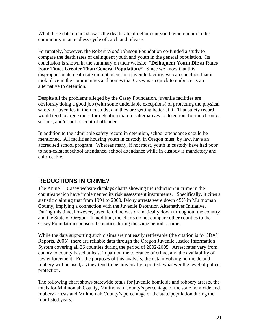What these data do not show is the death rate of delinquent youth who remain in the community in an endless cycle of catch and release.

Fortunately, however, the Robert Wood Johnson Foundation co-funded a study to compare the death rates of delinquent youth and youth in the general population. Its conclusion is shown in the summary on their website: "**Delinquent Youth Die at Rates Four Times Greater Than General Population."** Since we know that this disproportionate death rate did not occur in a juvenile facility, we can conclude that it took place in the communities and homes that Casey is so quick to embrace as an alternative to detention.

Despite all the problems alleged by the Casey Foundation, juvenile facilities are obviously doing a good job (with some undeniable exceptions) of protecting the physical safety of juveniles in their custody, and they are getting better at it. That safety record would tend to argue more for detention than for alternatives to detention, for the chronic, serious, and/or out-of-control offender.

In addition to the admirable safety record in detention, school attendance should be mentioned. All facilities housing youth in custody in Oregon must, by law, have an accredited school program. Whereas many, if not most, youth in custody have had poor to non-existent school attendance, school attendance while in custody is mandatory and enforceable.

## **REDUCTIONS IN CRIME?**

The Annie E. Casey website displays charts showing the reduction in crime in the counties which have implemented its risk assessment instruments. Specifically, it cites a statistic claiming that from 1994 to 2000, felony arrests were down 45% in Multnomah County, implying a connection with the Juvenile Detention Alternatives Initiative. During this time, however, juvenile crime was dramatically down throughout the country and the State of Oregon. In addition, the charts do not compare other counties to the Casey Foundation sponsored counties during the same period of time.

While the data supporting such claims are not easily retrievable (the citation is for JDAI Reports, 2005), there are reliable data through the Oregon Juvenile Justice Information System covering all 36 counties during the period of 2002-2005. Arrest rates vary from county to county based at least in part on the tolerance of crime, and the availability of law enforcement. For the purposes of this analysis, the data involving homicide and robbery will be used, as they tend to be universally reported, whatever the level of police protection.

The following chart shows statewide totals for juvenile homicide and robbery arrests, the totals for Multnomah County, Multnomah County's percentage of the state homicide and robbery arrests and Multnomah County's percentage of the state population during the four listed years.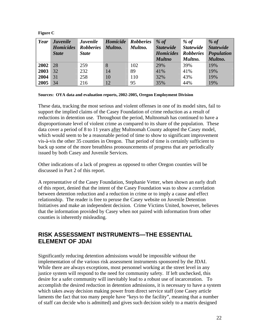#### **Figure C**

| Year | <b>Juvenile</b><br><b>Homicides</b><br><b>State</b> | <b>Juvenile</b><br><b>Robberies</b><br><b>State</b> | Homicide<br>Multno. | <b>Robberies</b><br>Multno. | % of<br><b>Statewide</b><br><b>Homicides</b><br><b>Multno</b> | % of<br><b>Statewide</b><br><b>Robberies</b><br>Multno. | $%$ of<br><b>Statewide</b><br><b>Population</b><br>Multno. |
|------|-----------------------------------------------------|-----------------------------------------------------|---------------------|-----------------------------|---------------------------------------------------------------|---------------------------------------------------------|------------------------------------------------------------|
| 2002 | 28                                                  | 259                                                 | 8                   | 102                         | 29%                                                           | 39%                                                     | 19%                                                        |
| 2003 | 32                                                  | 232                                                 | 14                  | 89                          | 41%                                                           | 41%                                                     | 19%                                                        |
| 2004 | 31                                                  | 258                                                 | 10                  | 110                         | 32%                                                           | 43%                                                     | 19%                                                        |
| 2005 | 34                                                  | 216                                                 | 12                  | 95                          | 35%                                                           | 44%                                                     | 19%                                                        |

#### **Sources: OYA data and evaluation reports, 2002-2005, Oregon Employment Division**

These data, tracking the most serious and violent offenses in one of its model sites, fail to support the implied claims of the Casey Foundation of crime reduction as a result of reductions in detention use. Throughout the period, Multnomah has continued to have a disproportionate level of violent crime as compared to its share of the population. These data cover a period of 8 to 11 years after Multnomah County adopted the Casey model, which would seem to be a reasonable period of time to show to significant improvement vis-à-vis the other 35 counties in Oregon. That period of time is certainly sufficient to back up some of the more breathless pronouncements of progress that are periodically issued by both Casey and Juvenile Services.

Other indications of a lack of progress as opposed to other Oregon counties will be discussed in Part 2 of this report.

A representative of the Casey Foundation, Stephanie Vetter, when shown an early draft of this report, denied that the intent of the Casey Foundation was to show a correlation between detention reduction and a reduction in crime or to imply a cause and effect relationship. The reader is free to peruse the Casey website on Juvenile Detention Initiatives and make an independent decision. Crime Victims United, however, believes that the information provided by Casey when not paired with information from other counties is inherently misleading.

## **RISK ASSESSMENT INSTRUMENTS—THE ESSENTIAL ELEMENT OF JDAI**

Significantly reducing detention admissions would be impossible without the implementation of the various risk assessment instruments sponsored by the JDAI. While there are always exceptions, most personnel working at the street level in any justice system will respond to the need for community safety. If left unchecked, this desire for a safer community will inevitably lead to a robust use of incarceration. To accomplish the desired reduction in detention admissions, it is necessary to have a system which takes away decision making power from direct service staff (one Casey article laments the fact that too many people have "keys to the facility", meaning that a number of staff can decide who is admitted) and gives such decision solely to a matrix designed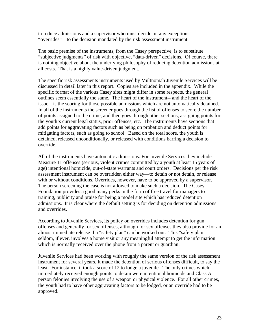to reduce admissions and a supervisor who must decide on any exceptions— "overrides"—to the decision mandated by the risk assessment instrument.

The basic premise of the instruments, from the Casey perspective, is to substitute "subjective judgments" of risk with objective, "data-driven" decisions. Of course, there is nothing objective about the underlying philosophy of reducing detention admissions at all costs. That is a highly value-driven judgment.

The specific risk assessments instruments used by Multnomah Juvenile Services will be discussed in detail later in this report. Copies are included in the appendix. While the specific format of the various Casey sites might differ in some respects, the general outlines seem essentially the same. The heart of the instrument-- and the heart of the issue-- is the scoring for those possible admissions which are not automatically detained. In all of the instruments the screener goes through the list of offenses to score the number of points assigned to the crime, and then goes through other sections, assigning points for the youth's current legal status, prior offenses, etc. The instruments have sections that add points for aggravating factors such as being on probation and deduct points for mitigating factors, such as going to school. Based on the total score, the youth is detained, released unconditionally, or released with conditions barring a decision to override.

All of the instruments have automatic admissions. For Juvenile Services they include Measure 11 offenses (serious, violent crimes committed by a youth at least 15 years of age) intentional homicide, out-of-state warrants and court orders. Decisions per the risk assessment instrument can be overridden either way—to detain or not detain, or release with or without conditions. Overrides, however, have to be approved by a supervisor. The person screening the case is not allowed to make such a decision. The Casey Foundation provides a good many perks in the form of free travel for managers to training, publicity and praise for being a model site which has reduced detention admissions. It is clear where the default setting is for deciding on detention admissions and overrides.

According to Juvenile Services, its policy on overrides includes detention for gun offenses and generally for sex offenses, although for sex offenses they also provide for an almost immediate release if a "safety plan" can be worked out. This "safety plan" seldom, if ever, involves a home visit or any meaningful attempt to get the information which is normally received over the phone from a parent or guardian.

Juvenile Services had been working with roughly the same version of the risk assessment instrument for several years. It made the detention of serious offenses difficult, to say the least. For instance, it took a score of 12 to lodge a juvenile. The only crimes which immediately received enough points to detain were intentional homicide and Class A person felonies involving the use of a weapon or physical violence. For all other crimes, the youth had to have other aggravating factors to be lodged, or an override had to be approved.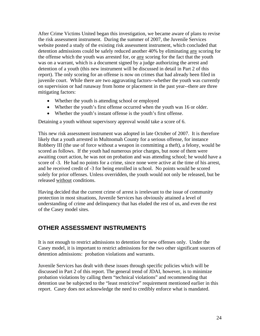After Crime Victims United began this investigation, we became aware of plans to revise the risk assessment instrument. During the summer of 2007, the Juvenile Services website posted a study of the existing risk assessment instrument, which concluded that detention admissions could be safely reduced another 40% by eliminating any scoring for the offense which the youth was arrested for, or any scoring for the fact that the youth was on a warrant, which is a document signed by a judge authorizing the arrest and detention of a youth (this new instrument will be discussed in detail in Part 2 of this report). The only scoring for an offense is now on crimes that had already been filed in juvenile court. While there are two aggravating factors--whether the youth was currently on supervision or had runaway from home or placement in the past year--there are three mitigating factors:

- Whether the youth is attending school or employed
- Whether the youth's first offense occurred when the youth was 16 or older.
- Whether the youth's instant offense is the youth's first offense.

Detaining a youth without supervisory approval would take a score of 6.

This new risk assessment instrument was adopted in late October of 2007. It is therefore likely that a youth arrested in Multnomah County for a serious offense, for instance Robbery III (the use of force without a weapon in committing a theft), a felony, would be scored as follows. If the youth had numerous prior charges, but none of them were awaiting court action, he was not on probation and was attending school; he would have a score of -3. He had no points for a crime, since none were active at the time of his arrest, and he received credit of -3 for being enrolled in school. No points would be scored solely for prior offenses. Unless overridden, the youth would not only be released, but be released without conditions.

Having decided that the current crime of arrest is irrelevant to the issue of community protection in most situations, Juvenile Services has obviously attained a level of understanding of crime and delinquency that has eluded the rest of us, and even the rest of the Casey model sites.

## **OTHER ASSESSMENT INSTRUMENTS**

It is not enough to restrict admissions to detention for new offenses only. Under the Casey model, it is important to restrict admissions for the two other significant sources of detention admissions: probation violations and warrants.

Juvenile Services has dealt with these issues through specific policies which will be discussed in Part 2 of this report. The general trend of JDAI, however, is to minimize probation violations by calling them "technical violations" and recommending that detention use be subjected to the "least restrictive" requirement mentioned earlier in this report. Casey does not acknowledge the need to credibly enforce what is mandated.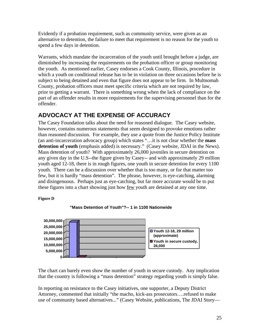Evidently if a probation requirement, such as community service, were given as an alternative to detention, the failure to meet that requirement is no reason for the youth to spend a few days in detention.

Warrants, which mandate the incarceration of the youth until brought before a judge, are diminished by increasing the requirements on the probation officer or group monitoring the youth. As mentioned earlier, Casey endorses a Cook County, Illinois, procedure in which a youth on conditional release has to be in violation on three occasions before he is subject to being detained and even that figure does not appear to be firm. In Multnomah County, probation officers must meet specific criteria which are not required by law, prior to getting a warrant. There is something wrong when the lack of compliance on the part of an offender results in more requirements for the supervising personnel than for the offender.

## **ADVOCACY AT THE EXPENSE OF ACCURACY**

The Casey Foundation talks about the need for reasoned dialogue. The Casey website, however, contains numerous statements that seem designed to provoke emotions rather than reasoned discussion. For example, they use a quote from the Justice Policy Institute (an anti-incarceration advocacy group) which states "…it is not clear whether the **mass detention of youth** (emphasis added) is necessary." (Casey website, JDAI in the News). Mass detention of youth? With approximately 26,000 juveniles in secure detention on any given day in the U.S--the figure given by Casey-- and with approximately 29 million youth aged 12-18, there is in rough figures, one youth in secure detention for every 1100 youth. There can be a discussion over whether that is too many, or for that matter too few, but it is hardly "mass detention". The phrase, however, is eye-catching, alarming and disingenuous. Perhaps just as eye-catching, but far more accurate would be to put these figures into a chart showing just how few youth are detained at any one time.

**Figure D** 



 **"Mass Detention of Youth"?-- 1 in 1100 Nationwide**

The chart can barely even show the number of youth in secure custody. Any implication that the country is following a "mass detention" strategy regarding youth is simply false.

In reporting on resistance to the Casey initiatives, one supporter, a Deputy District Attorney, commented that initially "the macho, kick-ass prosecutors….refused to make use of community based alternatives..." (Casey Website, publications, The JDAI Story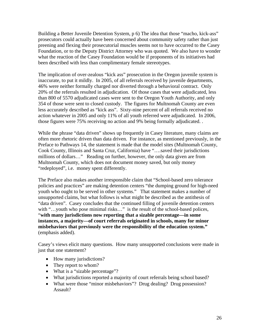Building a Better Juvenile Detention System, p 6) The idea that those "macho, kick-ass" prosecutors could actually have been concerned about community safety rather than just preening and flexing their prosecutorial muscles seems not to have occurred to the Casey Foundation, or to the Deputy District Attorney who was quoted. We also have to wonder what the reaction of the Casey Foundation would be if proponents of its initiatives had been described with less than complimentary female stereotypes.

The implication of over-zealous "kick ass" prosecution in the Oregon juvenile system is inaccurate, to put it mildly. In 2005, of all referrals received by juvenile departments, 46% were neither formally charged nor diverted through a behavioral contract. Only 20% of the referrals resulted in adjudication. Of those cases that were adjudicated, less than 800 of 5570 adjudicated cases were sent to the Oregon Youth Authority, and only 354 of those were sent to closed custody. The figures for Multnomah County are even less accurately described as "kick ass". Sixty-nine percent of all referrals received no action whatever in 2005 and only 11% of all youth referred were adjudicated. In 2006, those figures were 75% receiving no action and 9% being formally adjudicated. .

While the phrase "data driven" shows up frequently in Casey literature, many claims are often more rhetoric driven than data driven. For instance, as mentioned previously, in the Preface to Pathways 14, the statement is made that the model sites (Multnomah County, Cook County, Illinois and Santa Cruz, California) have "….saved their jurisdictions millions of dollars…" Reading on further, however, the only data given are from Multnomah County, which does not document money saved, but only money "redeployed", i.e. money spent differently.

The Preface also makes another irresponsible claim that "School-based zero tolerance policies and practices" are making detention centers "the dumping ground for high-need youth who ought to be served in other systems." That statement makes a number of unsupported claims, but what follows is what might be described as the antithesis of "data driven". Casey concludes that the continued filling of juvenile detention centers with "...youth who pose minimal risks..." is the result of the school-based polices, "**with many jurisdictions now reporting that a sizable percentage—in some instances, a majority—of court referrals originated in schools, many for minor misbehaviors that previously were the responsibility of the education system."**  (emphasis added).

Casey's views elicit many questions. How many unsupported conclusions were made in just that one statement?

- How many jurisdictions?
- They report to whom?
- What is a "sizable percentage"?
- What jurisdictions reported a majority of court referrals being school based?
- What were those "minor misbehaviors"? Drug dealing? Drug possession? Assault?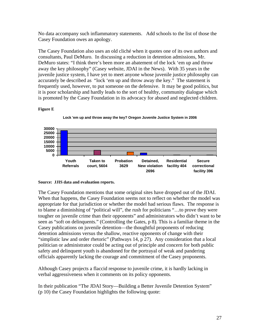No data accompany such inflammatory statements. Add schools to the list of those the Casey Foundation owes an apology.

The Casey Foundation also uses an old cliché when it quotes one of its own authors and consultants, Paul DeMuro. In discussing a reduction in detention admissions, Mr. DeMuro states: "I think there's been more an abatement of the lock 'em up and throw away the key philosophy" (Casey website, JDAI in the News). With 35 years in the juvenile justice system, I have yet to meet anyone whose juvenile justice philosophy can accurately be described as "lock 'em up and throw away the key." The statement is frequently used, however, to put someone on the defensive. It may be good politics, but it is poor scholarship and hardly leads to the sort of healthy, community dialogue which is promoted by the Casey Foundation in its advocacy for abused and neglected children.

#### **Figure E**





#### **Source: JJIS data and evaluation reports.**

The Casey Foundation mentions that some original sites have dropped out of the JDAI. When that happens, the Casey Foundation seems not to reflect on whether the model was appropriate for that jurisdiction or whether the model had serious flaws. The response is to blame a diminishing of "political will", the rush for politicians "…to prove they were tougher on juvenile crime than their opponents" and administrators who didn't want to be seen as "soft on delinquents." (Controlling the Gates, p 8). This is a familiar theme in the Casey publications on juvenile detention—the thoughtful proponents of reducing detention admissions versus the shallow, reactive opponents of change with their "simplistic law and order rhetoric" (Pathways 14, p 27). Any consideration that a local politician or administrator could be acting out of principle and concern for both public safety and delinquent youth is abandoned for the portrayal of weak and pandering officials apparently lacking the courage and commitment of the Casey proponents.

Although Casey projects a flaccid response to juvenile crime, it is hardly lacking in verbal aggressiveness when it comments on its policy opponents.

In their publication "The JDAI Story—Building a Better Juvenile Detention System" (p 10) the Casey Foundation highlights the following quote: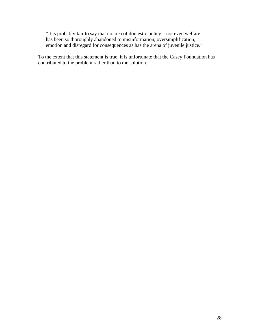"It is probably fair to say that no area of domestic policy—not even welfare has been so thoroughly abandoned to misinformation, oversimplification, emotion and disregard for consequences as has the arena of juvenile justice."

To the extent that this statement is true, it is unfortunate that the Casey Foundation has contributed to the problem rather than to the solution.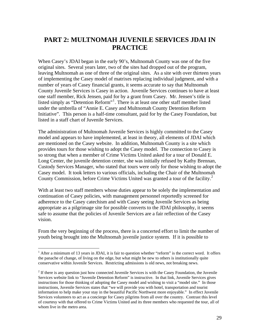## <span id="page-29-0"></span>**PART 2: MULTNOMAH JUVENILE SERVICES JDAI IN PRACTICE**

When Casey's JDAI began in the early 90's, Multnomah County was one of the five original sites. Several years later, two of the sites had dropped out of the program, leaving Multnomah as one of three of the original sites. As a site with over thirteen years of implementing the Casey model of matrixes replacing individual judgment, and with a number of years of Casey financial grants, it seems accurate to say that Multnomah County Juvenile Services is Casey in action. Juvenile Services continues to have at least one staff member, Rick Jensen, paid for by a grant from Casey. Mr. Jensen's title is listed simply as "Detention Reform"<sup>[1](#page-29-1)</sup>. There is at least one other staff member listed under the umbrella of "Annie E. Casey and Multnomah County Detention Reform Initiative". This person is a half-time consultant, paid for by the Casey Foundation, but listed in a staff chart of Juvenile Services.

The administration of Multnomah Juvenile Services is highly committed to the Casey model and appears to have implemented, at least in theory, all elements of JDAI which are mentioned on the Casey website. In addition, Multnomah County is a site which provides tours for those wishing to adopt the Casey model. The connection to Casey is so strong that when a member of Crime Victims United asked for a tour of Donald E. Long Center, the juvenile detention center, she was initially refused by Kathy Brennan, Custody Services Manager, who stated that tours were only for those wishing to adopt the Casey model. It took letters to various officials, including the Chair of the Multnomah County Commission, before Crime Victims United was granted a tour of the facility.<sup>[2](#page-29-2)</sup>

With at least two staff members whose duties appear to be solely the implementation and continuation of Casey policies, with management personnel reportedly screened for adherence to the Casey catechism and with Casey seeing Juvenile Services as being appropriate as a pilgrimage site for possible converts to the JDAI philosophy, it seems safe to assume that the policies of Juvenile Services are a fair reflection of the Casey vision.

From the very beginning of the process, there is a concerted effort to limit the number of youth being brought into the Multnomah juvenile justice system. If it is possible to

 $\overline{a}$ 

<span id="page-29-1"></span><sup>&</sup>lt;sup>1</sup> After a minimum of 13 years in JDAI, it is fair to question whether "reform" is the correct word. It offers the panache of change, of living on the edge, but what might be new to others is institutionally quite conservative within Juvenile Services. Restricting admissions is old news, not breaking news.

<span id="page-29-2"></span> $2<sup>2</sup>$  If there is any question just how connected Juvenile Services is with the Casey Foundation, the Juvenile Services website link to "Juvenile Detention Reform" is instructive. In that link, Juvenile Services gives instructions for those thinking of adopting the Casey model and wishing to visit a "model site." In those instructions, Juvenile Services states that "we will provide you with hotel, transportation and tourist information to help make your stay in the beautiful Pacific Northwest more enjoyable." In effect Juvenile Services volunteers to act as a concierge for Casey pilgrims from all over the country. Contrast this level of courtesy with that offered to Crime Victims United and its three members who requested the tour, all of whom live in the metro area.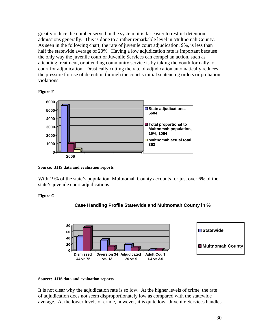greatly reduce the number served in the system, it is far easier to restrict detention admissions generally. This is done to a rather remarkable level in Multnomah County. As seen in the following chart, the rate of juvenile court adjudication, 9%, is less than half the statewide average of 20%. Having a low adjudication rate is important because the only way the juvenile court or Juvenile Services can compel an action, such as attending treatment, or attending community service is by taking the youth formally to court for adjudication. Drastically cutting the rate of adjudication automatically reduces the pressure for use of detention through the court's initial sentencing orders or probation violations.





**Source: JJIS data and evaluation reports** 

With 19% of the state's population, Multnomah County accounts for just over 6% of the state's juvenile court adjudications.

#### **Figure G**





#### **Source: JJIS data and evaluation reports**

It is not clear why the adjudication rate is so low. At the higher levels of crime, the rate of adjudication does not seem disproportionately low as compared with the statewide average. At the lower levels of crime, however, it is quite low. Juvenile Services handles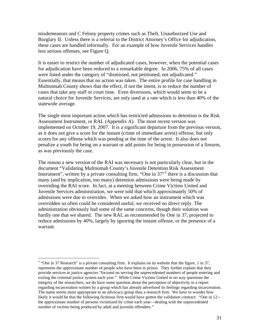misdemeanors and C Felony property crimes such as Theft, Unauthorized Use and Burglary II. Unless there is a referral to the District Attorney's Office for adjudication, these cases are handled informally. For an example of how Juvenile Services handles less serious offenses, see Figure Q.

It is easier to restrict the number of adjudicated cases, however, when the potential cases for adjudication have been reduced to a remarkable degree. In 2006, 75% of all cases were listed under the category of "dismissed, not petitioned, not adjudicated." Essentially, that means that no action was taken. The entire profile for case handling in Multnomah County shows that the effect, if not the intent, is to reduce the number of cases that take any staff or court time. Even diversions, which would seem to be a natural choice for Juvenile Services, are only used at a rate which is less than 40% of the statewide average.

The single most important action which has restricted admissions to detention is the Risk Assessment Instrument, or RAI. (Appendix A). The most recent version was implemented on October 19, 2007. It is a significant departure from the previous version, as it does not give a score for the instant (crime of immediate arrest) offense, but only scores for any offense which was pending at the time of the arrest. It also does not penalize a youth for being on a warrant or add points for being in possession of a firearm, as was previously the case.

The reason a new version of the RAI was necessary is not particularly clear, but in the document "Validating Multnomah County's Juvenile Detention Risk Assessment Instrument", written by a private consulting firm, "One in  $37<sup>3</sup>$  $37<sup>3</sup>$  there is a discussion that many (and by implication, too many) detention admissions were being made by overriding the RAI score. In fact, at a meeting between Crime Victims United and Juvenile Services administration, we were told that which approximately 50% of admissions were due to overrides. When we asked how an instrument which was overridden so often could be considered useful, we received no direct reply. The administration obviously had some of the same concerns, though their solution was hardly one that we shared. The new RAI, as recommended by One in 37, projected to reduce admissions by 40%, largely by ignoring the instant offense, or the presence of a warrant.

 $\overline{a}$ 

<span id="page-31-0"></span> $3$  "One in 37 Research" is a private consulting firm. It explains on its website that the figure, 1 in 37, represents the approximate number of people who have been in prison. They further explain that they provide services to justice agencies "focused on serving the unprecedented numbers of people entering and exiting the criminal justice system each year." While Crime Victims United in no way questions the integrity of the researchers, we do have some question about the perception of objectivity in a report regarding incarceration written by a group which has already advertised its feelings regarding incarceration. The name seems more appropriate to an advocacy group than a research firm. We have to wonder how likely it would be that the following fictitious firm would have gotten the validation contract: "One in 12- the approximate number of persons victimized by crime each year—dealing with the unprecedented number of victims being produced by adult and juvenile offenders."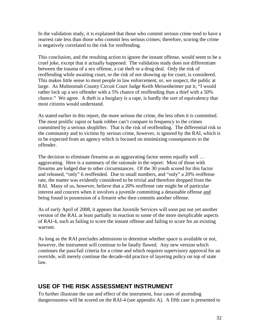In the validation study, it is explained that those who commit serious crime tend to have a rearrest rate less than those who commit less serious crimes; therefore, scoring the crime is negatively correlated to the risk for reoffending.

This conclusion, and the resulting action to ignore the instant offense, would seem to be a cruel joke, except that it actually happened. The validation study does not differentiate between the trauma of a sex offense, a car theft or a drug deal. Only the risk of reoffending while awaiting court, or the risk of not showing up for court, is considered. This makes little sense to most people in law enforcement, or, we suspect, the public at large. As Multnomah County Circuit Court Judge Keith Meisenheimer put it, "I would rather lock up a sex offender with a 5% chance of reoffending than a thief with a 50% chance." We agree. A theft is a burglary is a rape, is hardly the sort of equivalency that most citizens would understand.

As stated earlier in this report, the more serious the crime, the less often it is committed. The most prolific rapist or bank robber can't compare in frequency to the crimes committed by a serious shoplifter. That is the risk of reoffending. The differential risk to the community and to victims by serious crime, however, is ignored by the RAI, which is to be expected from an agency which is focused on minimizing consequences to the offender.

The decision to eliminate firearms as an aggravating factor seems equally well … aggravating. Here is a summary of the rationale in the report: Most of those with firearms are lodged due to other circumstances. Of the 30 youth scored for this factor and released, "only" 6 reoffended. Due to small numbers, and "only" a 20% reoffense rate, the matter was evidently considered to be trivial and therefore dropped from the RAI. Many of us, however, believe that a 20% reoffense rate might be of particular interest and concern when it involves a juvenile committing a detainable offense and being found in possession of a firearm who then commits another offense.

As of early April of 2008, it appears that Juvenile Services will soon put out yet another version of the RAI, at least partially in reaction to some of the more inexplicable aspects of RAI-4, such as failing to score the instant offense and failing to score for an existing warrant.

As long as the RAI precludes admissions to detention whether space is available or not, however, the instrument will continue to be fatally flawed. Any new version which continues the pass/fail criteria for a crime and which requires supervisory approval for an override, will merely continue the decade-old practice of layering policy on top of state law.

## **USE OF THE RISK ASSESSMENT INSTRUMENT**

To further illustrate the use and effect of the instrument, four cases of ascending dangerousness will be scored on the RAI-4 (see appendix A). A fifth case is presented to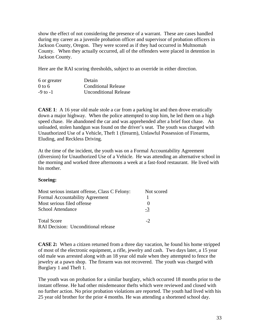show the effect of not considering the presence of a warrant. These are cases handled during my career as a juvenile probation officer and supervisor of probation officers in Jackson County, Oregon. They were scored as if they had occurred in Multnomah County. When they actually occurred, all of the offenders were placed in detention in Jackson County.

Here are the RAI scoring thresholds, subject to an override in either direction.

| 6 or greater | Detain                       |
|--------------|------------------------------|
| $0$ to 6     | <b>Conditional Release</b>   |
| $-9$ to $-1$ | <b>Unconditional Release</b> |

**CASE 1**: A 16 year old male stole a car from a parking lot and then drove erratically down a major highway. When the police attempted to stop him, he led them on a high speed chase. He abandoned the car and was apprehended after a brief foot chase. An unloaded, stolen handgun was found on the driver's seat. The youth was charged with Unauthorized Use of a Vehicle, Theft 1 (firearm), Unlawful Possession of Firearms, Eluding, and Reckless Driving.

At the time of the incident, the youth was on a Formal Accountability Agreement (diversion) for Unauthorized Use of a Vehicle. He was attending an alternative school in the morning and worked three afternoons a week at a fast-food restaurant. He lived with his mother.

#### **Scoring:**

| Most serious instant offense, Class C Felony: | Not scored |
|-----------------------------------------------|------------|
| Formal Accountability Agreement               |            |
| Most serious filed offense                    |            |
| School Attendance                             | $-3$       |
| <b>Total Score</b>                            | $-2$       |
| RAI Decision: Unconditional release           |            |

**CASE 2:** When a citizen returned from a three day vacation, he found his home stripped of most of the electronic equipment, a rifle, jewelry and cash. Two days later, a 15 year old male was arrested along with an 18 year old male when they attempted to fence the jewelry at a pawn shop. The firearm was not recovered. The youth was charged with Burglary 1 and Theft 1.

The youth was on probation for a similar burglary, which occurred 18 months prior to the instant offense. He had other misdemeanor thefts which were reviewed and closed with no further action. No prior probation violations are reported. The youth had lived with his 25 year old brother for the prior 4 months. He was attending a shortened school day.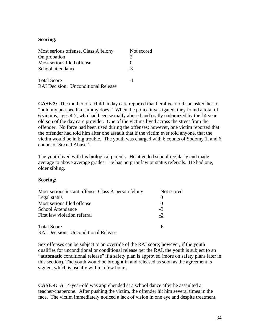#### **Scoring:**

| Most serious offense, Class A felony       | Not scored |
|--------------------------------------------|------------|
| On probation                               |            |
| Most serious filed offense                 | 0          |
| School attendance                          | $-3$       |
| <b>Total Score</b>                         | $-1$       |
| <b>RAI Decision: Unconditional Release</b> |            |

**CASE 3:** The mother of a child in day care reported that her 4 year old son asked her to "hold my pee-pee like Jimmy does." When the police investigated, they found a total of 6 victims, ages 4-7, who had been sexually abused and orally sodomized by the 14 year old son of the day care provider. One of the victims lived across the street from the offender. No force had been used during the offenses; however, one victim reported that the offender had told him after one assault that if the victim ever told anyone, that the victim would be in big trouble. The youth was charged with 6 counts of Sodomy 1, and 6 counts of Sexual Abuse 1.

The youth lived with his biological parents. He attended school regularly and made average to above average grades. He has no prior law or status referrals. He had one, older sibling.

#### **Scoring:**

| Most serious instant offense, Class A person felony | Not scored |
|-----------------------------------------------------|------------|
| Legal status                                        |            |
| Most serious filed offense                          |            |
| <b>School Attendance</b>                            | $-3$       |
| First law violation referral                        | $-3$       |
| <b>Total Score</b>                                  | -6         |
| <b>RAI Decision: Unconditional Release</b>          |            |

Sex offenses can be subject to an override of the RAI score; however, if the youth qualifies for unconditional or conditional release per the RAI, the youth is subject to an "**automatic** conditional release" if a safety plan is approved (more on safety plans later in this section). The youth would be brought in and released as soon as the agreement is signed, which is usually within a few hours.

**CASE 4: A** 14-year-old was apprehended at a school dance after he assaulted a teacher/chaperone. After pushing the victim, the offender hit him several times in the face. The victim immediately noticed a lack of vision in one eye and despite treatment,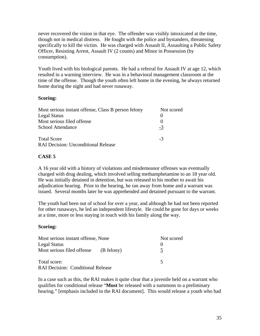never recovered the vision in that eye. The offender was visibly intoxicated at the time, though not in medical distress. He fought with the police and bystanders, threatening specifically to kill the victim. He was charged with Assault II, Assaulting a Public Safety Officer, Resisting Arrest, Assault IV (2 counts) and Minor in Possession (by consumption).

Youth lived with his biological parents. He had a referral for Assault IV at age 12, which resulted in a warning interview. He was in a behavioral management classroom at the time of the offense. Though the youth often left home in the evening, he always returned home during the night and had never runaway.

#### **Scoring:**

| Most serious instant offense, Class B person felony | Not scored |
|-----------------------------------------------------|------------|
| <b>Legal Status</b>                                 | $\theta$   |
| Most serious filed offense                          | $\theta$   |
| School Attendance                                   | -3         |
| <b>Total Score</b>                                  | $-3$       |
| <b>RAI Decision: Unconditional Release</b>          |            |

#### **CASE 5**

A 16 year old with a history of violations and misdemeanor offenses was eventually charged with drug dealing, which involved selling methamphetamine to an 18 year old. He was initially detained in detention, but was released to his mother to await his adjudication hearing. Prior to the hearing, he ran away from home and a warrant was issued. Several months later he was apprehended and detained pursuant to the warrant.

The youth had been out of school for over a year, and although he had not been reported for other runaways, he led an independent lifestyle. He could be gone for days or weeks at a time, more or less staying in touch with his family along the way.

#### **Scoring:**

| Most serious instant offense, None       | Not scored    |
|------------------------------------------|---------------|
| <b>Legal Status</b>                      |               |
| Most serious filed offense (B felony)    | $\mathcal{L}$ |
| Total score:                             |               |
| <b>RAI Decision: Conditional Release</b> |               |

In a case such as this, the RAI makes it quite clear that a juvenile held on a warrant who qualifies for conditional release "**Must** be released with a summons to a preliminary hearing." [emphasis included in the RAI document]. This would release a youth who had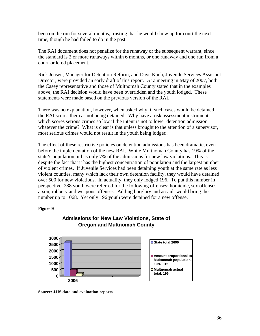been on the run for several months, trusting that he would show up for court the next time, though he had failed to do in the past.

The RAI document does not penalize for the runaway or the subsequent warrant, since the standard is 2 or more runaways within 6 months, or one runaway and one run from a court-ordered placement.

Rick Jensen, Manager for Detention Reform, and Dave Koch, Juvenile Services Assistant Director, were provided an early draft of this report. At a meeting in May of 2007, both the Casey representative and those of Multnomah County stated that in the examples above, the RAI decision would have been overridden and the youth lodged. These statements were made based on the previous version of the RAI.

There was no explanation, however, when asked why, if such cases would be detained, the RAI scores them as not being detained. Why have a risk assessment instrument which scores serious crimes so low if the intent is not to lower detention admission whatever the crime? What is clear is that unless brought to the attention of a supervisor, most serious crimes would not result in the youth being lodged.

The effect of these restrictive policies on detention admissions has been dramatic, even before the implementation of the new RAI. While Multnomah County has 19% of the state's population, it has only 7% of the admissions for new law violations. This is despite the fact that it has the highest concentration of population and the largest number of violent crimes. If Juvenile Services had been detaining youth at the same rate as less violent counties, many which lack their own detention facility, they would have detained over 500 for new violations. In actuality, they only lodged 196. To put this number in perspective, 288 youth were referred for the following offenses: homicide, sex offenses, arson, robbery and weapons offenses. Adding burglary and assault would bring the number up to 1068. Yet only 196 youth were detained for a new offense.

#### **Figure H**



## **Admissions for New Law Violations, State of Oregon and Multnomah County**

**Source: JJIS data and evaluation reports**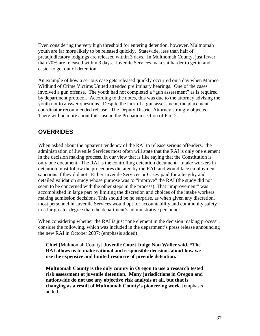Even considering the very high threshold for entering detention, however, Multnomah youth are far more likely to be released quickly. Statewide, less than half of preadjudicatory lodgings are released within 3 days. In Multnomah County, just fewer than 70% are released within 3 days. Juvenile Services makes it harder to get in and easier to get out of detention.

An example of how a serious case gets released quickly occurred on a day when Marnee Widlund of Crime Victims United attended preliminary hearings. One of the cases involved a gun offense. The youth had not completed a "gun assessment" as is required by department protocol. According to the notes, this was due to the attorney advising the youth not to answer questions. Despite the lack of a gun assessment, the placement coordinator recommended release. The Deputy District Attorney strongly objected. There will be more about this case in the Probation section of Part 2.

## **OVERRIDES**

When asked about the apparent tendency of the RAI to release serious offenders, the administration of Juvenile Services most often will state that the RAI is only one element in the decision making process. In our view that is like saying that the Constitution is only one document. The RAI is the controlling detention document. Intake workers in detention must follow the procedures dictated by the RAI, and would face employment sanctions if they did not. Either Juvenile Services or Casey paid for a lengthy and detailed validation study whose purpose was to "improve" the RAI (the study did not seem to be concerned with the other steps in the process). That "improvement" was accomplished in large part by limiting the discretion and choices of the intake workers making admission decisions. This should be no surprise, as when given any discretion, most personnel in Juvenile Services would opt for accountability and community safety to a far greater degree than the department's administrative personnel.

When considering whether the RAI is just "one element in the decision making process", consider the following, which was included in the department's press release announcing the new RAI in October 2007: (emphasis added)

**Chief [**Multnomah County] **Juvenile Court Judge Nan Waller said, "The RAI allows us to make rational and responsible decisions about how we use the expensive and limited resource of juvenile detention."** 

**Multnomah County is the only county in Oregon to use a research tested risk assessment at juvenile detention. Many jurisdictions in Oregon and nationwide do not use any objective risk analysis at all, but that is changing as a result of Multnomah County's pioneering work**. [emphasis added]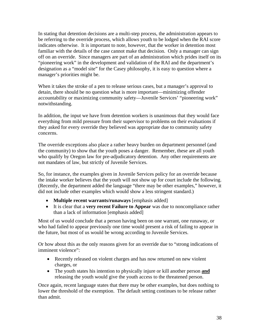In stating that detention decisions are a multi-step process, the administration appears to be referring to the override process, which allows youth to be lodged when the RAI score indicates otherwise. It is important to note, however, that the worker in detention most familiar with the details of the case cannot make that decision. Only a manager can sign off on an override. Since managers are part of an administration which prides itself on its "pioneering work" in the development and validation of the RAI and the department's designation as a "model site" for the Casey philosophy, it is easy to question where a manager's priorities might be.

When it takes the stroke of a pen to release serious cases, but a manager's approval to detain, there should be no question what is more important—minimizing offender accountability or maximizing community safety—Juvenile Services' "pioneering work" notwithstanding.

In addition, the input we have from detention workers is unanimous that they would face everything from mild pressure from their supervisor to problems on their evaluations if they asked for every override they believed was appropriate due to community safety concerns.

The override exceptions also place a rather heavy burden on department personnel (and the community) to show that the youth poses a danger. Remember, these are all youth who qualify by Oregon law for pre-adjudicatory detention. Any other requirements are not mandates of law, but strictly of Juvenile Services.

So, for instance, the examples given in Juvenile Services policy for an override because the intake worker believes that the youth will not show up for court include the following. (Recently, the department added the language "there may be other examples," however, it did not include other examples which would show a less stringent standard.)

- **Multiple recent warrants/runaways** [emphasis added]
- It is clear that a **very recent Failure to Appear** was due to noncompliance rather than a lack of information [emphasis added]

Most of us would conclude that a person having been on one warrant, one runaway, or who had failed to appear previously one time would present a risk of failing to appear in the future, but most of us would be wrong according to Juvenile Services.

Or how about this as the only reasons given for an override due to "strong indications of imminent violence":

- Recently released on violent charges and has now returned on new violent charges, or
- The youth states his intention to physically injure or kill another person **and** releasing the youth would give the youth access to the threatened person.

Once again, recent language states that there may be other examples, but does nothing to lower the threshold of the exemption. The default setting continues to be release rather than admit.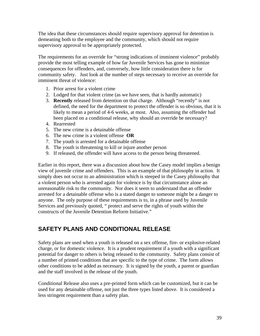The idea that these circumstances should require supervisory approval for detention is demeaning both to the employee and the community, which should not require supervisory approval to be appropriately protected.

The requirements for an override for "strong indications of imminent violence" probably provide the most telling example of how far Juvenile Services has gone to minimize consequences for offenders, and, conversely, how little consideration there is for community safety. Just look at the number of steps necessary to receive an override for imminent threat of violence:

- 1. Prior arrest for a violent crime
- 2. Lodged for that violent crime (as we have seen, that is hardly automatic)
- 3. **Recently** released from detention on that charge. Although "recently" is not defined, the need for the department to protect the offender is so obvious, that it is likely to mean a period of 4-6 weeks, at most. Also, assuming the offender had been placed on a conditional release, why should an override be necessary?
- 4. Rearrested
- 5. The new crime is a detainable offense
- 6. The new crime is a violent offense **OR**
- 7. The youth is arrested for a detainable offense
- 8. The youth is threatening to kill or injure another person
- 9. If released, the offender will have access to the person being threatened.

Earlier in this report, there was a discussion about how the Casey model implies a benign view of juvenile crime and offenders. This is an example of that philosophy in action. It simply does not occur to an administration which is steeped in the Casey philosophy that a violent person who is arrested again for violence is by that circumstance alone an unreasonable risk to the community. Nor does it seem to understand that an offender arrested for a detainable offense who is a stated danger to someone might be a danger to anyone. The only purpose of these requirements is to, in a phrase used by Juvenile Services and previously quoted, " protect and serve the rights of youth within the constructs of the Juvenile Detention Reform Initiative."

# **SAFETY PLANS AND CONDITIONAL RELEASE**

Safety plans are used when a youth is released on a sex offense, fire- or explosive-related charge, or for domestic violence. It is a prudent requirement if a youth with a significant potential for danger to others is being released to the community. Safety plans consist of a number of printed conditions that are specific to the type of crime. The form allows other conditions to be added as necessary. It is signed by the youth, a parent or guardian and the staff involved in the release of the youth.

Conditional Release also uses a pre-printed form which can be customized, but it can be used for any detainable offense, not just the three types listed above. It is considered a less stringent requirement than a safety plan.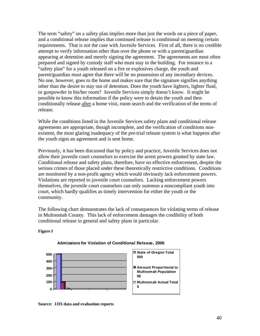The term "safety" on a safety plan implies more than just the words on a piece of paper, and a conditional release implies that continued release is conditional on meeting certain requirements. That is not the case with Juvenile Services. First of all, there is no credible attempt to verify information other than over the phone or with a parent/guardian appearing at detention and merely signing the agreement. The agreements are most often prepared and signed by custody staff who must stay in the building. For instance in a "safety plan" for a youth released on a fire or explosives charge, the youth and parent/guardian must agree that there will be no possession of any incendiary devices. No one, however, goes to the home and makes sure that the signature signifies anything other than the desire to stay out of detention. Does the youth have lighters, lighter fluid, or gunpowder in his/her room? Juvenile Services simply doesn't know. It might be possible to know this information if the policy were to detain the youth and then conditionally release after a home visit, room search and the verification of the terms of release.

While the conditions listed in the Juvenile Services safety plans and conditional release agreements are appropriate, though incomplete, and the verification of conditions nonexistent, the most glaring inadequacy of the pre-trial release system is what happens after the youth signs an agreement and is sent home.

Previously, it has been discussed that by policy and practice, Juvenile Services does not allow their juvenile court counselors to exercise the arrest powers granted by state law. Conditional release and safety plans, therefore, have no effective enforcement, despite the serious crimes of those placed under these theoretically restrictive conditions. Conditions are monitored by a non-profit agency which would obviously lack enforcement powers. Violations are reported to juvenile court counselors. Lacking enforcement powers themselves, the juvenile court counselors can only summon a noncompliant youth into court, which hardly qualifies as timely intervention for either the youth or the community.

The following chart demonstrates the lack of consequences for violating terms of release in Multnomah County. This lack of enforcement damages the credibility of both conditional release in general and safety plans in particular.





#### **Admissions for Violation of Conditional Release, 2006**

**Source: JJIS data and evaluation reports**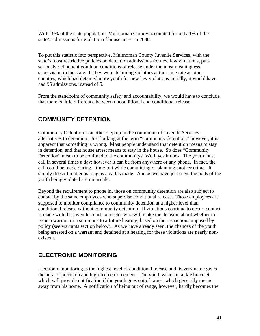With 19% of the state population, Multnomah County accounted for only 1% of the state's admissions for violation of house arrest in 2006.

To put this statistic into perspective, Multnomah County Juvenile Services, with the state's most restrictive policies on detention admissions for new law violations, puts seriously delinquent youth on conditions of release under the most meaningless supervision in the state. If they were detaining violators at the same rate as other counties, which had detained more youth for new law violations initially, it would have had 95 admissions, instead of 5.

From the standpoint of community safety and accountability, we would have to conclude that there is little difference between unconditional and conditional release.

# **COMMUNITY DETENTION**

Community Detention is another step up in the continuum of Juvenile Services' alternatives to detention. Just looking at the term "community detention," however, it is apparent that something is wrong. Most people understand that detention means to stay in detention, and that house arrest means to stay in the house. So does "Community Detention" mean to be confined to the community? Well, yes it does. The youth must call in several times a day; however it can be from anywhere or any phone. In fact, the call could be made during a time-out while committing or planning another crime. It simply doesn't matter as long as a call is made. And as we have just seen, the odds of the youth being violated are miniscule.

Beyond the requirement to phone in, those on community detention are also subject to contact by the same employees who supervise conditional release. Those employees are supposed to monitor compliance to community detention at a higher level than conditional release without community detention. If violations continue to occur, contact is made with the juvenile court counselor who will make the decision about whether to issue a warrant or a summons to a future hearing, based on the restrictions imposed by policy (see warrants section below). As we have already seen, the chances of the youth being arrested on a warrant and detained at a hearing for these violations are nearly nonexistent.

# **ELECTRONIC MONITORING**

Electronic monitoring is the highest level of conditional release and its very name gives the aura of precision and high-tech enforcement. The youth wears an ankle bracelet which will provide notification if the youth goes out of range, which generally means away from his home. A notification of being out of range, however, hardly becomes the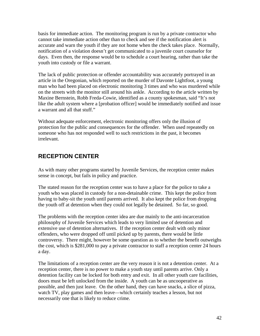basis for immediate action. The monitoring program is run by a private contractor who cannot take immediate action other than to check and see if the notification alert is accurate and warn the youth if they are not home when the check takes place. Normally, notification of a violation doesn't get communicated to a juvenile court counselor for days. Even then, the response would be to schedule a court hearing, rather than take the youth into custody or file a warrant.

The lack of public protection or offender accountability was accurately portrayed in an article in the Oregonian, which reported on the murder of Davonte Lightfoot, a young man who had been placed on electronic monitoring 3 times and who was murdered while on the streets with the monitor still around his ankle. According to the article written by Maxine Bernstein, Robb Freda-Cowie, identified as a county spokesman, said "It's not like the adult system where a [probation officer] would be immediately notified and issue a warrant and all that stuff."

Without adequate enforcement, electronic monitoring offers only the illusion of protection for the public and consequences for the offender. When used repeatedly on someone who has not responded well to such restrictions in the past, it becomes irrelevant.

# **RECEPTION CENTER**

As with many other programs started by Juvenile Services, the reception center makes sense in concept, but fails in policy and practice.

The stated reason for the reception center was to have a place for the police to take a youth who was placed in custody for a non-detainable crime. This kept the police from having to baby-sit the youth until parents arrived. It also kept the police from dropping the youth off at detention when they could not legally be detained. So far, so good.

The problems with the reception center idea are due mainly to the anti-incarceration philosophy of Juvenile Services which leads to very limited use of detention and extensive use of detention alternatives. If the reception center dealt with only minor offenders, who were dropped off until picked up by parents, there would be little controversy. There might, however be some question as to whether the benefit outweighs the cost, which is \$281,000 to pay a private contractor to staff a reception center 24 hours a day.

The limitations of a reception center are the very reason it is not a detention center. At a reception center, there is no power to make a youth stay until parents arrive. Only a detention facility can be locked for both entry and exit. In all other youth care facilities, doors must be left unlocked from the inside. A youth can be as uncooperative as possible, and then just leave. On the other hand, they can have snacks, a slice of pizza, watch TV, play games and then leave—which certainly teaches a lesson, but not necessarily one that is likely to reduce crime.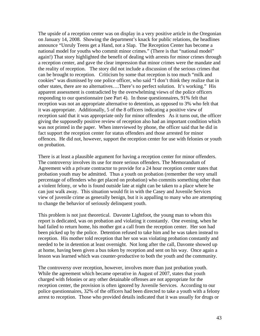The upside of a reception center was on display in a very positive article in the Oregonian on January 14, 2008. Showing the department's knack for public relations, the headlines announce "Unruly Teens get a Hand, not a Slap. The Reception Center has become a national model for youths who commit minor crimes." (There is that "national model" again!) That story highlighted the benefit of dealing with arrests for minor crimes through a reception center, and gave the clear impression that minor crimes were the mandate and the reality of reception. The story did not include a discussion of the serious crimes that can be brought to reception. Criticism by some that reception is too much "milk and cookies" was dismissed by one police officer, who said "I don't think they realize that in other states, there are no alternatives….There's no perfect solution. It's working." His apparent assessment is contradicted by the overwhelming views of the police officers responding to our questionnaire (see Part 4). In those questionnaires, 91% felt that reception was not an appropriate alternative to detention, as opposed to 3% who felt that it was appropriate. Additionally, 5 of the 8 officers indicating a positive view of reception said that it was appropriate only for minor offenders As it turns out, the officer giving the supposedly positive review of reception also had an important condition which was not printed in the paper. When interviewed by phone, the officer said that he did in fact support the reception center for status offenders and those arrested for minor offences. He did not, however, support the reception center for use with felonies or youth on probation.

There is at least a plausible argument for having a reception center for minor offenders. The controversy involves its use for more serious offenders. The Memorandum of Agreement with a private contractor to provide for a 24 hour reception center states that probation youth may be admitted. Thus a youth on probation (remember the very small percentage of offenders who get placed on probation) who commits something other than a violent felony, or who is found outside late at night can be taken to a place where he can just walk away. This situation would fit in with the Casey and Juvenile Services view of juvenile crime as generally benign, but it is appalling to many who are attempting to change the behavior of seriously delinquent youth.

This problem is not just theoretical. Davonte Lightfoot, the young man to whom this report is dedicated, was on probation and violating it constantly. One evening, when he had failed to return home, his mother got a call from the reception center. Her son had been picked up by the police. Detention refused to take him and he was taken instead to reception. His mother told reception that her son was violating probation constantly and needed to be in detention at least overnight. Not long after the call, Davonte showed up at home, having been given a bus token by reception and sent on his way. Once again a lesson was learned which was counter-productive to both the youth and the community.

The controversy over reception, however, involves more than just probation youth. While the agreement which became operative in August of 2007, states that youth charged with felonies or any other detainable offenses are not appropriate for the reception center, the provision is often ignored by Juvenile Services. According to our police questionnaires, 32% of the officers had been directed to take a youth with a felony arrest to reception. Those who provided details indicated that it was usually for drugs or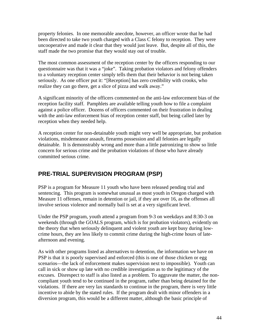property felonies. In one memorable anecdote, however, an officer wrote that he had been directed to take two youth charged with a Class C felony to reception. They were uncooperative and made it clear that they would just leave. But, despite all of this, the staff made the two promise that they would stay out of trouble.

The most common assessment of the reception center by the officers responding to our questionnaire was that it was a "joke". Taking probation violators and felony offenders to a voluntary reception center simply tells them that their behavior is not being taken seriously. As one officer put it: "[Reception] has zero credibility with crooks, who realize they can go there, get a slice of pizza and walk away."

A significant minority of the officers commented on the anti-law enforcement bias of the reception facility staff. Pamphlets are available telling youth how to file a complaint against a police officer. Dozens of officers commented on their frustration in dealing with the anti-law enforcement bias of reception center staff, but being called later by reception when they needed help.

A reception center for non-detainable youth might very well be appropriate, but probation violations, misdemeanor assault, firearms possession and all felonies are legally detainable. It is demonstrably wrong and more than a little patronizing to show so little concern for serious crime and the probation violations of those who have already committed serious crime.

# **PRE-TRIAL SUPERVISION PROGRAM (PSP)**

PSP is a program for Measure 11 youth who have been released pending trial and sentencing. This program is somewhat unusual as most youth in Oregon charged with Measure 11 offenses, remain in detention or jail, if they are over 16, as the offenses all involve serious violence and normally bail is set at a very significant level.

Under the PSP program, youth attend a program from 9-3 on weekdays and 8:30-3 on weekends (through the GOALS program, which is for probation violators), evidently on the theory that when seriously delinquent and violent youth are kept busy during lowcrime hours, they are less likely to commit crime during the high-crime hours of lateafternoon and evening.

As with other programs listed as alternatives to detention, the information we have on PSP is that it is poorly supervised and enforced (this is one of those chicken or egg scenarios—the lack of enforcement makes supervision next to impossible). Youth can call in sick or show up late with no credible investigation as to the legitimacy of the excuses. Disrespect to staff is also listed as a problem. To aggravate the matter, the noncompliant youth tend to be continued in the program, rather than being detained for the violations. If there are very lax standards to continue in the program, there is very little incentive to abide by the stated rules. If the program dealt with minor offenders in a diversion program, this would be a different matter, although the basic principle of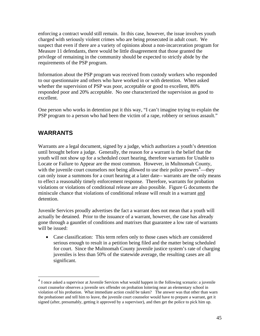enforcing a contract would still remain. In this case, however, the issue involves youth charged with seriously violent crimes who are being prosecuted in adult court. We suspect that even if there are a variety of opinions about a non-incarceration program for Measure 11 defendants, there would be little disagreement that those granted the privilege of remaining in the community should be expected to strictly abide by the requirements of the PSP program.

Information about the PSP program was received from custody workers who responded to our questionnaire and others who have worked in or with detention. When asked whether the supervision of PSP was poor, acceptable or good to excellent, 80% responded poor and 20% acceptable. No one characterized the supervision as good to excellent.

One person who works in detention put it this way, "I can't imagine trying to explain the PSP program to a person who had been the victim of a rape, robbery or serious assault."

## **WARRANTS**

 $\overline{a}$ 

Warrants are a legal document, signed by a judge, which authorizes a youth's detention until brought before a judge. Generally, the reason for a warrant is the belief that the youth will not show up for a scheduled court hearing, therefore warrants for Unable to Locate or Failure to Appear are the most common. However, in Multnomah County, with the juvenile court counselors not being allowed to use their police powers $4$ —they can only issue a summons for a court hearing at a later date-- warrants are the only means to effect a reasonably timely enforcement response. Therefore, warrants for probation violations or violations of conditional release are also possible. Figure G documents the miniscule chance that violations of conditional release will result in a warrant and detention.

Juvenile Services proudly advertises the fact a warrant does not mean that a youth will actually be detained. Prior to the issuance of a warrant, however, the case has already gone through a gauntlet of conditions and matrixes that guarantee a low rate of warrants will be issued:

• Case classification: This term refers only to those cases which are considered serious enough to result in a petition being filed and the matter being scheduled for court. Since the Multnomah County juvenile justice system's rate of charging juveniles is less than 50% of the statewide average, the resulting cases are all significant.

<span id="page-45-0"></span><sup>&</sup>lt;sup>4</sup> I once asked a supervisor at Juvenile Services what would happen in the following scenario: a juvenile court counselor observes a juvenile sex offender on probation loitering near an elementary school in violation of his probation. What immediate action could be taken? The answer was that other than warn the probationer and tell him to leave, the juvenile court counselor would have to prepare a warrant, get it signed (after, presumably, getting it approved by a supervisor), and then get the police to pick him up.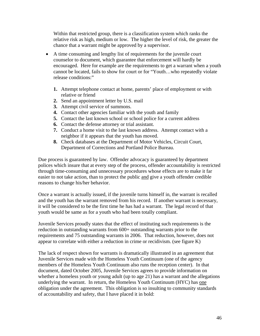Within that restricted group, there is a classification system which ranks the relative risk as high, medium or low. The higher the level of risk, the greater the chance that a warrant might be approved by a supervisor.

- A time consuming and lengthy list of requirements for the juvenile court counselor to document, which guarantee that enforcement will hardly be encouraged. Here for example are the requirements to get a warrant when a youth cannot be located, fails to show for court or for "Youth…who repeatedly violate release conditions:"
	- **1.** Attempt telephone contact at home, parents' place of employment or with relative or friend
	- **2.** Send an appointment letter by U.S. mail
	- **3.** Attempt civil service of summons.
	- **4.** Contact other agencies familiar with the youth and family
	- **5.** Contact the last known school or school police for a current address
	- **6.** Contact the defense attorney or trial assistant.
	- **7.** Conduct a home visit to the last known address. Attempt contact with a neighbor if it appears that the youth has moved.
	- **8.** Check databases at the Department of Motor Vehicles, Circuit Court, Department of Corrections and Portland Police Bureau.

Due process is guaranteed by law. Offender advocacy is guaranteed by department polices which insure that at every step of the process, offender accountability is restricted through time-consuming and unnecessary procedures whose effects are to make it far easier to not take action, than to protect the public and give a youth offender credible reasons to change his/her behavior.

Once a warrant is actually issued, if the juvenile turns himself in, the warrant is recalled and the youth has the warrant removed from his record. If another warrant is necessary, it will be considered to be the first time he has had a warrant. The legal record of that youth would be same as for a youth who had been totally compliant.

Juvenile Services proudly states that the effect of instituting such requirements is the reduction in outstanding warrants from 600+ outstanding warrants prior to the requirements and 75 outstanding warrants in 2006. That reduction, however, does not appear to correlate with either a reduction in crime or recidivism. (see figure K)

The lack of respect shown for warrants is dramatically illustrated in an agreement that Juvenile Services made with the Homeless Youth Continuum (one of the agency members of the Homeless Youth Continuum also runs the reception center). In that document, dated October 2005, Juvenile Services agrees to provide information on whether a homeless youth or young adult (up to age 21) has a warrant and the allegations underlying the warrant. In return, the Homeless Youth Continuum (HYC) has one obligation under the agreement. This obligation is so insulting to community standards of accountability and safety, that I have placed it in bold: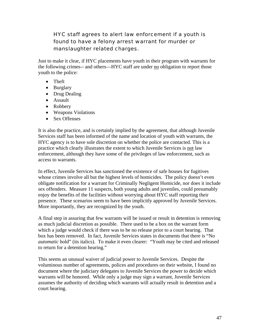## HYC staff agrees to alert law enforcement if a youth is found to have a felony arrest warrant for murder or manslaughter related charges.

Just to make it clear, if HYC placements have youth in their program with warrants for the following crimes-- and others—HYC staff are under no obligation to report those youth to the police:

- Theft
- Burglary
- Drug Dealing
- Assault
- Robbery
- Weapons Violations
- Sex Offenses

It is also the practice, and is certainly implied by the agreement, that although Juvenile Services staff has been informed of the name and location of youth with warrants, the HYC agency is to have sole discretion on whether the police are contacted. This is a practice which clearly illustrates the extent to which Juvenile Services is not law enforcement, although they have some of the privileges of law enforcement, such as access to warrants.

In effect, Juvenile Services has sanctioned the existence of safe houses for fugitives whose crimes involve all but the highest levels of homicides. The policy doesn't even obligate notification for a warrant for Criminally Negligent Homicide, nor does it include sex offenders. Measure 11 suspects, both young adults and juveniles, could presumably enjoy the benefits of the facilities without worrying about HYC staff reporting their presence. These scenarios seem to have been implicitly approved by Juvenile Services. More importantly, they are recognized by the youth.

A final step in assuring that few warrants will be issued or result in detention is removing as much judicial discretion as possible. There used to be a box on the warrant form which a judge would check if there was to be no release prior to a court hearing. That box has been removed. In fact, Juvenile Services states in documents that there is "No *automatic* hold" (its italics). To make it even clearer: "Youth may be cited and released to return for a detention hearing."

This seems an unusual waiver of judicial power to Juvenile Services. Despite the voluminous number of agreements, polices and procedures on their website, I found no document where the judiciary delegates to Juvenile Services the power to decide which warrants will be honored. While only a judge may sign a warrant, Juvenile Services assumes the authority of deciding which warrants will actually result in detention and a court hearing.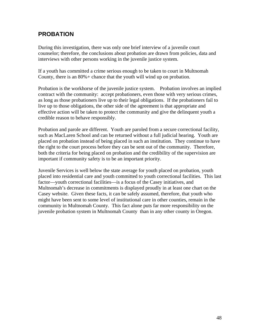## **PROBATION**

During this investigation, there was only one brief interview of a juvenile court counselor; therefore, the conclusions about probation are drawn from policies, data and interviews with other persons working in the juvenile justice system.

If a youth has committed a crime serious enough to be taken to court in Multnomah County, there is an 80%+ chance that the youth will wind up on probation.

Probation is the workhorse of the juvenile justice system. Probation involves an implied contract with the community: accept probationers, even those with very serious crimes, as long as those probationers live up to their legal obligations. If the probationers fail to live up to those obligations, the other side of the agreement is that appropriate and effective action will be taken to protect the community and give the delinquent youth a credible reason to behave responsibly.

Probation and parole are different. Youth are paroled from a secure correctional facility, such as MacLaren School and can be returned without a full judicial hearing. Youth are placed on probation instead of being placed in such an institution. They continue to have the right to the court process before they can be sent out of the community. Therefore, both the criteria for being placed on probation and the credibility of the supervision are important if community safety is to be an important priority.

Juvenile Services is well below the state average for youth placed on probation, youth placed into residential care and youth committed to youth correctional facilities. This last factor—youth correctional facilities—is a focus of the Casey initiatives, and Multnomah's decrease in commitments is displayed proudly in at least one chart on the Casey website. Given these facts, it can be safely assumed, therefore, that youth who might have been sent to some level of institutional care in other counties, remain in the community in Multnomah County. This fact alone puts far more responsibility on the juvenile probation system in Multnomah County than in any other county in Oregon.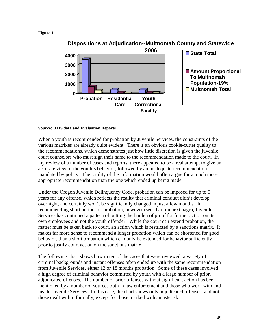#### **Figure J**



## **Dispositions at Adjudication--Multnomah County and Statewide**

#### **Source: JJIS data and Evaluation Reports**

When a youth is recommended for probation by Juvenile Services, the constraints of the various matrixes are already quite evident. There is an obvious cookie-cutter quality to the recommendations, which demonstrates just how little discretion is given the juvenile court counselors who must sign their name to the recommendation made to the court. In my review of a number of cases and reports, there appeared to be a real attempt to give an accurate view of the youth's behavior, followed by an inadequate recommendation mandated by policy. The totality of the information would often argue for a much more appropriate recommendation than the one which ended up being made.

Under the Oregon Juvenile Delinquency Code, probation can be imposed for up to 5 years for any offense, which reflects the reality that criminal conduct didn't develop overnight, and certainly won't be significantly changed in just a few months. In recommending short periods of probation, however (see chart on next page), Juvenile Services has continued a pattern of putting the burden of proof for further action on its own employees and not the youth offender. While the court can extend probation, the matter must be taken back to court, an action which is restricted by a sanctions matrix. It makes far more sense to recommend a longer probation which can be shortened for good behavior, than a short probation which can only be extended for behavior sufficiently poor to justify court action on the sanctions matrix.

The following chart shows how in ten of the cases that were reviewed, a variety of criminal backgrounds and instant offenses often ended up with the same recommendation from Juvenile Services, either 12 or 18 months probation. Some of these cases involved a high degree of criminal behavior committed by youth with a large number of prior, adjudicated offenses. The number of prior offenses without significant action has been mentioned by a number of sources both in law enforcement and those who work with and inside Juvenile Services. In this case, the chart shows only adjudicated offenses, and not those dealt with informally, except for those marked with an asterisk.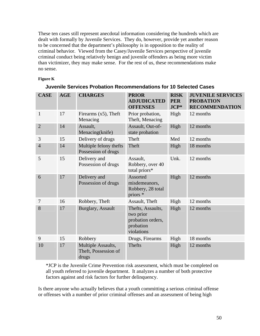These ten cases still represent anecdotal information considering the hundreds which are dealt with formally by Juvenile Services. They do, however, provide yet another reason to be concerned that the department's philosophy is in opposition to the reality of criminal behavior. Viewed from the Casey/Juvenile Services perspective of juvenile criminal conduct being relatively benign and juvenile offenders as being more victim than victimizer, they may make sense. For the rest of us, these recommendations make no sense.

#### **Figure K**

| <b>CASE</b>    | <b>AGE</b> | <b>CHARGES</b>                                      | <b>PRIOR</b><br><b>ADJUDICATED</b><br><b>OFFENSES</b>                          | <b>RISK</b><br><b>PER</b><br>$JCP*$ | <b>JUVENILE SERVICES</b><br><b>PROBATION</b><br><b>RECOMMENDATION</b> |
|----------------|------------|-----------------------------------------------------|--------------------------------------------------------------------------------|-------------------------------------|-----------------------------------------------------------------------|
| $\mathbf{1}$   | 17         | Firearms $(x5)$ , Theft<br>Menacing                 | Prior probation,<br>Theft, Menacing                                            | High                                | 12 months                                                             |
| $\overline{2}$ | 14         | Assault,<br>Menacing(knife)                         | Assault, Out-of-<br>state probation                                            | High                                | 12 months                                                             |
| 3              | 15         | Delivery of drugs                                   | Theft                                                                          | Med                                 | 12 months                                                             |
| $\overline{4}$ | 14         | Multiple felony thefts<br>Possession of drugs       | Theft                                                                          | High                                | 18 months                                                             |
| 5              | 15         | Delivery and<br>Possession of drugs                 | Assault,<br>Robbery, over 40<br>total priors*                                  | Unk.                                | 12 months                                                             |
| 6              | 17         | Delivery and<br>Possession of drugs                 | Assorted<br>misdemeanors,<br>Robbery, 28 total<br>priors *                     | High                                | 12 months                                                             |
| $\overline{7}$ | 16         | Robbery, Theft                                      | Assault, Theft                                                                 | High                                | 12 months                                                             |
| 8              | 17         | <b>Burglary, Assault</b>                            | Thefts, Assaults,<br>two prior<br>probation orders,<br>probation<br>violations | High                                | 12 months                                                             |
| 9              | 15         | Robbery                                             | Drugs, Firearms                                                                | High                                | 18 months                                                             |
| 10             | 17         | Multiple Assaults,<br>Theft, Possession of<br>drugs | <b>Thefts</b>                                                                  | High                                | 12 months                                                             |

#### **Juvenile Services Probation Recommendations for 10 Selected Cases**

\*JCP is the Juvenile Crime Prevention risk assessment, which must be completed on all youth referred to juvenile department. It analyzes a number of both protective factors against and risk factors for further delinquency.

Is there anyone who actually believes that a youth committing a serious criminal offense or offenses with a number of prior criminal offenses and an assessment of being high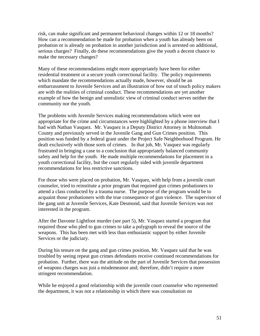risk, can make significant and permanent behavioral changes within 12 or 18 months? How can a recommendation be made for probation when a youth has already been on probation or is already on probation in another jurisdiction and is arrested on additional, serious charges? Finally, do these recommendations give the youth a decent chance to make the necessary changes?

Many of these recommendations might more appropriately have been for either residential treatment or a secure youth correctional facility. The policy requirements which mandate the recommendations actually made, however, should be an embarrassment to Juvenile Services and an illustration of how out of touch policy makers are with the realities of criminal conduct. These recommendations are yet another example of how the benign and unrealistic view of criminal conduct serves neither the community nor the youth.

The problems with Juvenile Services making recommendations which were not appropriate for the crime and circumstances were highlighted by a phone interview that I had with Nathan Vasquez. Mr. Vasquez is a Deputy District Attorney in Multnomah County and previously served in the Juvenile Gang and Gun Crimes position. This position was funded by a federal grant under the Project Safe Neighborhood Program. He dealt exclusively with those sorts of crimes. In that job, Mr. Vasquez was regularly frustrated in bringing a case to a conclusion that appropriately balanced community safety and help for the youth. He made multiple recommendations for placement in a youth correctional facility, but the court regularly sided with juvenile department recommendations for less restrictive sanctions.

For those who were placed on probation, Mr. Vasquez, with help from a juvenile court counselor, tried to reinstitute a prior program that required gun crimes probationers to attend a class conducted by a trauma nurse. The purpose of the program would be to acquaint those probationers with the true consequence of gun violence. The supervisor of the gang unit at Juvenile Services, Kate Desmond, said that Juvenile Services was not interested in the program.

After the Davonte Lightfoot murder (see part 5), Mr. Vasquez started a program that required those who pled to gun crimes to take a polygraph to reveal the source of the weapons. This has been met with less than enthusiastic support by either Juvenile Services or the judiciary.

During his tenure on the gang and gun crimes position, Mr. Vasquez said that he was troubled by seeing repeat gun crimes defendants receive continued recommendations for probation. Further, there was the attitude on the part of Juvenile Services that possession of weapons charges was just a misdemeanor and; therefore, didn't require a more stringent recommendation.

While he enjoyed a good relationship with the juvenile court counselor who represented the department, it was not a relationship in which there was consultation on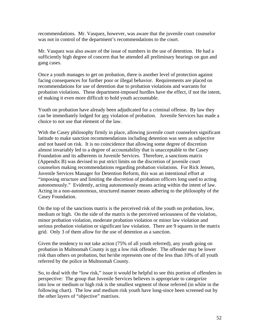recommendations. Mr. Vasquez, however, was aware that the juvenile court counselor was not in control of the department's recommendations to the court.

Mr. Vasquez was also aware of the issue of numbers in the use of detention. He had a sufficiently high degree of concern that he attended all preliminary hearings on gun and gang cases.

Once a youth manages to get on probation, there is another level of protection against facing consequences for further poor or illegal behavior. Requirements are placed on recommendations for use of detention due to probation violations and warrants for probation violations. These department-imposed hurdles have the effect, if not the intent, of making it even more difficult to hold youth accountable.

Youth on probation have already been adjudicated for a criminal offense. By law they can be immediately lodged for any violation of probation. Juvenile Services has made a choice to not use that element of the law.

With the Casey philosophy firmly in place, allowing juvenile court counselors significant latitude to make sanction recommendations including detention was seen as subjective and not based on risk. It is no coincidence that allowing some degree of discretion almost invariably led to a degree of accountability that is unacceptable to the Casey Foundation and its adherents in Juvenile Services. Therefore, a sanctions matrix (Appendix B) was devised to put strict limits on the discretion of juvenile court counselors making recommendations regarding probation violations. For Rick Jensen, Juvenile Services Manager for Detention Reform, this was an intentional effort at "imposing structure and limiting the discretion of probation officers long used to acting autonomously." Evidently, acting autonomously means acting within the intent of law. Acting in a non-autonomous, structured manner means adhering to the philosophy of the Casey Foundation.

On the top of the sanctions matrix is the perceived risk of the youth on probation, low, medium or high. On the side of the matrix is the perceived seriousness of the violation, minor probation violation, moderate probation violation or minor law violation and serious probation violation or significant law violation. There are 9 squares in the matrix grid. Only 3 of them allow for the use of detention as a sanction.

Given the tendency to not take action (75% of all youth referred), any youth going on probation in Multnomah County is not a low risk offender. The offender may be lower risk than others on probation, but he/she represents one of the less than 10% of all youth referred by the police in Multnomah County.

So, to deal with the "low risk," issue it would be helpful to see this portion of offenders in perspective: The group that Juvenile Services believes is appropriate to categorize into low or medium or high risk is the smallest segment of those referred (in white in the following chart). The low and medium risk youth have long-since been screened out by the other layers of "objective" matrixes.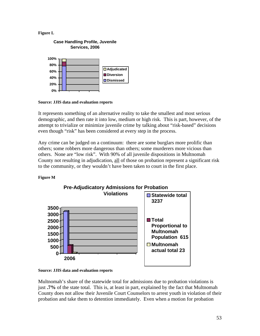#### **Figure L**



**Source: JJIS data and evaluation reports** 

It represents something of an alternative reality to take the smallest and most serious demographic, and then rate it into low, medium or high risk. This is part, however, of the attempt to trivialize or minimize juvenile crime by talking about "risk-based" decisions even though "risk" has been considered at every step in the process.

Any crime can be judged on a continuum: there are some burglars more prolific than others; some robbers more dangerous than others; some murderers more vicious than others. None are "low risk". With 90% of all juvenile dispositions in Multnomah County not resulting in adjudication, all of those on probation represent a significant risk to the community, or they wouldn't have been taken to court in the first place.

#### **Figure M**



## **Pre-Adjudicatory Admissions for Probation**

**Source: JJIS data and evaluation reports** 

Multnomah's share of the statewide total for admissions due to probation violations is just **.7%** of the state total. This is, at least in part, explained by the fact that Multnomah County does not allow their Juvenile Court Counselors to arrest youth in violation of their probation and take them to detention immediately. Even when a motion for probation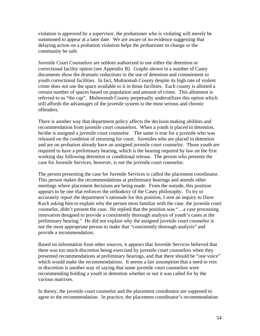violation is approved by a supervisor, the probationer who is violating will merely be summoned to appear at a later date. We are aware of no evidence suggesting that delaying action on a probation violation helps the probationer to change or the community be safe.

Juvenile Court Counselors are seldom authorized to use either the detention or correctional facility option (see Appendix B). Graphs shown in a number of Casey documents show the dramatic reductions in the use of detention and commitment to youth correctional facilities. In fact, Multnomah County despite its high rate of violent crime does not use the space available to it in those facilities. Each county is allotted a certain number of spaces based on population and amount of crime. This allotment is referred to as "the cap". Multnomah County perpetually underutilizes this option which still affords the advantages of the juvenile system to the most serious and chronic offenders.

There is another way that department policy affects the decision making abilities and recommendation from juvenile court counselors. When a youth is placed in detention, he/she is assigned a juvenile court counselor. The same is true for a juvenile who was released on the condition of returning for court. Juveniles who are placed in detention and are on probation already have an assigned juvenile court counselor. Those youth are required to have a preliminary hearing, which is the hearing required by law on the first working day following detention or conditional release. The person who presents the case for Juvenile Services, however, is not the juvenile court counselor.

The person presenting the case for Juvenile Services is called the placement coordinator. This person makes the recommendations at preliminary hearings and attends other meetings where placement decisions are being made. From the outside, this position appears to be one that enforces the orthodoxy of the Casey philosophy. To try to accurately report the department's rationale for this position, I sent an inquiry to Dave Koch asking him to explain why the person most familiar with the case, the juvenile court counselor, didn't present the case. He replied that the position was "…a case processing innovation designed to provide a consistently thorough analysis of youth's cases at the preliminary hearing." He did not explain why the assigned juvenile court counselor is not the most appropriate person to make that "consistently thorough analysis" and provide a recommendation.

Based on information from other sources, it appears that Juvenile Services believed that there was too much discretion being exercised by juvenile court counselors when they presented recommendations at preliminary hearings, and that there should be "one voice" which would make the recommendations. It seems a fair assumption that a need to rein in discretion is another way of saying that some juvenile court counselors were recommending holding a youth in detention whether or not it was called for by the various matrixes.

In theory, the juvenile court counselor and the placement coordinator are supposed to agree to the recommendation. In practice, the placement coordinator's recommendation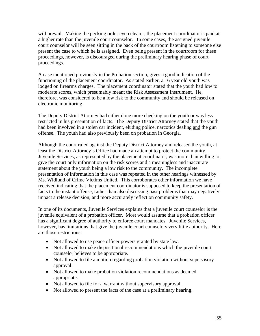will prevail. Making the pecking order even clearer, the placement coordinator is paid at a higher rate than the juvenile court counselor. In some cases, the assigned juvenile court counselor will be seen sitting in the back of the courtroom listening to someone else present the case to which he is assigned. Even being present in the courtroom for these proceedings, however, is discouraged during the preliminary hearing phase of court proceedings.

A case mentioned previously in the Probation section, gives a good indication of the functioning of the placement coordinator. As stated earlier, a 16 year old youth was lodged on firearms charges. The placement coordinator stated that the youth had low to moderate scores, which presumably meant the Risk Assessment Instrument. He, therefore, was considered to be a low risk to the community and should be released on electronic monitoring.

The Deputy District Attorney had either done more checking on the youth or was less restricted in his presentation of facts. The Deputy District Attorney stated that the youth had been involved in a stolen car incident, eluding police, narcotics dealing and the gun offense. The youth had also previously been on probation in Georgia.

Although the court ruled against the Deputy District Attorney and released the youth, at least the District Attorney's Office had made an attempt to protect the community. Juvenile Services, as represented by the placement coordinator, was more than willing to give the court only information on the risk scores and a meaningless and inaccurate statement about the youth being a low risk to the community. The incomplete presentation of information in this case was repeated in the other hearings witnessed by Ms. Widlund of Crime Victims United. This corroborates other information we have received indicating that the placement coordinator is supposed to keep the presentation of facts to the instant offense, rather than also discussing past problems that may negatively impact a release decision, and more accurately reflect on community safety.

In one of its documents, Juvenile Services explains that a juvenile court counselor is the juvenile equivalent of a probation officer. Most would assume that a probation officer has a significant degree of authority to enforce court mandates. Juvenile Services, however, has limitations that give the juvenile court counselors very little authority. Here are those restrictions:

- Not allowed to use peace officer powers granted by state law.
- Not allowed to make dispositional recommendations which the juvenile court counselor believes to be appropriate.
- Not allowed to file a motion regarding probation violation without supervisory approval.
- Not allowed to make probation violation recommendations as deemed appropriate.
- Not allowed to file for a warrant without supervisory approval.
- Not allowed to present the facts of the case at a preliminary hearing.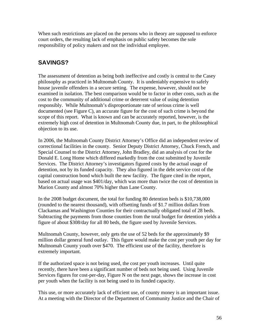When such restrictions are placed on the persons who in theory are supposed to enforce court orders, the resulting lack of emphasis on public safety becomes the sole responsibility of policy makers and not the individual employee.

# **SAVINGS?**

The assessment of detention as being both ineffective and costly is central to the Casey philosophy as practiced in Multnomah County. It is undeniably expensive to safely house juvenile offenders in a secure setting. The expense, however, should not be examined in isolation. The best comparison would be to factor in other costs, such as the cost to the community of additional crime or deterrent value of using detention responsibly. While Multnomah's disproportionate rate of serious crime is well documented (see Figure C), an accurate figure for the cost of such crime is beyond the scope of this report. What is known and can be accurately reported, however, is the extremely high cost of detention in Multnomah County due, in part, to the philosophical objection to its use.

In 2006, the Multnomah County District Attorney's Office did an independent review of correctional facilities in the county. Senior Deputy District Attorney, Chuck French, and Special Counsel to the District Attorney, John Bradley, did an analysis of cost for the Donald E. Long Home which differed markedly from the cost submitted by Juvenile Services. The District Attorney's investigators figured costs by the actual usage of detention, not by its funded capacity. They also figured in the debt service cost of the capital construction bond which built the new facility. The figure cited in the report, based on actual usage was \$401/day, which was more than twice the cost of detention in Marion County and almost 70% higher than Lane County.

In the 2008 budget document, the total for funding 80 detention beds is \$10,738,000 (rounded to the nearest thousand), with offsetting funds of \$1.7 million dollars from Clackamas and Washington Counties for their contractually obligated total of 28 beds. Subtracting the payments from those counties from the total budget for detention yields a figure of about \$308/day for all 80 beds, the figure used by Juvenile Services.

Multnomah County, however, only gets the use of 52 beds for the approximately \$9 million dollar general fund outlay. This figure would make the cost per youth per day for Multnomah County youth over \$470. The efficient use of the facility, therefore is extremely important.

If the authorized space is not being used, the cost per youth increases. Until quite recently, there have been a significant number of beds not being used. Using Juvenile Services figures for cost-per-day, Figure N on the next page, shows the increase in cost per youth when the facility is not being used to its funded capacity.

This use, or more accurately lack of efficient use, of county money is an important issue. At a meeting with the Director of the Department of Community Justice and the Chair of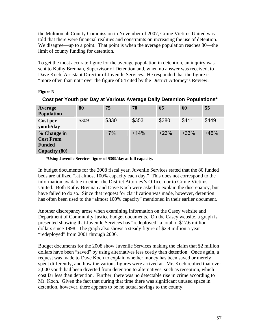the Multnomah County Commission in November of 2007, Crime Victims United was told that there were financial realities and constraints on increasing the use of detention. We disagree—up to a point. That point is when the average population reaches 80—the limit of county funding for detention.

To get the most accurate figure for the average population in detention, an inquiry was sent to Kathy Brennan, Supervisor of Detention and, when no answer was received, to Dave Koch, Assistant Director of Juvenile Services. He responded that the figure is "more often than not" over the figure of 64 cited by the District Attorney's Review.

#### **Figure N**

| Average<br><b>Population</b>                                      | 80    | 75    | 70     | 65     | 60     | 55     |
|-------------------------------------------------------------------|-------|-------|--------|--------|--------|--------|
| Cost per<br>youth/day                                             | \$309 | \$330 | \$353  | \$380  | \$411  | \$449  |
| % Change in<br><b>Cost From</b><br><b>Funded</b><br>Capacity (80) |       | $+7%$ | $+14%$ | $+23%$ | $+33%$ | $+45%$ |

## **Cost per Youth per Day at Various Average Daily Detention Populations\***

**\*Using Juvenile Services figure of \$309/day at full capacity.** 

In budget documents for the 2008 fiscal year, Juvenile Services stated that the 80 funded beds are utilized ".at almost 100% capacity each day." This does not correspond to the information available to either the District Attorney's Office, nor to Crime Victims United. Both Kathy Brennan and Dave Koch were asked to explain the discrepancy, but have failed to do so. Since that request for clarification was made, however, detention has often been used to the "almost 100% capacity" mentioned in their earlier document.

Another discrepancy arose when examining information on the Casey website and Department of Community Justice budget documents. On the Casey website, a graph is presented showing that Juvenile Services has "redeployed" a total of \$17.6 million dollars since 1998. The graph also shows a steady figure of \$2.4 million a year "redeployed" from 2001 through 2006.

Budget documents for the 2008 show Juvenile Services making the claim that \$2 million dollars have been "saved" by using alternatives less costly than detention. Once again, a request was made to Dave Koch to explain whether money has been saved or merely spent differently, and how the various figures were arrived at. Mr. Koch replied that over 2,000 youth had been diverted from detention to alternatives, such as reception, which cost far less than detention. Further, there was no detectable rise in crime according to Mr. Koch. Given the fact that during that time there was significant unused space in detention, however, there appears to be no actual savings to the county.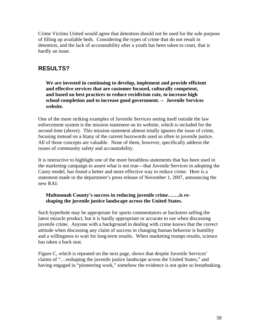Crime Victims United would agree that detention should not be used for the sole purpose of filling up available beds. Considering the types of crime that do not result in detention, and the lack of accountability after a youth has been taken to court, that is hardly an issue.

# **RESULTS?**

**We are invested in continuing to develop, implement and provide efficient and effective services that are customer focused, culturally competent, and based on best practices to reduce recidivism rate, to increase high school completion and to increase good government. -- Juvenile Services website.** 

One of the more striking examples of Juvenile Services seeing itself outside the law enforcement system is the mission statement on its website, which is included for the second time (above). This mission statement almost totally ignores the issue of crime, focusing instead on a litany of the current buzzwords used so often in juvenile justice. All of those concepts are valuable. None of them, however, specifically address the issues of community safety and accountability.

It is instructive to highlight one of the more breathless statements that has been used in the marketing campaign to assert what is not true—that Juvenile Services in adopting the Casey model, has found a better and more effective way to reduce crime. Here is a statement made in the department's press release of November 1, 2007, announcing the new RAI:

#### **Multnomah County's success in reducing juvenile crime…….is reshaping the juvenile justice landscape across the United States.**

Such hyperbole may be appropriate for sports commentators or hucksters selling the latest miracle product, but it is hardly appropriate or accurate to use when discussing juvenile crime. Anyone with a background in dealing with crime knows that the correct attitude when discussing any claim of success in changing human behavior is humility and a willingness to wait for long-term results. When marketing trumps results, science has taken a back seat.

Figure C, which is repeated on the next page, shows that despite Juvenile Services' claims of "…reshaping the juvenile justice landscape across the United States," and having engaged in "pioneering work," somehow the evidence is not quite so breathtaking.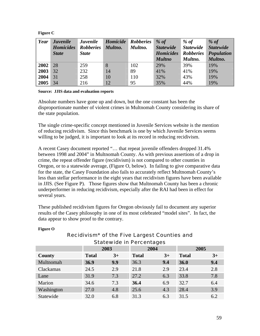#### **Figure C**

| Year | <b>Juvenile</b>  | <b>Juvenile</b>  | <b>Homicide</b> | <b>Robberies</b> | % of             | $%$ of           | % $of$           |
|------|------------------|------------------|-----------------|------------------|------------------|------------------|------------------|
|      | <b>Homicides</b> | <b>Robberies</b> | Multno.         | Multno.          | <b>Statewide</b> | <b>Statewide</b> | <b>Statewide</b> |
|      | <b>State</b>     | <b>State</b>     |                 |                  | <b>Homicides</b> | <b>Robberies</b> | Population       |
|      |                  |                  |                 |                  | <b>Multno</b>    | Multno.          | Multno.          |
| 2002 | 28               | 259              | 8               | 102              | 29%              | 39%              | 19%              |
| 2003 | 32               | 232              | 14              | 89               | 41%              | 41%              | 19%              |
| 2004 | 31               | 258              | 10              | 110              | 32%              | 43%              | 19%              |
| 2005 | 34               | 216              | <sup>12</sup>   | 95               | 35%              | 44%              | 19%              |

#### **Source: JJIS data and evaluation reports**

Absolute numbers have gone up and down, but the one constant has been the disproportionate number of violent crimes in Multnomah County considering its share of the state population.

The single crime-specific concept mentioned in Juvenile Services website is the mention of reducing recidivism. Since this benchmark is one by which Juvenile Services seems willing to be judged, it is important to look at its record in reducing recidivism.

A recent Casey document reported "… that repeat juvenile offenders dropped 31.4% between 1998 and 2004" in Multnomah County. As with previous assertions of a drop in crime, the repeat offender figure (recidivism) is not compared to other counties in Oregon, or to a statewide average, (Figure O, below). In failing to give comparative data for the state, the Casey Foundation also fails to accurately reflect Multnomah County's less than stellar performance in the eight years that recidivism figures have been available in JJIS. (See Figure P). Those figures show that Multnomah County has been a chronic underperformer in reducing recidivism, especially after the RAI had been in effect for several years.

These published recidivism figures for Oregon obviously fail to document any superior results of the Casey philosophy in one of its most celebrated "model sites". In fact, the data appear to show proof to the contrary.

| <b>Statewide in Percentages</b> |              |      |              |      |              |      |  |  |  |
|---------------------------------|--------------|------|--------------|------|--------------|------|--|--|--|
|                                 | 2003         |      | 2004         |      | 2005         |      |  |  |  |
| County                          | <b>Total</b> | $3+$ | <b>Total</b> | $3+$ | <b>Total</b> | $3+$ |  |  |  |
| Multnomah                       | 36.9         | 9.9  | 36.3         | 9.4  | 36.0         | 9.4  |  |  |  |
| Clackamas                       | 24.5         | 2.9  | 21.8         | 2.9  | 23.4         | 2.8  |  |  |  |
| Lane                            | 31.9         | 7.3  | 27.2         | 6.3  | 33.8         | 7.8  |  |  |  |
| Marion                          | 34.6         | 7.3  | 36.4         | 6.9  | 32.7         | 6.4  |  |  |  |
| Washington                      | 27.0         | 4.8  | 25.6         | 4.3  | 28.4         | 3.9  |  |  |  |
| Statewide                       | 32.0         | 6.8  | 31.3         | 6.3  | 31.5         | 6.2  |  |  |  |

#### **Figure O**

# Recidivism\* of the Five Largest Counties and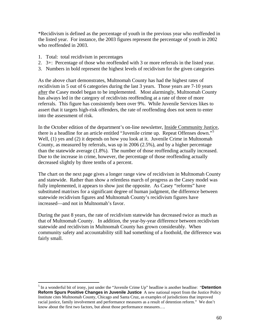\*Recidivism is defined as the percentage of youth in the previous year who reoffended in the listed year. For instance, the 2003 figures represent the percentage of youth in 2002 who reoffended in 2003.

1. Total: total recidivism in percentages

 $\overline{a}$ 

- 2. 3+: Percentage of those who reoffended with 3 or more referrals in the listed year.
- 3. Numbers in bold represent the highest levels of recidivism for the given categories

As the above chart demonstrates, Multnomah County has had the highest rates of recidivism in 5 out of 6 categories during the last 3 years. Those years are 7-10 years after the Casey model began to be implemented. Most alarmingly, Multnomah County has always led in the category of recidivists reoffending at a rate of three of more referrals. This figure has consistently been over 9%. While Juvenile Services likes to assert that it targets high-risk offenders, the rate of reoffending does not seem to enter into the assessment of risk.

In the October edition of the department's on-line newsletter, Inside Community Justice, there is a headline for an article entitled "Juvenile crime up. Repeat Offenses down."<sup>[5](#page-60-0)</sup> Well, (1) yes and (2) it depends on how you look at it. Juvenile Crime in Multnomah County, as measured by referrals, was up in 2006 (2.5%), and by a higher percentage than the statewide average (1.8%). The number of those reoffending actually increased. Due to the increase in crime, however, the percentage of those reoffending actually decreased slightly by three tenths of a percent.

The chart on the next page gives a longer range view of recidivism in Multnomah County and statewide. Rather than show a relentless march of progress as the Casey model was fully implemented, it appears to show just the opposite. As Casey "reforms" have substituted matrixes for a significant degree of human judgment, the difference between statewide recidivism figures and Multnomah County's recidivism figures have increased—and not in Multnomah's favor.

During the past 8 years, the rate of recidivism statewide has decreased twice as much as that of Multnomah County. In addition, the year-by-year difference between recidivism statewide and recidivism in Multnomah County has grown considerably. When community safety and accountability still had something of a foothold, the difference was fairly small.

<span id="page-60-0"></span><sup>&</sup>lt;sup>5</sup> In a wonderful bit of irony, just under the "Juvenile Crime Up" headline is another headline: "**Detention Reform Spurs Positive Changes in Juvenile Justice** A new national report from the Justice Policy Institute cites Multnomah County, Chicago and Santa Cruz, as examples of jurisdictions that improved racial justice, family involvement and performance measures as a result of detention reform." We don't know about the first two factors, but about those performance measures….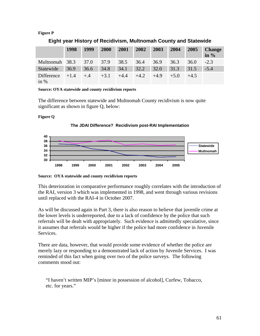#### **Figure P**

|                | 1998   | 1999  | 2000   | 2001   | 2002   | 2003   | 2004   | 2005   | <b>Change</b><br>in $%$ |
|----------------|--------|-------|--------|--------|--------|--------|--------|--------|-------------------------|
| Multnomah 38.3 |        | 37.0  | 37.9   | 38.5   | 36.4   | 36.9   | 36.3   | 36.0   | $-2.3$                  |
| Statewide      | 36.9   | 36.6  | 34.8   | 34.1   | 32.2   | 32.0   | 31.3   | 31.5   | $-5.4$                  |
| Difference     | $+1.4$ | $+.4$ | $+3.1$ | $+4.4$ | $+4.2$ | $+4.9$ | $+5.0$ | $+4.5$ |                         |
| in $%$         |        |       |        |        |        |        |        |        |                         |

#### **Eight year History of Recidivism, Multnomah County and Statewide**

**Source: OYA statewide and county recidivism reports** 

The difference between statewide and Multnomah County recidivism is now quite significant as shown in figure Q, below:

#### **Figure Q**





**Source: OYA statewide and county recidivism reports** 

This deterioration in comparative performance roughly correlates with the introduction of the RAI, version 3 which was implemented in 1998, and went through various revisions until replaced with the RAI-4 in October 2007.

As will be discussed again in Part 3, there is also reason to believe that juvenile crime at the lower levels is underreported, due to a lack of confidence by the police that such referrals will be dealt with appropriately. Such evidence is admittedly speculative, since it assumes that referrals would be higher if the police had more confidence in Juvenile Services.

There are data, however, that would provide some evidence of whether the police are merely lazy or responding to a demonstrated lack of action by Juvenile Services. I was reminded of this fact when going over two of the police surveys. The following comments stood out:

"I haven't written MIP's [minor in possession of alcohol], Curfew, Tobacco, etc. for years."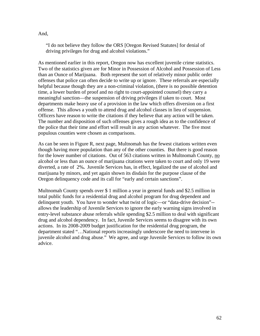#### And,

"I do not believe they follow the ORS [Oregon Revised Statutes] for denial of driving privileges for drug and alcohol violations."

As mentioned earlier in this report, Oregon now has excellent juvenile crime statistics. Two of the statistics given are for Minor in Possession of Alcohol and Possession of Less than an Ounce of Marijuana. Both represent the sort of relatively minor public order offenses that police can often decide to write up or ignore. These referrals are especially helpful because though they are a non-criminal violation, (there is no possible detention time, a lower burden of proof and no right to court-appointed counsel) they carry a meaningful sanction—the suspension of driving privileges if taken to court. Most departments make heavy use of a provision in the law which offers diversion on a first offense. This allows a youth to attend drug and alcohol classes in lieu of suspension. Officers have reason to write the citations if they believe that any action will be taken. The number and disposition of such offenses gives a rough idea as to the confidence of the police that their time and effort will result in any action whatever. The five most populous counties were chosen as comparisons.

As can be seen in Figure R, next page, Multnomah has the fewest citations written even though having more population than any of the other counties. But there is good reason for the lower number of citations. Out of 563 citations written in Multnomah County, no alcohol or less than an ounce of marijuana citations were taken to court and only 19 were diverted, a rate of 2%**.** Juvenile Services has, in effect, legalized the use of alcohol and marijuana by minors, and yet again shown its disdain for the purpose clause of the Oregon delinquency code and its call for "early and certain sanctions".

Multnomah County spends over \$ 1 million a year in general funds and \$2.5 million in total public funds for a residential drug and alcohol program for drug dependent and delinquent youth. You have to wonder what twist of logic—or "data-drive decision"- allows the leadership of Juvenile Services to ignore the early warning signs involved in entry-level substance abuse referrals while spending \$2.5 million to deal with significant drug and alcohol dependency. In fact, Juvenile Services seems to disagree with its own actions. In its 2008-2009 budget justification for the residential drug program, the department stated "…National reports increasingly underscore the need to intervene in juvenile alcohol and drug abuse." We agree, and urge Juvenile Services to follow its own advice.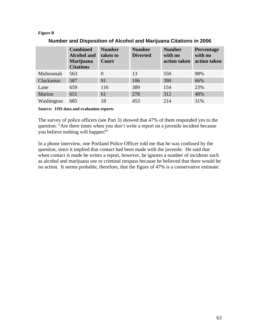#### **Figure R**

|            | <b>Combined</b><br><b>Alcohol</b> and<br><b>Marijuana</b><br><b>Citations</b> | <b>Number</b><br>taken to<br><b>Court</b> | <b>Number</b><br><b>Diverted</b> | <b>Number</b><br>with no<br>action taken | Percentage<br>with no<br>action taken |
|------------|-------------------------------------------------------------------------------|-------------------------------------------|----------------------------------|------------------------------------------|---------------------------------------|
| Multnomah  | 563                                                                           | $\Omega$                                  | 13                               | 550                                      | 98%                                   |
| Clackamas  | 587                                                                           | 91                                        | 106                              | 390                                      | 66%                                   |
| Lane       | 659                                                                           | 116                                       | 389                              | 154                                      | 23%                                   |
| Marion     | 651                                                                           | 61                                        | 278                              | 312                                      | 48%                                   |
| Washington | 685                                                                           | 18                                        | 453                              | 214                                      | 31%                                   |

#### **Number and Disposition of Alcohol and Marijuana Citations in 2006**

**Source: JJIS data and evaluation reports** 

The survey of police officers (see Part 3) showed that 47% of them responded yes to the question: "Are there times when you don't write a report on a juvenile incident because you believe nothing will happen?"

In a phone interview, one Portland Police Officer told me that he was confused by the question, since it implied that contact had been made with the juvenile. He said that when contact is made he writes a report, however, he ignores a number of incidents such as alcohol and marijuana use or criminal trespass because he believed that there would be no action. It seems probable, therefore, that the figure of 47% is a conservative estimate.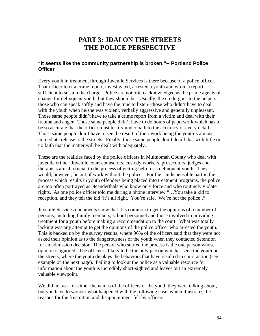# **PART 3: JDAI ON THE STREETS THE POLICE PERSPECTIVE**

#### **"It seems like the community partnership is broken."-- Portland Police Officer**

Every youth in treatment through Juvenile Services is there because of a police officer. That officer took a crime report, investigated, arrested a youth and wrote a report sufficient to sustain the charge. Police are not often acknowledged as the prime agents of change for delinquent youth, but they should be. Usually, the credit goes to the helpers- those who can speak softly and have the time to listen--those who didn't have to deal with the youth when he/she was violent, verbally aggressive and generally unpleasant. Those same people didn't have to take a crime report from a victim and deal with their trauma and anger. Those same people didn't have to do hours of paperwork which has to be so accurate that the officer must testify under oath to the accuracy of every detail. Those same people don't have to see the result of their work being the youth's almost immediate release to the streets. Finally, those same people don't do all that with little or no faith that the matter will be dealt with adequately.

These are the realities faced by the police officers in Multnomah County who deal with juvenile crime. Juvenile court counselors, custody workers, prosecutors, judges and therapists are all crucial to the process of getting help for a delinquent youth. They would, however, be out of work without the police. For their indispensable part in the process which results in youth offenders being placed into treatment programs, the police are too often portrayed as Neanderthals who know only force and who routinely violate rights. As one police officer told me during a phone interview "…You take a kid to reception, and they tell the kid 'it's all right. You're safe. We're not the police'."

Juvenile Services documents show that it is common to get the opinions of a number of persons, including family members, school personnel and those involved in providing treatment for a youth before making a recommendation to the court. What was totally lacking was any attempt to get the opinions of the police officer who arrested the youth. This is backed up by the survey results, where 96% of the officers said that they were not asked their opinion as to the dangerousness of the youth when they contacted detention for an admission decision. The person who started the process is the one person whose opinion is ignored. The officer is likely to be the only person who has seen the youth on the streets, where the youth displays the behaviors that have resulted in court action (see example on the next page). Failing to look at the police as a valuable resource for information about the youth is incredibly short-sighted and leaves out an extremely valuable viewpoint.

We did not ask for either the names of the officers or the youth they were talking about, but you have to wonder what happened with the following case, which illustrates the reasons for the frustration and disappointment felt by officers: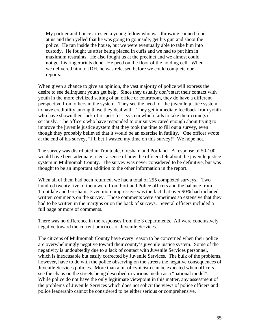My partner and I once arrested a young fellow who was throwing canned food at us and then yelled that he was going to go inside, get his gun and shoot the police. He ran inside the house, but we were eventually able to take him into custody. He fought us after being placed in cuffs and we had to put him in maximum restraints. He also fought us at the precinct and we almost could not get his fingerprints done. He peed on the floor of the holding cell. When we delivered him to JDH, he was released before we could complete our reports.

When given a chance to give an opinion, the vast majority of police will express the desire to see delinquent youth get help. Since they usually don't start their contact with youth in the more civilized setting of an office or courtroom, they do have a different perspective from others in the system. They see the need for the juvenile justice system to have credibility among those they deal with. They get immediate feedback from youth who have shown their lack of respect for a system which fails to take their crime(s) seriously. The officers who have responded to our survey cared enough about trying to improve the juvenile justice system that they took the time to fill out a survey, even though they probably believed that it would be an exercise in futility. One officer wrote at the end of his survey, "I'll bet I wasted my time on this survey!" We hope not.

The survey was distributed in Troutdale, Gresham and Portland. A response of 50-100 would have been adequate to get a sense of how the officers felt about the juvenile justice system in Multnomah County. The survey was never considered to be definitive, but was thought to be an important addition to the other information in the report.

When all of them had been returned, we had a total of 255 completed surveys. Two hundred twenty five of them were from Portland Police officers and the balance from Troutdale and Gresham. Even more impressive was the fact that over 90% had included written comments on the survey. Those comments were sometimes so extensive that they had to be written in the margins or on the back of surveys. Several officers included a full page or more of comments.

There was no difference in the responses from the 3 departments. All were conclusively negative toward the current practices of Juvenile Services.

The citizens of Multnomah County have every reason to be concerned when their police are overwhelmingly negative toward their county's juvenile justice system. Some of the negativity is undoubtedly due to a lack of contact with Juvenile Services personnel, which is inexcusable but easily corrected by Juvenile Services. The bulk of the problems, however, have to do with the police observing on the streets the negative consequences of Juvenile Services policies. More than a bit of cynicism can be expected when officers see the chaos on the streets being described in various media as a "national model". While police do not have the only legitimate viewpoint in this matter, any assessment of the problems of Juvenile Services which does not solicit the views of police officers and police leadership cannot be considered to be either serious or comprehensive.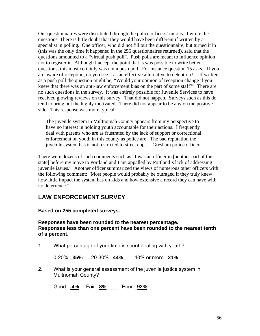Our questionnaires were distributed through the police officers' unions. I wrote the questions. There is little doubt that they would have been different if written by a specialist in polling. One officer, who did not fill out the questionnaire, but turned it in (this was the only time it happened in the 256 questionnaires returned), said that the questions amounted to a "virtual push poll". Push polls are meant to influence opinion not to register it. Although I accept the point that is was possible to write better questions, this most certainly was not a push poll. For instance question 15 asks, "If you are aware of reception, do you see it as an effective alternative to detention?" If written as a push poll the question might be, "Would your opinion of reception change if you knew that there was an anti-law enforcement bias on the part of some staff?" There are no such questions in the survey. It was entirely possible for Juvenile Services to have received glowing reviews on this survey. That did not happen. Surveys such as this do tend to bring out the highly motivated. There did not appear to be any on the positive side. This response was more typical:

The juvenile system in Multnomah County appears from my perspective to have no interest in holding youth accountable for their actions. I frequently deal with parents who are as frustrated by the lack of support or correctional enforcement on youth in this county as police are. The bad reputation the juvenile system has is not restricted to street cops. --Gresham police officer.

There were dozens of such comments such as "I was an officer in [another part of the state] before my move to Portland and I am appalled by Portland's lack of addressing juvenile issues." Another officer summarized the views of numerous other officers with the following comment: "Most people would probably be outraged if they truly knew how little impact the system has on kids and how extensive a record they can have with no deterrence."

## **LAW ENFORCEMENT SURVEY**

**Based on 255 completed surveys.** 

**Responses have been rounded to the nearest percentage. Responses less than one percent have been rounded to the nearest tenth of a percent.** 

1. What percentage of your time is spent dealing with youth?

0-20% **\_35%**\_ 20-30% \_**44%\_**\_ 40% or more \_**21%**\_\_\_

2. What is your general assessment of the juvenile justice system in Multnomah County?

Good **\_.4%** Fair \_**8%**\_\_\_\_ Poor \_**92%**\_\_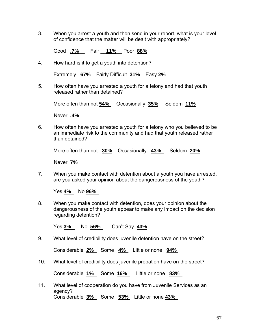3. When you arrest a youth and then send in your report, what is your level of confidence that the matter will be dealt with appropriately?

Good **\_.7%**\_\_ Fair \_\_**11%**\_\_ Poor **88%**

4. How hard is it to get a youth into detention?

Extremely \_**67%** Fairly Difficult **31%** Easy **2%**

5. How often have you arrested a youth for a felony and had that youth released rather than detained?

More often than not **54%** Occasionally **35%** Seldom **11%** 

Never **.4%** 

6. How often have you arrested a youth for a felony who you believed to be an immediate risk to the community and had that youth released rather than detained?

More often than not **30%** Occasionally **43%** Seldom **20%**

Never **7%** 

7. When you make contact with detention about a youth you have arrested, are you asked your opinion about the dangerousness of the youth?

Yes **4%** No **96%** 

8. When you make contact with detention, does your opinion about the dangerousness of the youth appear to make any impact on the decision regarding detention?

Yes **3%** No **56%** Can't Say **43%**

9. What level of credibility does juvenile detention have on the street?

Considerable **2%** Some **4%** Little or none **94%** 

10. What level of credibility does juvenile probation have on the street?

Considerable **1%** Some **16%** Little or none **83%** 

11. What level of cooperation do you have from Juvenile Services as an agency? Considerable **3%** Some **53%** Little or none **43%**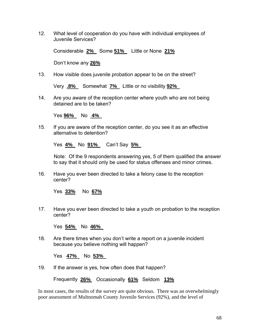12. What level of cooperation do you have with individual employees of Juvenile Services?

Considerable **2%** Some **51%** Little or None **21%** 

Don't know any **26%**

13. How visible does juvenile probation appear to be on the street?

Very **.8%** Somewhat **7%** Little or no visibility **92%** 

14. Are you aware of the reception center where youth who are not being detained are to be taken?

Yes **96%** No **4%** 

15. If you are aware of the reception center, do you see it as an effective alternative to detention?

Yes **4%** No **91%** Can't Say **5%** 

Note: Of the 9 respondents answering yes, 5 of them qualified the answer to say that it should only be used for status offenses and minor crimes.

16. Have you ever been directed to take a felony case to the reception center?

Yes **33%** No **67%**

17. Have you ever been directed to take a youth on probation to the reception center?

Yes **54%** No **46%** 

18. Are there times when you don't write a report on a juvenile incident because you believe nothing will happen?

Yes **47%** No **53%** 

19. If the answer is yes, how often does that happen?

Frequently **26%** Occasionally **61%** Seldom **13%**

In most cases, the results of the survey are quite obvious. There was an overwhelmingly poor assessment of Multnomah County Juvenile Services (92%), and the level of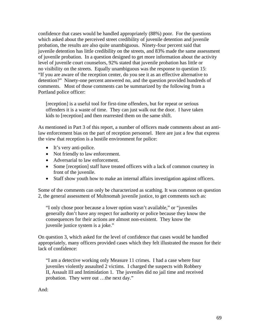confidence that cases would be handled appropriately (88%) poor. For the questions which asked about the perceived street credibility of juvenile detention and juvenile probation, the results are also quite unambiguous. Ninety-four percent said that juvenile detention has little credibility on the streets, and 83% made the same assessment of juvenile probation. In a question designed to get more information about the activity level of juvenile court counselors, 92% stated that juvenile probation has little or no visibility on the streets. Equally unambiguous was the response to question 15: "If you are aware of the reception center, do you see it as an effective alternative to detention?" Ninety-one percent answered no, and the question provided hundreds of comments. Most of those comments can be summarized by the following from a Portland police officer:

[reception] is a useful tool for first-time offenders, but for repeat or serious offenders it is a waste of time. They can just walk out the door. I have taken kids to [reception] and then rearrested them on the same shift.

As mentioned in Part 3 of this report, a number of officers made comments about an antilaw enforcement bias on the part of reception personnel. Here are just a few that express the view that reception is a hostile environment for police:

- It's very anti-police.
- Not friendly to law enforcement.
- Adversarial to law enforcement.
- Some [reception] staff have treated officers with a lack of common courtesy in front of the juvenile.
- Staff show youth how to make an internal affairs investigation against officers.

Some of the comments can only be characterized as scathing. It was common on question 2, the general assessment of Multnomah juvenile justice, to get comments such as:

"I only chose poor because a lower option wasn't available," or "juveniles generally don't have any respect for authority or police because they know the consequences for their actions are almost non-existent. They know the juvenile justice system is a joke."

On question 3, which asked for the level of confidence that cases would be handled appropriately, many officers provided cases which they felt illustrated the reason for their lack of confidence:

"I am a detective working only Measure 11 crimes. I had a case where four juveniles violently assaulted 2 victims. I charged the suspects with Robbery II, Assault III and Intimidation 1. The juveniles did no jail time and received probation. They were out …the next day."

And: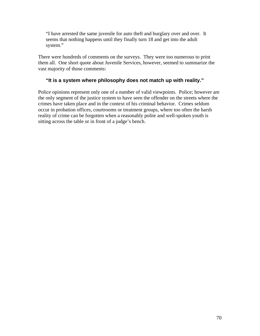"I have arrested the same juvenile for auto theft and burglary over and over. It seems that nothing happens until they finally turn 18 and get into the adult system."

There were hundreds of comments on the surveys. They were too numerous to print them all. One short quote about Juvenile Services, however, seemed to summarize the vast majority of those comments:

## **"It is a system where philosophy does not match up with reality."**

Police opinions represent only one of a number of valid viewpoints. Police; however are the only segment of the justice system to have seen the offender on the streets where the crimes have taken place and in the context of his criminal behavior. Crimes seldom occur in probation offices, courtrooms or treatment groups, where too often the harsh reality of crime can be forgotten when a reasonably polite and well-spoken youth is sitting across the table or in front of a judge's bench.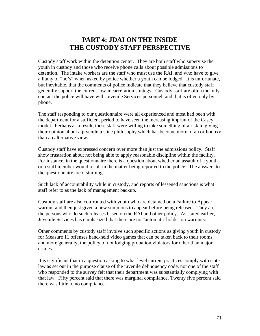# **PART 4: JDAI ON THE INSIDE THE CUSTODY STAFF PERSPECTIVE**

Custody staff work within the detention center. They are both staff who supervise the youth in custody and those who receive phone calls about possible admissions to detention. The intake workers are the staff who must use the RAI, and who have to give a litany of "no's" when asked by police whether a youth can be lodged. It is unfortunate, but inevitable, that the comments of police indicate that they believe that custody staff generally support the current low-incarceration strategy. Custody staff are often the only contact the police will have with Juvenile Services personnel, and that is often only by phone.

The staff responding to our questionnaire were all experienced and most had been with the department for a sufficient period to have seen the increasing imprint of the Casey model. Perhaps as a result, these staff were willing to take something of a risk in giving their opinion about a juvenile justice philosophy which has become more of an orthodoxy than an alternative view.

Custody staff have expressed concern over more than just the admissions policy. Staff show frustration about not being able to apply reasonable discipline within the facility. For instance, in the questionnaire there is a question about whether an assault of a youth or a staff member would result in the matter being reported to the police. The answers to the questionnaire are disturbing.

Such lack of accountability while in custody, and reports of lessened sanctions is what staff refer to as the lack of management backup.

Custody staff are also confronted with youth who are detained on a Failure to Appear warrant and then just given a new summons to appear before being released. They are the persons who do such releases based on the RAI and other policy. As stated earlier, Juvenile Services has emphasized that there are no "automatic holds" on warrants.

Other comments by custody staff involve such specific actions as giving youth in custody for Measure 11 offenses hand-held video games that can be taken back to their rooms, and more generally, the policy of not lodging probation violators for other than major crimes.

It is significant that in a question asking to what level current practices comply with state law as set out in the purpose clause of the juvenile delinquency code, not one of the staff who responded to the survey felt that their department was substantially complying with that law. Fifty percent said that there was marginal compliance. Twenty five percent said there was little to no compliance.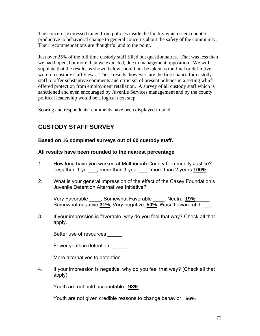The concerns expressed range from policies inside the facility which seem counterproductive to behavioral change to general concerns about the safety of the community. Their recommendations are thoughtful and to the point.

Just over 25% of the full time custody staff filled out questionnaires. That was less than we had hoped, but more than we expected, due to management opposition. We will stipulate that the results as shown below should not be taken as the final or definitive word on custody staff views. These results, however, are the first chance for custody staff to offer substantive comments and criticism of present policies in a setting which offered protection from employment retaliation. A survey of all custody staff which is sanctioned and even encouraged by Juvenile Services management and by the county political leadership would be a logical next step.

Scoring and respondents' comments have been displayed in bold.

### **CUSTODY STAFF SURVEY**

#### **Based on 16 completed surveys out of 60 custody staff.**

#### **All results have been rounded to the nearest percentage**

- 1. How long have you worked at Multnomah County Community Justice? Less than 1 yr. \_\_\_, more than 1 year \_\_\_, more than 2 years **100%**
- 2. What is your general impression of the effect of the Casey Foundation's Juvenile Detention Alternatives Initiative?

 Very Favorable \_\_\_\_, Somewhat Favorable \_\_\_\_, Neutral **19%**\_\_\_\_\_ Somewhat negative **31%**, Very negative\_**50%** Wasn't aware of it \_\_\_

3. If your impression is favorable, why do you feel that way? Check all that apply.

Better use of resources

Fewer youth in detention

More alternatives to detention **wave** 

4. If your impression is negative, why do you feel that way? (Check all that apply)

Youth are not held accountable \_**93%**\_\_

Youth are not given credible reasons to change behavior \_**56%**\_\_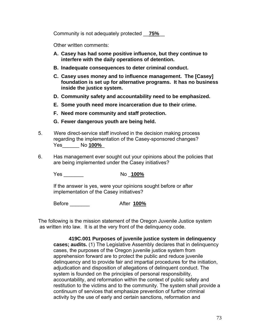Community is not adequately protected \_\_**75%**\_\_

Other written comments:

- **A. Casey has had some positive influence, but they continue to interfere with the daily operations of detention.**
- **B. Inadequate consequences to deter criminal conduct.**
- **C. Casey uses money and to influence management. The [Casey] foundation is set up for alternative programs. It has no business inside the justice system.**
- **D. Community safety and accountability need to be emphasized.**
- **E. Some youth need more incarceration due to their crime.**
- **F. Need more community and staff protection.**
- **G. Fewer dangerous youth are being held.**
- 5. Were direct-service staff involved in the decision making process regarding the implementation of the Casey-sponsored changes? Yes\_\_\_\_\_\_ No **100%**\_
- 6. Has management ever sought out your opinions about the policies that are being implemented under the Casey initiatives?

Yes \_\_\_\_\_\_\_ No \_**100%**

 If the answer is yes, were your opinions sought before or after implementation of the Casey initiatives?

Before \_\_\_\_\_\_\_ After **100%**

The following is the mission statement of the Oregon Juvenile Justice system as written into law. It is at the very front of the delinquency code.

**419C.001 Purposes of juvenile justice system in delinquency cases; audits.** (1) The Legislative Assembly declares that in delinquency cases, the purposes of the Oregon juvenile justice system from apprehension forward are to protect the public and reduce juvenile delinquency and to provide fair and impartial procedures for the initiation, adjudication and disposition of allegations of delinquent conduct. The system is founded on the principles of personal responsibility, accountability, and reformation within the context of public safety and restitution to the victims and to the community. The system shall provide a continuum of services that emphasize prevention of further criminal activity by the use of early and certain sanctions, reformation and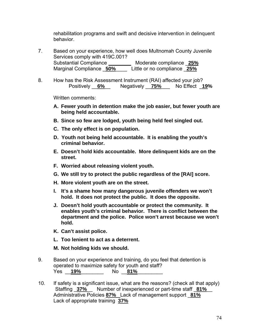rehabilitation programs and swift and decisive intervention in delinquent behavior.

- 7. Based on your experience, how well does Multnomah County Juvenile Services comply with 419C.001? Substantial Compliance **\_\_\_\_\_\_\_\_** Moderate compliance \_**25%** Marginal Compliance \_**50%**\_\_\_\_ Little or no compliance \_**25%**
- 8. How has the Risk Assessment Instrument (RAI) affected your job? Positively \_\_**6%**\_\_ Negatively \_\_**75%**\_\_\_ No Effect \_**19%**

Written comments:

- **A. Fewer youth in detention make the job easier, but fewer youth are being held accountable.**
- **B. Since so few are lodged, youth being held feel singled out.**
- **C. The only effect is on population.**
- **D. Youth not being held accountable. It is enabling the youth's criminal behavior.**
- **E. Doesn't hold kids accountable. More delinquent kids are on the street.**
- **F. Worried about releasing violent youth.**
- **G. We still try to protect the public regardless of the [RAI] score.**
- **H. More violent youth are on the street.**
- **I. It's a shame how many dangerous juvenile offenders we won't hold. It does not protect the public. It does the opposite.**
- **J. Doesn't hold youth accountable or protect the community. It enables youth's criminal behavior. There is conflict between the department and the police. Police won't arrest because we won't hold.**
- **K. Can't assist police.**
- **L. Too lenient to act as a deterrent.**
- **M. Not holding kids we should.**
- 9. Based on your experience and training, do you feel that detention is operated to maximize safety for youth and staff? Yes \_\_**19%**\_\_\_\_\_\_\_\_ No \_\_**81%**\_\_\_\_\_\_\_\_\_
- 10. If safety is a significant issue, what are the reasons? (check all that apply) Staffing  $\frac{37\%}{81\%}$  Number of inexperienced or part-time staff  $\frac{81\%}{81\%}$ Administrative Policies **87%** Lack of management support \_**81%** Lack of appropriate training **37%**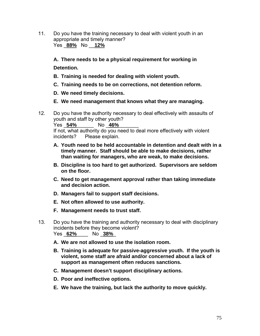11. Do you have the training necessary to deal with violent youth in an appropriate and timely manner? Yes \_**88%** No \_\_**12%**

**A. There needs to be a physical requirement for working in** 

**Detention.** 

- **B. Training is needed for dealing with violent youth.**
- **C. Training needs to be on corrections, not detention reform.**
- **D. We need timely decisions.**
- **E. We need management that knows what they are managing.**
- 12. Do you have the authority necessary to deal effectively with assaults of youth and staff by other youth? Yes \_**54%**\_\_\_\_\_\_ No \_**46%**\_\_\_\_\_\_\_

 If not, what authority do you need to deal more effectively with violent incidents? Please explain.

- **A. Youth need to be held accountable in detention and dealt with in a timely manner. Staff should be able to make decisions, rather than waiting for managers, who are weak, to make decisions.**
- **B. Discipline is too hard to get authorized. Supervisors are seldom on the floor.**
- **C. Need to get management approval rather than taking immediate and decision action.**
- **D. Managers fail to support staff decisions.**
- **E. Not often allowed to use authority.**
- **F. Management needs to trust staff.**
- 13. Do you have the training and authority necessary to deal with disciplinary incidents before they become violent? Yes \_**62%**\_\_\_\_ No \_**38%**\_
	- **A. We are not allowed to use the isolation room.**
	- **B. Training is adequate for passive-aggressive youth. If the youth is violent, some staff are afraid and/or concerned about a lack of support as management often reduces sanctions.**
	- **C. Management doesn't support disciplinary actions.**
	- **D. Poor and ineffective options.**
	- **E. We have the training, but lack the authority to move quickly.**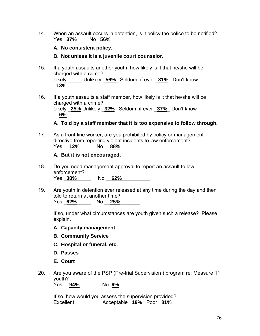14. When an assault occurs in detention, is it policy the police to be notified? Yes \_**37%**\_\_\_ No \_**56%**

#### **A. No consistent policy.**

#### **B. Not unless it is a juvenile court counselor.**

- 15. If a youth assaults another youth, how likely is it that he/she will be charged with a crime? Likely \_\_\_\_\_ Unlikely \_**56%**\_ Seldom, if ever \_**31%** Don't know \_**13%**\_\_\_\_
- 16. If a youth assaults a staff member, how likely is it that he/she will be charged with a crime? Likely \_**25%** Unlikely \_**32%** Seldom, if ever \_**37%**\_ Don't know \_\_**6%**\_\_\_\_\_

#### **A. Told by a staff member that it is too expensive to follow through.**

17. As a front-line worker, are you prohibited by policy or management directive from reporting violent incidents to law enforcement? Yes  $12\%$  No  $88\%$ 

#### **A. But it is not encouraged.**

- 18. Do you need management approval to report an assault to law enforcement? Yes \_**38%**\_\_\_\_\_ No \_\_**62%**\_\_\_\_\_\_\_\_\_\_
- 19. Are youth in detention ever released at any time during the day and then told to return at another time? Yes \_**62%**\_\_\_\_\_ No \_\_**25%**\_\_\_\_\_\_\_

 If so, under what circumstances are youth given such a release? Please explain.

**A. Capacity management** 

- **B. Community Service**
- **C. Hospital or funeral, etc.**
- **D. Passes**
- **E. Court**
- 20. Are you aware of the PSP (Pre-trial Supervision ) program re: Measure 11 youth? Yes \_\_**94%**\_\_\_\_\_\_ No\_**6%**\_\_

 If so, how would you assess the supervision provided? Excellent \_\_\_\_\_\_\_ Acceptable \_**19%** Poor \_**81%**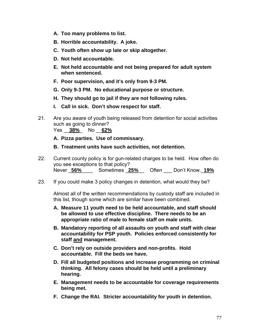- **A. Too many problems to list.**
- **B. Horrible accountability. A joke.**
- **C. Youth often show up late or skip altogether.**
- **D. Not held accountable.**
- **E. Not held accountable and not being prepared for adult system when sentenced.**
- **F. Poor supervision, and it's only from 9-3 PM.**
- **G. Only 9-3 PM. No educational purpose or structure.**
- **H. They should go to jail if they are not following rules.**
- **I. Call in sick. Don't show respect for staff.**
- 21. Are you aware of youth being released from detention for social activities such as going to dinner? Yes \_\_**38%**\_ No \_\_**62%**

**A. Pizza parties. Use of commissary.** 

**B. Treatment units have such activities, not detention.** 

- 22. Current county policy is for gun-related charges to be held. How often do you see exceptions to that policy? Never \_**56%**\_\_\_\_ Sometimes \_**25%**\_\_ Often \_\_\_ Don't Know.\_**19%**
- 23. If you could make 3 policy changes in detention, what would they be?

 Almost all of the written recommendations by custody staff are included in this list, though some which are similar have been combined.

- **A. Measure 11 youth need to be held accountable, and staff should be allowed to use effective discipline. There needs to be an appropriate ratio of male to female staff on male units.**
- **B. Mandatory reporting of all assaults on youth and staff with clear accountability for PSP youth. Policies enforced consistently for staff and management.**
- **C. Don't rely on outside providers and non-profits. Hold accountable. Fill the beds we have.**
- **D. Fill all budgeted positions and increase programming on criminal thinking. All felony cases should be held until a preliminary hearing.**
- **E. Management needs to be accountable for coverage requirements being met.**
- **F. Change the RAI. Stricter accountability for youth in detention.**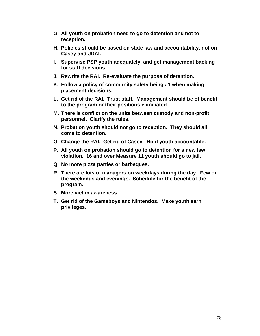- **G. All youth on probation need to go to detention and not to reception.**
- **H. Policies should be based on state law and accountability, not on Casey and JDAI.**
- **I. Supervise PSP youth adequately, and get management backing for staff decisions.**
- **J. Rewrite the RAI. Re-evaluate the purpose of detention.**
- **K. Follow a policy of community safety being #1 when making placement decisions.**
- **L. Get rid of the RAI. Trust staff. Management should be of benefit to the program or their positions eliminated.**
- **M. There is conflict on the units between custody and non-profit personnel. Clarify the rules.**
- **N. Probation youth should not go to reception. They should all come to detention.**
- **O. Change the RAI. Get rid of Casey. Hold youth accountable.**
- **P. All youth on probation should go to detention for a new law violation. 16 and over Measure 11 youth should go to jail.**
- **Q. No more pizza parties or barbeques.**
- **R. There are lots of managers on weekdays during the day. Few on the weekends and evenings. Schedule for the benefit of the program.**
- **S. More victim awareness.**
- **T. Get rid of the Gameboys and Nintendos. Make youth earn privileges.**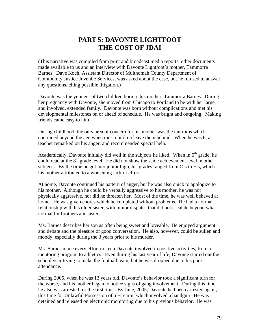## **PART 5: DAVONTE LIGHTFOOT THE COST OF JDAI**

(This narrative was compiled from print and broadcast media reports, other documents made available to us and an interview with Davonte Lightfoot's mother, Tammorra Barnes. Dave Koch, Assistant Director of Multnomah County Department of Community Justice Juvenile Services, was asked about the case, but he refused to answer any questions, citing possible litigation.)

Davonte was the younger of two children born to his mother, Tammorra Barnes. During her pregnancy with Davonte, she moved from Chicago to Portland to be with her large and involved, extended family. Davonte was born without complications and met his developmental milestones on or ahead of schedule. He was bright and outgoing. Making friends came easy to him.

During childhood, the only area of concern for his mother was the tantrums which continued beyond the age when most children leave them behind. When he was 6, a teacher remarked on his anger, and recommended special help.

Academically, Davonte initially did well in the subjects he liked. When in  $5<sup>th</sup>$  grade, he could read at the  $8<sup>th</sup>$  grade level. He did not show the same achievement level in other subjects. By the time he got into junior high, his grades ranged from C's to F's, which his mother attributed to a worsening lack of effort.

At home, Davonte continued his pattern of anger, but he was also quick to apologize to his mother. Although he could be verbally aggressive to his mother, he was not physically aggressive, nor did he threaten her. Most of the time, he was well behaved at home. He was given chores which he completed without problems. He had a normal relationship with his older sister, with minor disputes that did not escalate beyond what is normal for brothers and sisters.

Ms. Barnes describes her son as often being sweet and loveable. He enjoyed argument and debate and the pleasure of good conversation. He also, however, could be sullen and moody, especially during the 3 years prior to his murder.

Ms. Barnes made every effort to keep Davonte involved in positive activities, from a mentoring program to athletics. Even during his last year of life, Davonte started out the school year trying to make the football team, but he was dropped due to his poor attendance.

During 2005, when he was 13 years old, Davonte's behavior took a significant turn for the worse, and his mother began to notice signs of gang involvement. During this time, he also was arrested for the first time. By June, 2005, Davonte had been arrested again, this time for Unlawful Possession of a Firearm, which involved a handgun He was detained and released on electronic monitoring due to his previous behavior. He was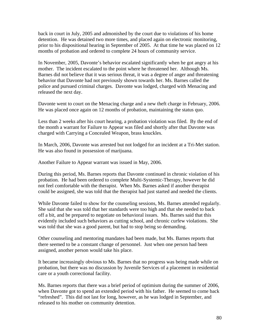back in court in July, 2005 and admonished by the court due to violations of his home detention. He was detained two more times, and placed again on electronic monitoring, prior to his dispositional hearing in September of 2005. At that time he was placed on 12 months of probation and ordered to complete 24 hours of community service.

In November, 2005, Davonte's behavior escalated significantly when he got angry at his mother. The incident escalated to the point where he threatened her. Although Ms. Barnes did not believe that it was serious threat, it was a degree of anger and threatening behavior that Davonte had not previously shown towards her. Ms. Barnes called the police and pursued criminal charges. Davonte was lodged, charged with Menacing and released the next day.

Davonte went to court on the Menacing charge and a new theft charge in February, 2006. He was placed once again on 12 months of probation, maintaining the status quo.

Less than 2 weeks after his court hearing, a probation violation was filed. By the end of the month a warrant for Failure to Appear was filed and shortly after that Davonte was charged with Carrying a Concealed Weapon, brass knuckles.

In March, 2006, Davonte was arrested but not lodged for an incident at a Tri-Met station. He was also found in possession of marijuana.

Another Failure to Appear warrant was issued in May, 2006.

During this period, Ms. Barnes reports that Davonte continued in chronic violation of his probation. He had been ordered to complete Multi-Systemic-Therapy, however he did not feel comfortable with the therapist. When Ms. Barnes asked if another therapist could be assigned, she was told that the therapist had just started and needed the clients.

While Davonte failed to show for the counseling sessions, Ms. Barnes attended regularly. She said that she was told that her standards were too high and that she needed to back off a bit, and be prepared to negotiate on behavioral issues. Ms. Barnes said that this evidently included such behaviors as cutting school, and chronic curfew violations. She was told that she was a good parent, but had to stop being so demanding.

Other counseling and mentoring mandates had been made, but Ms. Barnes reports that there seemed to be a constant change of personnel. Just when one person had been assigned, another person would take his place.

It became increasingly obvious to Ms. Barnes that no progress was being made while on probation, but there was no discussion by Juvenile Services of a placement in residential care or a youth correctional facility.

Ms. Barnes reports that there was a brief period of optimism during the summer of 2006, when Davonte got to spend an extended period with his father. He seemed to come back "refreshed". This did not last for long, however, as he was lodged in September, and released to his mother on community detention.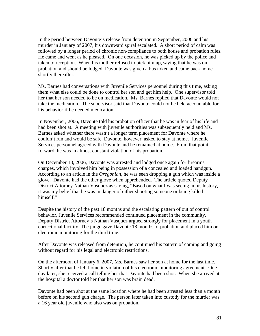In the period between Davonte's release from detention in September, 2006 and his murder in January of 2007, his downward spiral escalated. A short period of calm was followed by a longer period of chronic non-compliance to both house and probation rules. He came and went as he pleased. On one occasion, he was picked up by the police and taken to reception. When his mother refused to pick him up, saying that he was on probation and should be lodged, Davonte was given a bus token and came back home shortly thereafter.

Ms. Barnes had conversations with Juvenile Services personnel during this time, asking them what else could be done to control her son and get him help. One supervisor told her that her son needed to be on medication. Ms. Barnes replied that Davonte would not take the medication. The supervisor said that Davonte could not be held accountable for his behavior if he needed medication.

In November, 2006, Davonte told his probation officer that he was in fear of his life and had been shot at. A meeting with juvenile authorities was subsequently held and Ms. Barnes asked whether there wasn't a longer term placement for Davonte where he couldn't run and would be safe. Davonte, however, asked to stay at home. Juvenile Services personnel agreed with Davonte and he remained at home. From that point forward, he was in almost constant violation of his probation.

On December 13, 2006, Davonte was arrested and lodged once again for firearms charges, which involved him being in possession of a concealed and loaded handgun. According to an article in the *Oregonian,* he was seen dropping a gun which was inside a glove. Davonte had the other glove when apprehended. The article quoted Deputy District Attorney Nathan Vasquez as saying, "Based on what I was seeing in his history, it was my belief that he was in danger of either shooting someone or being killed himself."

Despite the history of the past 18 months and the escalating pattern of out of control behavior, Juvenile Services recommended continued placement in the community. Deputy District Attorney's Nathan Vasquez argued strongly for placement in a youth correctional facility. The judge gave Davonte 18 months of probation and placed him on electronic monitoring for the third time.

After Davonte was released from detention, he continued his pattern of coming and going without regard for his legal and electronic restrictions.

On the afternoon of January 6, 2007, Ms. Barnes saw her son at home for the last time. Shortly after that he left home in violation of his electronic monitoring agreement. One day later, she received a call telling her that Davonte had been shot. When she arrived at the hospital a doctor told her that her son was brain dead.

Davonte had been shot at the same location where he had been arrested less than a month before on his second gun charge. The person later taken into custody for the murder was a 16 year old juvenile who also was on probation.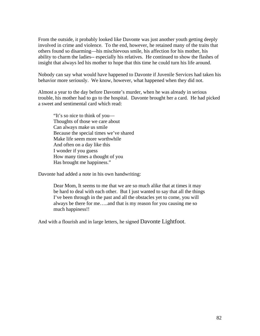From the outside, it probably looked like Davonte was just another youth getting deeply involved in crime and violence. To the end, however, he retained many of the traits that others found so disarming—his mischievous smile, his affection for his mother, his ability to charm the ladies-- especially his relatives. He continued to show the flashes of insight that always led his mother to hope that this time he could turn his life around.

Nobody can say what would have happened to Davonte if Juvenile Services had taken his behavior more seriously. We know, however, what happened when they did not.

Almost a year to the day before Davonte's murder, when he was already in serious trouble, his mother had to go to the hospital. Davonte brought her a card. He had picked a sweet and sentimental card which read:

 "It's so nice to think of you— Thoughts of those we care about Can always make us smile Because the special times we've shared Make life seem more worthwhile And often on a day like this I wonder if you guess How many times a thought of you Has brought me happiness."

Davonte had added a note in his own handwriting:

Dear Mom, It seems to me that we are so much alike that at times it may be hard to deal with each other. But I just wanted to say that all the things I've been through in the past and all the obstacles yet to come, you will always be there for me…..and that is my reason for you causing me so much happiness!!

And with a flourish and in large letters, he signed Davonte Lightfoot.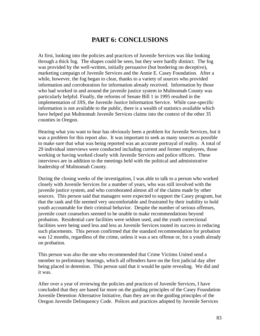### **PART 6: CONCLUSIONS**

At first, looking into the policies and practices of Juvenile Services was like looking through a thick fog. The shapes could be seen, but they were hardly distinct. The fog was provided by the well-written, initially persuasive (but bordering on deceptive), marketing campaign of Juvenile Services and the Annie E. Casey Foundation. After a while, however, the fog began to clear, thanks to a variety of sources who provided information and corroboration for information already received. Information by those who had worked in and around the juvenile justice system in Multnomah County was particularly helpful. Finally, the reforms of Senate Bill 1 in 1995 resulted in the implementation of JJIS, the Juvenile Justice Information Service. While case-specific information is not available to the public, there is a wealth of statistics available which have helped put Multnomah Juvenile Services claims into the context of the other 35 counties in Oregon.

Hearing what you want to hear has obviously been a problem for Juvenile Services, but it was a problem for this report also. It was important to seek as many sources as possible to make sure that what was being reported was an accurate portrayal of reality. A total of 29 individual interviews were conducted including current and former employees, those working or having worked closely with Juvenile Services and police officers. These interviews are in addition to the meetings held with the political and administrative leadership of Multnomah County.

During the closing weeks of the investigation, I was able to talk to a person who worked closely with Juvenile Services for a number of years, who was still involved with the juvenile justice system, and who corroborated almost all of the claims made by other sources. This person said that managers were expected to support the Casey program, but that the rank and file seemed very uncomfortable and frustrated by their inability to hold youth accountable for their criminal behavior. Despite the number of serious offenses, juvenile court counselors seemed to be unable to make recommendations beyond probation. Residential care facilities were seldom used, and the youth correctional facilities were being used less and less as Juvenile Services touted its success in reducing such placements. This person confirmed that the standard recommendation for probation was 12 months, regardless of the crime, unless it was a sex offense or, for a youth already on probation.

This person was also the one who recommended that Crime Victims United send a member to preliminary hearings, which all offenders have on the first judicial day after being placed in detention. This person said that it would be quite revealing. We did and it was.

After over a year of reviewing the policies and practices of Juvenile Services, I have concluded that they are based far more on the guiding principles of the Casey Foundation Juvenile Detention Alternative Initiative, than they are on the guiding principles of the Oregon Juvenile Delinquency Code. Polices and practices adopted by Juvenile Services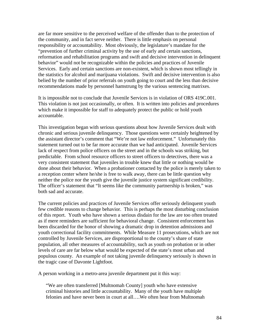are far more sensitive to the perceived welfare of the offender than to the protection of the community, and in fact serve neither. There is little emphasis on personal responsibility or accountability. Most obviously, the legislature's mandate for the "prevention of further criminal activity by the use of early and certain sanctions, reformation and rehabilitation programs and swift and decisive intervention in delinquent behavior" would not be recognizable within the policies and practices of Juvenile Services. Early and certain sanctions are non-existent, which is shown most tellingly in the statistics for alcohol and marijuana violations. Swift and decisive intervention is also belied by the number of prior referrals on youth going to court and the less than decisive recommendations made by personnel hamstrung by the various sentencing matrixes.

It is impossible not to conclude that Juvenile Services is in violation of ORS 419C.001. This violation is not just occasionally, or often. It is written into policies and procedures which make it impossible for staff to adequately protect the public or hold youth accountable.

This investigation began with serious questions about how Juvenile Services dealt with chronic and serious juvenile delinquency. Those questions were certainly heightened by the assistant director's comment that "We're not law enforcement." Unfortunately this statement turned out to be far more accurate than we had anticipated. Juvenile Services lack of respect from police officers on the street and in the schools was striking, but predictable. From school resource officers to street officers to detectives, there was a very consistent statement that juveniles in trouble knew that little or nothing would be done about their behavior. When a probationer contacted by the police is merely taken to a reception center where he/she is free to walk away, there can be little question why neither the police nor the youth give the juvenile justice system significant credibility. The officer's statement that "It seems like the community partnership is broken," was both sad and accurate.

The current policies and practices of Juvenile Services offer seriously delinquent youth few credible reasons to change behavior. This is perhaps the most disturbing conclusion of this report. Youth who have shown a serious disdain for the law are too often treated as if mere reminders are sufficient for behavioral change. Consistent enforcement has been discarded for the honor of showing a dramatic drop in detention admissions and youth correctional facility commitments. While Measure 11 prosecutions, which are not controlled by Juvenile Services, are disproportional to the county's share of state population, all other measures of accountability, such as youth on probation or in other levels of care are far below what would be expected of the state's most urban and populous county. An example of not taking juvenile delinquency seriously is shown in the tragic case of Davonte Lightfoot.

A person working in a metro-area juvenile department put it this way:

"We are often transferred [Multnomah County] youth who have extensive criminal histories and little accountability. Many of the youth have multiple felonies and have never been in court at all….We often hear from Multnomah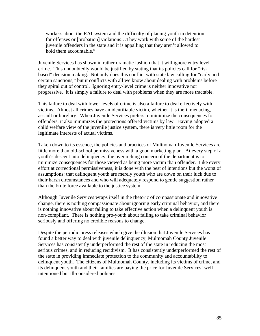workers about the RAI system and the difficulty of placing youth in detention for offenses or [probation] violations…They work with some of the hardest juvenile offenders in the state and it is appalling that they aren't allowed to hold them accountable."

Juvenile Services has shown in rather dramatic fashion that it will ignore entry level crime. This undoubtedly would be justified by stating that its policies call for "risk based" decision making. Not only does this conflict with state law calling for "early and certain sanctions," but it conflicts with all we know about dealing with problems before they spiral out of control. Ignoring entry-level crime is neither innovative nor progressive. It is simply a failure to deal with problems when they are more tractable.

This failure to deal with lower levels of crime is also a failure to deal effectively with victims. Almost all crimes have an identifiable victim, whether it is theft, menacing, assault or burglary. When Juvenile Services prefers to minimize the consequences for offenders, it also minimizes the protections offered victims by law. Having adopted a child welfare view of the juvenile justice system, there is very little room for the legitimate interests of actual victims.

Taken down to its essence, the policies and practices of Multnomah Juvenile Services are little more than old-school permissiveness with a good marketing plan. At every step of a youth's descent into delinquency, the overarching concern of the department is to minimize consequences for those viewed as being more victim than offender. Like every effort at correctional permissiveness, it is done with the best of intentions but the worst of assumptions: that delinquent youth are merely youth who are down on their luck due to their harsh circumstances and who will adequately respond to gentle suggestion rather than the brute force available to the justice system.

Although Juvenile Services wraps itself in the rhetoric of compassionate and innovative change, there is nothing compassionate about ignoring early criminal behavior, and there is nothing innovative about failing to take effective action when a delinquent youth is non-compliant. There is nothing pro-youth about failing to take criminal behavior seriously and offering no credible reasons to change.

Despite the periodic press releases which give the illusion that Juvenile Services has found a better way to deal with juvenile delinquency, Multnomah County Juvenile Services has consistently underperformed the rest of the state in reducing the most serious crimes, and in reducing recidivism. It has consistently underperformed the rest of the state in providing immediate protection to the community and accountability to delinquent youth. The citizens of Multnomah County, including its victims of crime, and its delinquent youth and their families are paying the price for Juvenile Services' wellintentioned but ill-considered policies.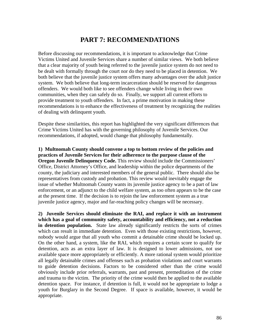### **PART 7: RECOMMENDATIONS**

Before discussing our recommendations, it is important to acknowledge that Crime Victims United and Juvenile Services share a number of similar views. We both believe that a clear majority of youth being referred to the juvenile justice system do not need to be dealt with formally through the court nor do they need to be placed in detention. We both believe that the juvenile justice system offers many advantages over the adult justice system. We both believe that long-term incarceration should be reserved for dangerous offenders. We would both like to see offenders change while living in their own communities, when they can safely do so. Finally, we support all current efforts to provide treatment to youth offenders. In fact, a prime motivation in making these recommendations is to enhance the effectiveness of treatment by recognizing the realities of dealing with delinquent youth.

Despite these similarities, this report has highlighted the very significant differences that Crime Victims United has with the governing philosophy of Juvenile Services. Our recommendations, if adopted, would change that philosophy fundamentally.

**1) Multnomah County should convene a top to bottom review of the policies and practices of Juvenile Services for their adherence to the purpose clause of the Oregon Juvenile Delinquency Code.** This review should include the Commissioners' Office, District Attorney's Office, and leadership within the police departments of the county, the judiciary and interested members of the general public. There should also be representatives from custody and probation. This review would inevitably engage the issue of whether Multnomah County wants its juvenile justice agency to be a part of law enforcement, or an adjunct to the child welfare system, as too often appears to be the case at the present time. If the decision is to rejoin the law enforcement system as a true juvenile justice agency, major and far-reaching policy changes will be necessary.

**2) Juvenile Services should eliminate the RAI, and replace it with an instrument which has a goal of community safety, accountability and efficiency, not a reduction in detention population.** State law already significantly restricts the sorts of crimes which can result in immediate detention. Even with those existing restrictions, however, nobody would argue that all youth who commit a detainable crime should be locked up. On the other hand, a system, like the RAI, which requires a certain score to qualify for detention, acts as an extra layer of law. It is designed to lower admissions, not use available space more appropriately or efficiently. A more rational system would prioritize all legally detainable crimes and offenses such as probation violations and court warrants to guide detention decisions. Factors to be considered other than the crime would obviously include prior referrals, warrants, past and present, premeditation of the crime and trauma to the victim. The priority of the crime would then be applied to the available detention space. For instance, if detention is full, it would not be appropriate to lodge a youth for Burglary in the Second Degree. If space is available, however, it would be appropriate.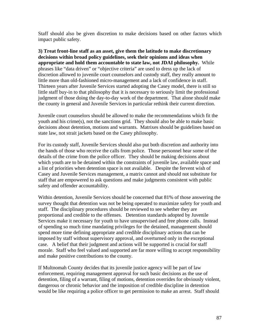Staff should also be given discretion to make decisions based on other factors which impact public safety.

**3) Treat front-line staff as an asset, give them the latitude to make discretionary decisions within broad policy guidelines, seek their opinions and ideas when appropriate and hold them accountable to state law, not JDAI philosophy.** While phrases like "data driven" or "objective criteria" are used to dress up the lack of discretion allowed to juvenile court counselors and custody staff, they really amount to little more than old-fashioned micro-management and a lack of confidence in staff. Thirteen years after Juvenile Services started adopting the Casey model, there is still so little staff buy-in to that philosophy that it is necessary to seriously limit the professional judgment of those doing the day-to-day work of the department. That alone should make the county in general and Juvenile Services in particular rethink their current direction.

Juvenile court counselors should be allowed to make the recommendations which fit the youth and his crime(s), not the sanctions grid. They should also be able to make basic decisions about detention, motions and warrants. Matrixes should be guidelines based on state law, not strait jackets based on the Casey philosophy.

For its custody staff, Juvenile Services should also put both discretion and authority into the hands of those who receive the calls from police. Those personnel hear some of the details of the crime from the police officer. They should be making decisions about which youth are to be detained within the constraints of juvenile law, available space and a list of priorities when detention space is not available. Despite the fervent wish of Casey and Juvenile Services management, a matrix cannot and should not substitute for staff that are empowered to ask questions and make judgments consistent with public safety and offender accountability.

Within detention, Juvenile Services should be concerned that 81% of those answering the survey thought that detention was not be being operated to maximize safety for youth and staff. The disciplinary procedures should be reviewed to see whether they are proportional and credible to the offenses. Detention standards adopted by Juvenile Services make it necessary for youth to have unsupervised and free phone calls. Instead of spending so much time mandating privileges for the detained, management should spend more time defining appropriate and credible disciplinary actions that can be imposed by staff without supervisory approval, and overturned only in the exceptional case. A belief that their judgment and actions will be supported is crucial for staff morale. Staff who feel valued and supported are far more willing to accept responsibility and make positive contributions to the county.

If Multnomah County decides that its juvenile justice agency will be part of law enforcement, requiring management approval for such basic decisions as the use of detention, filing of a warrant, filing of motions, detention overrides for obviously violent, dangerous or chronic behavior and the imposition of credible discipline in detention would be like requiring a police officer to get permission to make an arrest. Staff should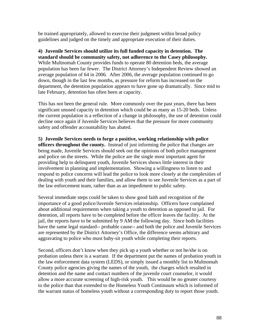be trained appropriately, allowed to exercise their judgment within broad policy guidelines and judged on the timely and appropriate execution of their duties.

**4) Juvenile Services should utilize its full funded capacity in detention. The standard should be community safety, not adherence to the Casey philosophy.**  While Multnomah County provides funds to operate 80 detention beds, the average population has been far fewer. The District Attorney's Independent Review showed an average population of 64 in 2006. After 2006, the average population continued to go down, though in the last few months, as pressure for reform has increased on the department, the detention population appears to have gone up dramatically. Since mid to late February, detention has often been at capacity.

This has not been the general rule. More commonly over the past years, there has been significant unused capacity in detention which could be as many as 15-20 beds. Unless the current population is a reflection of a change in philosophy, the use of detention could decline once again if Juvenile Services believes that the pressure for more community safety and offender accountability has abated.

**5) Juvenile Services needs to forge a positive, working relationship with police officers throughout the county.** Instead of just informing the police that changes are being made, Juvenile Services should seek out the opinions of both police management and police on the streets. While the police are the single most important agent for providing help to delinquent youth, Juvenile Services shows little interest in their involvement in planning and implementation. Showing a willingness to listen to and respond to police concerns will lead the police to look more closely at the complexities of dealing with youth and their families, and allow them to see Juvenile Services as a part of the law enforcement team, rather than as an impediment to public safety.

Several immediate steps could be taken to show good faith and recognition of the importance of a good police/Juvenile Services relationship. Officers have complained about additional requirements when taking a youth to detention as opposed to jail. For detention, all reports have to be completed before the officer leaves the facility. At the jail, the reports have to be submitted by 9 AM the following day. Since both facilities have the same legal standard-- probable cause-- and both the police and Juvenile Services are represented by the District Attorney's Office, the difference seems arbitrary and aggravating to police who must baby-sit youth while completing their reports.

Second, officers don't know when they pick up a youth whether or not he/she is on probation unless there is a warrant. If the department put the names of probation youth in the law enforcement data system (LEDS), or simply issued a monthly list to Multnomah County police agencies giving the names of the youth, the charges which resulted in detention and the name and contact numbers of the juvenile court counselor, it would allow a more accurate screening of high-risk youth. This would be no greater courtesy to the police than that extended to the Homeless Youth Continuum which is informed of the warrant status of homeless youth without a corresponding duty to report those youth.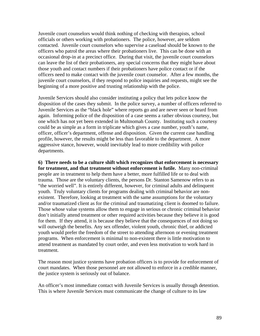Juvenile court counselors would think nothing of checking with therapists, school officials or others working with probationers. The police, however, are seldom contacted. Juvenile court counselors who supervise a caseload should be known to the officers who patrol the areas where their probationers live. This can be done with an occasional drop-in at a precinct office. During that visit, the juvenile court counselors can leave the list of their probationers, any special concerns that they might have about those youth and contact numbers if their probationers have police contact or if the officers need to make contact with the juvenile court counselor. After a few months, the juvenile court counselors, if they respond to police inquiries and requests, might see the beginning of a more positive and trusting relationship with the police.

Juvenile Services should also consider instituting a policy that lets police know the disposition of the cases they submit. In the police survey, a number of officers referred to Juvenile Services as the "black hole" where reports go and are never seen or heard from again. Informing police of the disposition of a case seems a rather obvious courtesy, but one which has not yet been extended in Multnomah County. Instituting such a courtesy could be as simple as a form in triplicate which gives a case number, youth's name, officer, officer's department, offense and disposition. Given the current case handling profile, however, the results might be less than favorable to the department. A more aggressive stance, however, would inevitably lead to more credibility with police departments.

**6) There needs to be a culture shift which recognizes that enforcement is necessary for treatment, and that treatment without enforcement is futile.** Many non-criminal people are in treatment to help them have a better, more fulfilled life or to deal with trauma. Those are the voluntary clients, the persons Dr. Stanton Samenow refers to as "the worried well". It is entirely different, however, for criminal adults and delinquent youth. Truly voluntary clients for programs dealing with criminal behavior are nonexistent. Therefore, looking at treatment with the same assumptions for the voluntary and/or traumatized client as for the criminal and traumatizing client is doomed to failure. Those whose value systems allow them to engage in serious or chronic criminal behavior don't initially attend treatment or other required activities because they believe it is good for them. If they attend, it is because they believe that the consequences of not doing so will outweigh the benefits. Any sex offender, violent youth, chronic thief, or addicted youth would prefer the freedom of the street to attending afternoon or evening treatment programs. When enforcement is minimal to non-existent there is little motivation to attend treatment as mandated by court order, and even less motivation to work hard in treatment.

The reason most justice systems have probation officers is to provide for enforcement of court mandates. When those personnel are not allowed to enforce in a credible manner, the justice system is seriously out of balance.

An officer's most immediate contact with Juvenile Services is usually through detention. This is where Juvenile Services must communicate the change of culture to its law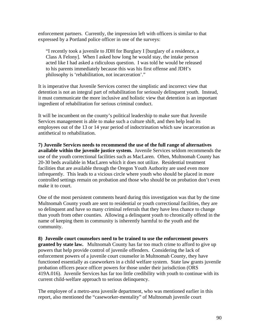enforcement partners. Currently, the impression left with officers is similar to that expressed by a Portland police officer in one of the surveys:

"I recently took a juvenile to JDH for Burglary I [burglary of a residence, a Class A Felony]. When I asked how long he would stay, the intake person acted like I had asked a ridiculous question. I was told he would be released to his parents immediately because this was his first offense and JDH's philosophy is 'rehabilitation, not incarceration'."

It is imperative that Juvenile Services correct the simplistic and incorrect view that detention is not an integral part of rehabilitation for seriously delinquent youth. Instead, it must communicate the more inclusive and holistic view that detention is an important ingredient of rehabilitation for serious criminal conduct.

It will be incumbent on the county's political leadership to make sure that Juvenile Services management is able to make such a culture shift, and then help lead its employees out of the 13 or 14 year period of indoctrination which saw incarceration as antithetical to rehabilitation.

**7) Juvenile Services needs to recommend the use of the full range of alternatives available within the juvenile justice system.** Juvenile Services seldom recommends the use of the youth correctional facilities such as MacLaren. Often, Multnomah County has 20-30 beds available in MacLaren which it does not utilize. Residential treatment facilities that are available through the Oregon Youth Authority are used even more infrequently. This leads to a vicious circle where youth who should be placed in more controlled settings remain on probation and those who should be on probation don't even make it to court.

One of the most persistent comments heard during this investigation was that by the time Multnomah County youth are sent to residential or youth correctional facilities, they are so delinquent and have so many criminal referrals that they have less chance to change than youth from other counties. Allowing a delinquent youth to chronically offend in the name of keeping them in community is inherently harmful to the youth and the community.

**8) Juvenile court counselors need to be trained to use the enforcement powers granted by state law.** Multnomah County has far too much crime to afford to give up powers that help provide control of juvenile offenders. Considering the lack of enforcement powers of a juvenile court counselor in Multnomah County, they have functioned essentially as caseworkers in a child welfare system. State law grants juvenile probation officers peace officer powers for those under their jurisdiction (ORS 419A.016). Juvenile Services has far too little credibility with youth to continue with its current child-welfare approach to serious delinquency.

The employee of a metro-area juvenile department, who was mentioned earlier in this report, also mentioned the "caseworker-mentality" of Multnomah juvenile court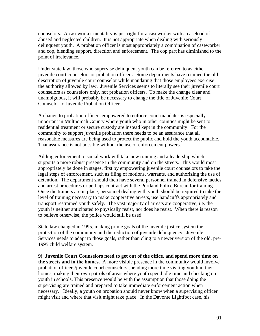counselors. A caseworker mentality is just right for a caseworker with a caseload of abused and neglected children. It is not appropriate when dealing with seriously delinquent youth. A probation officer is most appropriately a combination of caseworker and cop, blending support, direction and enforcement. The cop part has diminished to the point of irrelevance.

Under state law, those who supervise delinquent youth can be referred to as either juvenile court counselors or probation officers. Some departments have retained the old description of juvenile court counselor while mandating that those employees exercise the authority allowed by law. Juvenile Services seems to literally see their juvenile court counselors as counselors only, not probation officers. To make the change clear and unambiguous, it will probably be necessary to change the title of Juvenile Court Counselor to Juvenile Probation Officer.

A change to probation officers empowered to enforce court mandates is especially important in Multnomah County where youth who in other counties might be sent to residential treatment or secure custody are instead kept in the community. For the community to support juvenile probation there needs to be an assurance that all reasonable measures are being used to protect the public and hold the youth accountable. That assurance is not possible without the use of enforcement powers.

Adding enforcement to social work will take new training and a leadership which supports a more robust presence in the community and on the streets. This would most appropriately be done in stages, first by empowering juvenile court counselors to take the legal steps of enforcement, such as filing of motions, warrants, and authorizing the use of detention. The department should then have several personnel trained in defensive tactics and arrest procedures or perhaps contract with the Portland Police Bureau for training. Once the trainers are in place, personnel dealing with youth should be required to take the level of training necessary to make cooperative arrests, use handcuffs appropriately and transport restrained youth safely. The vast majority of arrests are cooperative, i.e. the youth is neither anticipated to physically resist, nor does he resist. When there is reason to believe otherwise, the police would still be used.

State law changed in 1995, making prime goals of the juvenile justice system the protection of the community and the reduction of juvenile delinquency. Juvenile Services needs to adapt to those goals, rather than cling to a newer version of the old, pre-1995 child welfare system.

**9) Juvenile Court Counselors need to get out of the office, and spend more time on the streets and in the homes.** A more visible presence in the community would involve probation officers/juvenile court counselors spending more time visiting youth in their homes, making their own patrols of areas where youth spend idle time and checking on youth in schools. This presence would be with the assumption that those doing the supervising are trained and prepared to take immediate enforcement action when necessary. Ideally, a youth on probation should never know when a supervising officer might visit and where that visit might take place. In the Davonte Lightfoot case, his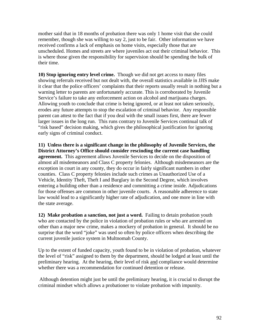mother said that in 18 months of probation there was only 1 home visit that she could remember, though she was willing to say 2, just to be fair. Other information we have received confirms a lack of emphasis on home visits, especially those that are unscheduled. Homes and streets are where juveniles act out their criminal behavior. This is where those given the responsibility for supervision should be spending the bulk of their time.

**10) Stop ignoring entry level crime.** Though we did not get access to many files showing referrals received but not dealt with, the overall statistics available in JJIS make it clear that the police officers' complaints that their reports usually result in nothing but a warning letter to parents are unfortunately accurate. This is corroborated by Juvenile Service's failure to take any enforcement action on alcohol and marijuana charges. Allowing youth to conclude that crime is being ignored, or at least not taken seriously, erodes any future attempts to stop the escalation of criminal behavior. Any responsible parent can attest to the fact that if you deal with the small issues first, there are fewer larger issues in the long run. This runs contrary to Juvenile Services continual talk of "risk based" decision making, which gives the philosophical justification for ignoring early signs of criminal conduct.

**11) Unless there is a significant change in the philosophy of Juvenile Services, the District Attorney's Office should consider rescinding the current case handling agreement.** This agreement allows Juvenile Services to decide on the disposition of almost all misdemeanors and Class C property felonies. Although misdemeanors are the exception in court in any county, they do occur in fairly significant numbers in other counties. Class C property felonies include such crimes as Unauthorized Use of a Vehicle, Identity Theft, Theft I and Burglary in the Second Degree, which involves entering a building other than a residence and committing a crime inside. Adjudications for those offenses are common in other juvenile courts. A reasonable adherence to state law would lead to a significantly higher rate of adjudication, and one more in line with the state average.

**12) Make probation a sanction, not just a word.** Failing to detain probation youth who are contacted by the police in violation of probation rules or who are arrested on other than a major new crime, makes a mockery of probation in general. It should be no surprise that the word "joke" was used so often by police officers when describing the current juvenile justice system in Multnomah County.

Up to the extent of funded capacity, youth found to be in violation of probation, whatever the level of "risk" assigned to them by the department, should be lodged at least until the preliminary hearing. At the hearing, their level of risk and compliance would determine whether there was a recommendation for continued detention or release.

 Although detention might just be until the preliminary hearing, it is crucial to disrupt the criminal mindset which allows a probationer to violate probation with impunity.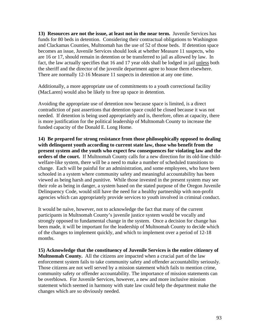**13) Resources are not the issue, at least not in the near term.** Juvenile Services has funds for 80 beds in detention. Considering their contractual obligations to Washington and Clackamas Counties, Multnomah has the use of 52 of those beds. If detention space becomes an issue, Juvenile Services should look at whether Measure 11 suspects, who are 16 or 17, should remain in detention or be transferred to jail as allowed by law. In fact, the law actually specifies that 16 and 17 year olds shall be lodged in jail unless both the sheriff and the director of the juvenile department agree to house them elsewhere. There are normally 12-16 Measure 11 suspects in detention at any one time.

Additionally, a more appropriate use of commitments to a youth correctional facility (MacLaren) would also be likely to free up space in detention.

Avoiding the appropriate use of detention now because space is limited, is a direct contradiction of past assertions that detention space could be closed because it was not needed. If detention is being used appropriately and is, therefore, often at capacity, there is more justification for the political leadership of Multnomah County to increase the funded capacity of the Donald E. Long Home.

**14) Be prepared for strong resistance from those philosophically opposed to dealing with delinquent youth according to current state law, those who benefit from the present system and the youth who expect few consequences for violating law and the orders of the court.** If Multnomah County calls for a new direction for its old-line childwelfare-like system, there will be a need to make a number of scheduled transitions to change. Each will be painful for an administration, and some employees, who have been schooled in a system where community safety and meaningful accountability has been viewed as being harsh and punitive. While those invested in the present system may see their role as being in danger, a system based on the stated purpose of the Oregon Juvenile Delinquency Code, would still have the need for a healthy partnership with non-profit agencies which can appropriately provide services to youth involved in criminal conduct.

It would be naïve, however, not to acknowledge the fact that many of the current participants in Multnomah County's juvenile justice system would be vocally and strongly opposed to fundamental change in the system. Once a decision for change has been made, it will be important for the leadership of Multnomah County to decide which of the changes to implement quickly, and which to implement over a period of 12-18 months.

**15) Acknowledge that the constituency of Juvenile Services is the entire citizenry of Multnomah County.** All the citizens are impacted when a crucial part of the law enforcement system fails to take community safety and offender accountability seriously. Those citizens are not well served by a mission statement which fails to mention crime, community safety or offender accountability. The importance of mission statements can be overblown. For Juvenile Services, however, a new and more inclusive mission statement which seemed in harmony with state law could help the department make the changes which are so obviously needed.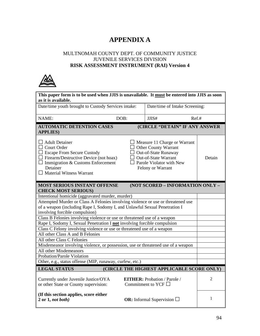## **APPENDIX A**

#### MULTNOMAH COUNTY DEPT. OF COMMUNITY JUSTICE JUVENILE SERVICES DIVISION **RISK ASSESSMENT INSTRUMENT (RAI) Version 4**



| This paper form is to be used when JJIS is unavailable. It must be entered into JJIS as soon<br>as it is available.                                                                                                         |                                                          |                                                                                                                                            |                                     |                |
|-----------------------------------------------------------------------------------------------------------------------------------------------------------------------------------------------------------------------------|----------------------------------------------------------|--------------------------------------------------------------------------------------------------------------------------------------------|-------------------------------------|----------------|
| Date/time youth brought to Custody Services intake:<br>Date/time of Intake Screening:                                                                                                                                       |                                                          |                                                                                                                                            |                                     |                |
| NAME:                                                                                                                                                                                                                       | DOB:                                                     |                                                                                                                                            | Ref.#                               |                |
| <b>AUTOMATIC DETENTION CASES</b><br><b>APPLIES)</b>                                                                                                                                                                         |                                                          |                                                                                                                                            | (CIRCLE "DETAIN" IF ANY ANSWER      |                |
| $\Box$ Adult Detainer<br>$\Box$ Court Order<br>$\Box$ Escape From Secure Custody<br>$\Box$ Firearm/Destructive Device (not hoax)<br>$\Box$ Immigration & Customs Enforcement<br>Detainer<br>$\Box$ Material Witness Warrant |                                                          | $\Box$ Other County Warrant<br>$\Box$ Out-of-State Runaway<br>Out-of-State Warrant<br>$\Box$ Parole Violator with New<br>Felony or Warrant | $\Box$ Measure 11 Charge or Warrant | Detain         |
| (NOT SCORED - INFORMATION ONLY -<br><b>MOST SERIOUS INSTANT OFFENSE</b><br><b>CHECK MOST SERIOUS)</b>                                                                                                                       |                                                          |                                                                                                                                            |                                     |                |
| Intentional homicide (aggravated murder, murder)                                                                                                                                                                            |                                                          |                                                                                                                                            |                                     |                |
| Attempted Murder or Class A Felonies involving violence or use or threatened use<br>of a weapon (including Rape I, Sodomy I, and Unlawful Sexual Penetration I<br>involving forcible compulsion)                            |                                                          |                                                                                                                                            |                                     |                |
| Class B Felonies involving violence or use or threatened use of a weapon                                                                                                                                                    |                                                          |                                                                                                                                            |                                     |                |
| Rape I, Sodomy I, Sexual Penetration I not involving forcible compulsion                                                                                                                                                    |                                                          |                                                                                                                                            |                                     |                |
| Class C Felony involving violence or use or threatened use of a weapon                                                                                                                                                      |                                                          |                                                                                                                                            |                                     |                |
| All other Class A and B Felonies                                                                                                                                                                                            |                                                          |                                                                                                                                            |                                     |                |
| All other Class C Felonies                                                                                                                                                                                                  |                                                          |                                                                                                                                            |                                     |                |
| Misdemeanor involving violence, or possession, use or threatened use of a weapon                                                                                                                                            |                                                          |                                                                                                                                            |                                     |                |
| All other Misdemeanors<br>Probation/Parole Violation                                                                                                                                                                        |                                                          |                                                                                                                                            |                                     |                |
|                                                                                                                                                                                                                             | Other, e.g., status offense (MIP, runaway, curfew, etc.) |                                                                                                                                            |                                     |                |
| <b>LEGAL STATUS</b><br>(CIRCLE THE HIGHEST APPLICABLE SCORE ONLY)                                                                                                                                                           |                                                          |                                                                                                                                            |                                     |                |
|                                                                                                                                                                                                                             |                                                          |                                                                                                                                            |                                     |                |
| Currently under Juvenile Justice/OYA<br>or other State or County supervision:                                                                                                                                               |                                                          | <b>EITHER:</b> Probation / Parole /<br>Commitment to YCF $\Box$                                                                            |                                     | $\overline{2}$ |
| (If this section applies, score either<br>$2$ or $1$ , not both)                                                                                                                                                            |                                                          | <b>OR:</b> Informal Supervision $\Box$                                                                                                     |                                     | 1              |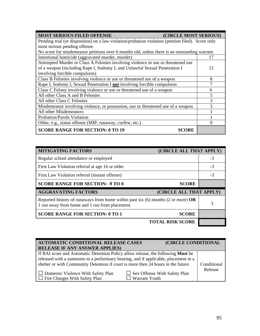| <b>MOST SERIOUS FILED OFFENSE</b><br>(CIRCLE MOST SERIOUS)                                         |    |  |
|----------------------------------------------------------------------------------------------------|----|--|
| Pending trial (or disposition) on a law violation/probation violation (petition filed). Score only |    |  |
| most serious pending offense.                                                                      |    |  |
| No score for misdemeanor petitions over 6 months old, unless there is an outstanding warrant.      |    |  |
| Intentional homicide (aggravated murder, murder)                                                   | 17 |  |
| Attempted Murder or Class A Felonies involving violence or use or threatened use                   |    |  |
| of a weapon (including Rape I, Sodomy I, and Unlawful Sexual Penetration I                         | 12 |  |
| involving forcible compulsion)                                                                     |    |  |
| Class B Felonies involving violence or use or threatened use of a weapon                           | 8  |  |
| Rape I, Sodomy I, Sexual Penetration I not involving forcible compulsion                           |    |  |
| Class C Felony involving violence or use or threatened use of a weapon                             | 6  |  |
| All other Class A and B Felonies                                                                   |    |  |
| All other Class C Felonies                                                                         | 3  |  |
| Misdemeanor involving violence, or possession, use or threatened use of a weapon                   | 3  |  |
| All other Misdemeanors                                                                             |    |  |
| Probation/Parole Violation                                                                         |    |  |
| Other, e.g., status offense (MIP, runaway, curfew, etc.)                                           |    |  |
| <b>SCORE RANGE FOR SECTION: 0 TO 19</b><br><b>SCORE</b>                                            |    |  |

| <b>MITIGATING FACTORS</b><br>(CIRCLE ALL THAT APPLY)                                                                                                    |      |
|---------------------------------------------------------------------------------------------------------------------------------------------------------|------|
| Regular school attendance or employed                                                                                                                   | $-3$ |
| First Law Violation referral at age 16 or older                                                                                                         |      |
| First Law Violation referral (instant offense)                                                                                                          |      |
| <b>SCORE RANGE FOR SECTION: - 9 TO 0</b><br><b>SCORE</b>                                                                                                |      |
|                                                                                                                                                         |      |
| <b>AGGRAVATING FACTORS</b><br>(CIRCLE ALL THAT APPLY)                                                                                                   |      |
| Reported history of runaways from home within past six $(6)$ months $(2 \text{ or more}) \textbf{OR}$<br>1 run away from home and 1 run from placement. | 3    |
| <b>SCORE RANGE FOR SECTION: 0 TO 1</b><br><b>SCORE</b>                                                                                                  |      |

| AUTOMATIC CONDITIONAL RELEASE CASES                                                                                                                                                                                                                                                                                                                      |                                                             | (CIRCLE CONDITIONAL |                        |
|----------------------------------------------------------------------------------------------------------------------------------------------------------------------------------------------------------------------------------------------------------------------------------------------------------------------------------------------------------|-------------------------------------------------------------|---------------------|------------------------|
| <b>RELEASE IF ANY ANSWER APPLIES)</b>                                                                                                                                                                                                                                                                                                                    |                                                             |                     |                        |
| If RAI score and Automatic Detention Policy allow release, the following <b>Must</b> be<br>released with a summons to a preliminary hearing, and if applicable, placement in a<br>shelter or with Community Detention if court is more then 24 hours in the future.<br>$\Box$ Domestic Violence With Safety Plan<br>$\Box$ Fire Charges With Safety Plan | $\Box$ Sex Offense With Safety Plan<br>$\Box$ Warrant Youth |                     | Conditional<br>Release |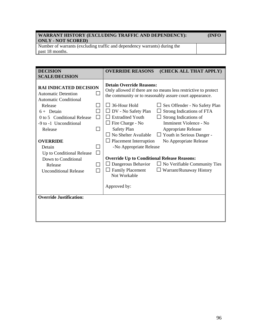#### **WARRANT HISTORY (EXCLUDING TRAFFIC AND DEPENDENCY): (INFO ONLY - NOT SCORED)**

Number of warrants (excluding traffic and dependency warrants) during the past 18 months.

| <b>DECISION</b>                                                                                                                                                                                                                                                    | <b>OVERRIDE REASONS</b><br>(CHECK ALL THAT APPLY)                                                                                                                                                                                                                                                                                                                                                                                                                                                                                                                                |
|--------------------------------------------------------------------------------------------------------------------------------------------------------------------------------------------------------------------------------------------------------------------|----------------------------------------------------------------------------------------------------------------------------------------------------------------------------------------------------------------------------------------------------------------------------------------------------------------------------------------------------------------------------------------------------------------------------------------------------------------------------------------------------------------------------------------------------------------------------------|
| <b>SCALE/DECISION</b>                                                                                                                                                                                                                                              |                                                                                                                                                                                                                                                                                                                                                                                                                                                                                                                                                                                  |
| <b>RAI INDICATED DECISION</b><br><b>Automatic Detention</b><br><b>Automatic Conditional</b><br>Release<br>$6 +$ Detain<br>$\Box$<br>0 to 5 Conditional Release<br>ΙI<br>-9 to -1 Unconditional<br>$\Box$<br>Release<br><b>OVERRIDE</b><br>Detain<br>$\blacksquare$ | <b>Detain Override Reasons:</b><br>Only allowed if there are no means less restrictive to protect<br>the community or to reasonably assure court appearance.<br>$\Box$ 36-Hour Hold<br>$\Box$ Sex Offender - No Safety Plan<br>$\Box$ DV - No Safety Plan<br>Strong Indications of FTA<br><b>Extradited Youth</b><br>Strong Indications of<br>Imminent Violence - No<br>$\Box$ Fire Charge - No<br>Safety Plan<br>Appropriate Release<br>No Shelter Available<br>Youth in Serious Danger -<br>$\Box$ Placement Interruption<br>No Appropriate Release<br>-No Appropriate Release |
| П<br>Up to Conditional Release                                                                                                                                                                                                                                     | <b>Override Up to Conditional Release Reasons:</b>                                                                                                                                                                                                                                                                                                                                                                                                                                                                                                                               |
| Down to Conditional<br>Release<br><b>Unconditional Release</b>                                                                                                                                                                                                     | Dangerous Behavior<br>$\Box$ No Verifiable Community Ties<br><b>Family Placement</b><br>$\Box$ Warrant/Runaway History<br>Not Workable                                                                                                                                                                                                                                                                                                                                                                                                                                           |
|                                                                                                                                                                                                                                                                    | Approved by:                                                                                                                                                                                                                                                                                                                                                                                                                                                                                                                                                                     |
| <b>Override Justification:</b>                                                                                                                                                                                                                                     |                                                                                                                                                                                                                                                                                                                                                                                                                                                                                                                                                                                  |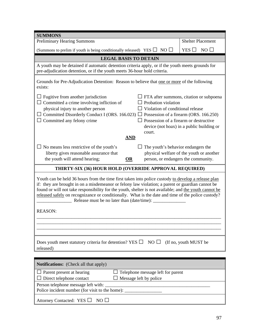| <b>SUMMONS</b>                                                                                                                                                                                                                                                                                                                                                                                                                                                                                     |                                          |  |  |
|----------------------------------------------------------------------------------------------------------------------------------------------------------------------------------------------------------------------------------------------------------------------------------------------------------------------------------------------------------------------------------------------------------------------------------------------------------------------------------------------------|------------------------------------------|--|--|
| <b>Preliminary Hearing Summons</b>                                                                                                                                                                                                                                                                                                                                                                                                                                                                 | <b>Shelter Placement</b>                 |  |  |
| (Summons to prelim if youth is being conditionally released) YES $\square$ NO $\square$                                                                                                                                                                                                                                                                                                                                                                                                            | $NO$ $\Box$<br>YES $\square$             |  |  |
| <b>LEGAL BASIS TO DETAIN</b>                                                                                                                                                                                                                                                                                                                                                                                                                                                                       |                                          |  |  |
| A youth may be detained if automatic detention criteria apply, or if the youth meets grounds for<br>pre-adjudication detention, or if the youth meets 36-hour hold criteria.                                                                                                                                                                                                                                                                                                                       |                                          |  |  |
| Grounds for Pre-Adjudication Detention: Reason to believe that one or more of the following<br>exists:                                                                                                                                                                                                                                                                                                                                                                                             |                                          |  |  |
| $\Box$ Fugitive from another jurisdiction<br>$\Box$ FTA after summons, citation or subpoena<br>$\Box$ Committed a crime involving infliction of<br>Probation violation<br>physical injury to another person<br>Violation of conditional release<br>$\Box$ Committed Disorderly Conduct I (ORS. 166.023) $\Box$ Possession of a firearm (ORS. 166.250)<br>$\Box$ Committed any felony crime<br>$\Box$ Possession of a firearm or destructive<br>device (not hoax) in a public building or<br>court. |                                          |  |  |
| <b>AND</b>                                                                                                                                                                                                                                                                                                                                                                                                                                                                                         |                                          |  |  |
| $\Box$ No means less restrictive of the youth's<br>The youth's behavior endangers the<br>liberty gives reasonable assurance that<br>the youth will attend hearing;<br>person, or endangers the community.<br><b>OR</b>                                                                                                                                                                                                                                                                             | physical welfare of the youth or another |  |  |
| THIRTY-SIX (36) HOUR HOLD (OVERRIDE APPROVAL REQUIRED)                                                                                                                                                                                                                                                                                                                                                                                                                                             |                                          |  |  |
| Youth can be held 36 hours from the time first taken into police custody to develop a release plan<br>if: they are brought in on a misdemeanor or felony law violation; a parent or guardian cannot be<br>found or will not take responsibility for the youth, shelter is not available; and the youth cannot be<br>released safely on recognizance or conditionally. What is the date and time of the police custody?<br><b>REASON:</b>                                                           |                                          |  |  |
|                                                                                                                                                                                                                                                                                                                                                                                                                                                                                                    |                                          |  |  |
|                                                                                                                                                                                                                                                                                                                                                                                                                                                                                                    |                                          |  |  |
|                                                                                                                                                                                                                                                                                                                                                                                                                                                                                                    |                                          |  |  |
| Does youth meet statutory criteria for detention? YES $\Box$ NO $\Box$<br>(If no, youth MUST be)<br>released)                                                                                                                                                                                                                                                                                                                                                                                      |                                          |  |  |
|                                                                                                                                                                                                                                                                                                                                                                                                                                                                                                    |                                          |  |  |
| Notifications: (Check all that apply)                                                                                                                                                                                                                                                                                                                                                                                                                                                              |                                          |  |  |
| $\Box$ Parent present at hearing<br>Telephone message left for parent<br>Direct telephone contact<br>Message left by police<br>Person telephone message left with:<br>Police incident number (for visit to the home):                                                                                                                                                                                                                                                                              |                                          |  |  |

Attorney Contacted: YES  $\square$  NO  $\square$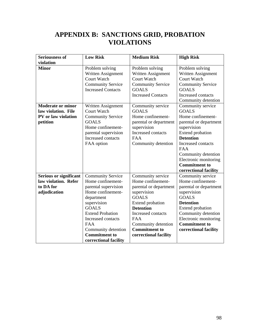### **APPENDIX B: SANCTIONS GRID, PROBATION VIOLATIONS**

| <b>Seriousness of</b>         | <b>Low Risk</b>           | <b>Medium Risk</b>        | <b>High Risk</b>         |
|-------------------------------|---------------------------|---------------------------|--------------------------|
| violation                     |                           |                           |                          |
| <b>Minor</b>                  | Problem solving           | Problem solving           | Problem solving          |
|                               | Written Assignment        | Written Assignment        | Written Assignment       |
|                               | <b>Court Watch</b>        | <b>Court Watch</b>        | <b>Court Watch</b>       |
|                               | <b>Community Service</b>  | <b>Community Service</b>  | <b>Community Service</b> |
|                               | <b>Increased Contacts</b> | <b>GOALS</b>              | <b>GOALS</b>             |
|                               |                           | <b>Increased Contacts</b> | Increased contacts       |
|                               |                           |                           | Community detention      |
| <b>Moderate or minor</b>      | Written Assignment        | Community service         | Community service        |
| law violation. File           | Court Watch               | <b>GOALS</b>              | <b>GOALS</b>             |
| PV or law violation           | <b>Community Service</b>  | Home confinement-         | Home confinement-        |
| petition                      | <b>GOALS</b>              | parental or department    | parental or department   |
|                               | Home confinement-         | supervision               | supervision              |
|                               | parental supervision      | Increased contacts        | <b>Extend probation</b>  |
|                               | Increased contacts        | <b>FAA</b>                | <b>Detention</b>         |
|                               | FAA option                | Community detention       | Increased contacts       |
|                               |                           |                           | <b>FAA</b>               |
|                               |                           |                           | Community detention      |
|                               |                           |                           | Electronic monitoring    |
|                               |                           |                           | <b>Commitment to</b>     |
|                               |                           |                           | correctional facility    |
| <b>Serious or significant</b> | <b>Community Service</b>  | Community service         | Community service        |
| law violation. Refer          | Home confinement-         | Home confinement-         | Home confinement-        |
| to DA for                     | parental supervision      | parental or department    | parental or department   |
| adjudication                  | Home confinement-         | supervision               | supervision              |
|                               | department                | <b>GOALS</b>              | <b>GOALS</b>             |
|                               | supervision               | Extend probation          | <b>Detention</b>         |
|                               | <b>GOALS</b>              | <b>Detention</b>          | Extend probation         |
|                               | <b>Extend Probation</b>   | Increased contacts        | Community detention      |
|                               | Increased contacts        | <b>FAA</b>                | Electronic monitoring    |
|                               | <b>FAA</b>                | Community detention       | <b>Commitment to</b>     |
|                               | Community detention       | <b>Commitment to</b>      | correctional facility    |
|                               | <b>Commitment to</b>      | correctional facility     |                          |
|                               | correctional facility     |                           |                          |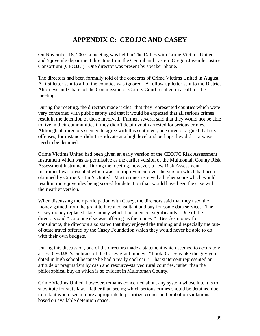# **APPENDIX C: CEOJJC AND CASEY**

On November 18, 2007, a meeting was held in The Dalles with Crime Victims United, and 5 juvenile department directors from the Central and Eastern Oregon Juvenile Justice Consortium (CEOJJC). One director was present by speaker phone.

The directors had been formally told of the concerns of Crime Victims United in August. A first letter sent to all of the counties was ignored. A follow-up letter sent to the District Attorneys and Chairs of the Commission or County Court resulted in a call for the meeting.

During the meeting, the directors made it clear that they represented counties which were very concerned with public safety and that it would be expected that all serious crimes result in the detention of those involved. Further, several said that they would not be able to live in their communities if they didn't detain youth arrested for serious crimes. Although all directors seemed to agree with this sentiment, one director argued that sex offenses, for instance, didn't recidivate at a high level and perhaps they didn't always need to be detained.

Crime Victims United had been given an early version of the CEOJJC Risk Assessment Instrument which was as permissive as the earlier version of the Multnomah County Risk Assessment Instrument. During the meeting, however, a new Risk Assessment Instrument was presented which was an improvement over the version which had been obtained by Crime Victim's United. Most crimes received a higher score which would result in more juveniles being scored for detention than would have been the case with their earlier version.

When discussing their participation with Casey, the directors said that they used the money gained from the grant to hire a consultant and pay for some data services. The Casey money replaced state money which had been cut significantly. One of the directors said "…no one else was offering us the money." Besides money for consultants, the directors also stated that they enjoyed the training and especially the outof-state travel offered by the Casey Foundation which they would never be able to do with their own budgets.

During this discussion, one of the directors made a statement which seemed to accurately assess CEOJJC's embrace of the Casey grant money: "Look, Casey is like the guy you dated in high school because he had a really cool car." That statement represented an attitude of pragmatism by cash and resource-starved rural counties, rather than the philosophical buy-in which is so evident in Multnomah County.

Crime Victims United, however, remains concerned about any system whose intent is to substitute for state law. Rather than seeing which serious crimes should be detained due to risk, it would seem more appropriate to prioritize crimes and probation violations based on available detention space.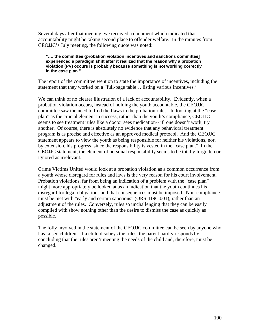Several days after that meeting, we received a document which indicated that accountability might be taking second place to offender welfare. In the minutes from CEOJJC's July meeting, the following quote was noted:

#### **"…. the committee {probation violation incentives and sanctions committee] experienced a paradigm shift after it realized that the reason why a probation violation (PV) occurs is probably because something is not working correctly in the case plan."**

The report of the committee went on to state the importance of incentives, including the statement that they worked on a "full-page table….listing various incentives."

We can think of no clearer illustration of a lack of accountability. Evidently, when a probation violation occurs, instead of holding the youth accountable, the CEOJJC committee saw the need to find the flaws in the probation rules. In looking at the "case plan" as the crucial element in success, rather than the youth's compliance, CEOJJC seems to see treatment rules like a doctor sees medication-- if one doesn't work, try another. Of course, there is absolutely no evidence that any behavioral treatment program is as precise and effective as an approved medical protocol. And the CEOJJC statement appears to view the youth as being responsible for neither his violations, nor, by extension, his progress, since the responsibility is vested in the "case plan." In the CEOJJC statement, the element of personal responsibility seems to be totally forgotten or ignored as irrelevant.

Crime Victims United would look at a probation violation as a common occurrence from a youth whose disregard for rules and laws is the very reason for his court involvement. Probation violations, far from being an indication of a problem with the "case plan" might more appropriately be looked at as an indication that the youth continues his disregard for legal obligations and that consequences must be imposed. Non-compliance must be met with "early and certain sanctions" (ORS 419C.001), rather than an adjustment of the rules. Conversely, rules so unchallenging that they can be easily complied with show nothing other than the desire to dismiss the case as quickly as possible.

The folly involved in the statement of the CEOJJC committee can be seen by anyone who has raised children. If a child disobeys the rules, the parent hardly responds by concluding that the rules aren't meeting the needs of the child and, therefore, must be changed.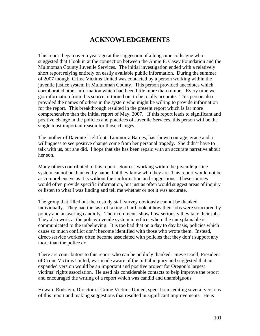### **ACKNOWLEDGEMENTS**

This report began over a year ago at the suggestion of a long-time colleague who suggested that I look in at the connection between the Annie E. Casey Foundation and the Multnomah County Juvenile Services. The initial investigation ended with a relatively short report relying entirely on easily available public information. During the summer of 2007 though, Crime Victims United was contacted by a person working within the juvenile justice system in Multnomah County. This person provided anecdotes which corroborated other information which had been little more than rumor. Every time we got information from this source, it turned out to be totally accurate. This person also provided the names of others in the system who might be willing to provide information for the report. This breakthrough resulted in the present report which is far more comprehensive than the initial report of May, 2007. If this report leads to significant and positive change in the policies and practices of Juvenile Services, this person will be the single most important reason for those changes.

The mother of Davonte Lightfoot, Tammorra Barnes, has shown courage, grace and a willingness to see positive change come from her personal tragedy. She didn't have to talk with us, but she did. I hope that she has been repaid with an accurate narrative about her son.

Many others contributed to this report. Sources working within the juvenile justice system cannot be thanked by name, but they know who they are. This report would not be as comprehensive as it is without their information and suggestions. These sources would often provide specific information, but just as often would suggest areas of inquiry or listen to what I was finding and tell me whether or not it was accurate.

The group that filled out the custody staff survey obviously cannot be thanked individually. They had the task of taking a hard look at how their jobs were structured by policy and answering candidly. Their comments show how seriously they take their jobs. They also work at the police/juvenile system interface, where the unexplainable is communicated to the unbelieving. It is too bad that on a day to day basis, policies which cause so much conflict don't become identified with those who wrote them. Instead, direct-service workers often become associated with policies that they don't support any more than the police do.

There are contributors to this report who can be publicly thanked. Steve Doell, President of Crime Victims United, was made aware of the initial inquiry and suggested that an expanded version would be an important and positive project for Oregon's largest victims' rights association. He used his considerable contacts to help improve the report and encouraged the writing of a report which was candid and unambiguous.

Howard Rodstein, Director of Crime Victims United, spent hours editing several versions of this report and making suggestions that resulted in significant improvements. He is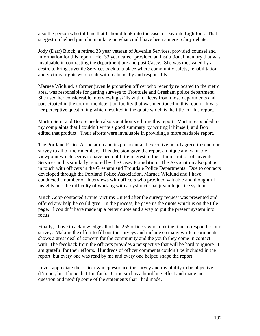also the person who told me that I should look into the case of Davonte Lightfoot. That suggestion helped put a human face on what could have been a mere policy debate.

Jody (Darr) Block, a retired 33 year veteran of Juvenile Services, provided counsel and information for this report. Her 33 year career provided an institutional memory that was invaluable in contrasting the department pre and post Casey. She was motivated by a desire to bring Juvenile Services back to a place where community safety, rehabilitation and victims' rights were dealt with realistically and responsibly.

Marnee Widlund, a former juvenile probation officer who recently relocated to the metro area, was responsible for getting surveys to Troutdale and Gresham police department. She used her considerable interviewing skills with officers from those departments and participated in the tour of the detention facility that was mentioned in this report. It was her perceptive questioning which resulted in the quote which is the title for this report.

Martin Seim and Bob Scheelen also spent hours editing this report. Martin responded to my complaints that I couldn't write a good summary by writing it himself, and Bob edited that product. Their efforts were invaluable in providing a more readable report.

The Portland Police Association and its president and executive board agreed to send our survey to all of their members. This decision gave the report a unique and valuable viewpoint which seems to have been of little interest to the administration of Juvenile Services and is similarly ignored by the Casey Foundation. The Association also put us in touch with officers in the Gresham and Troutdale Police Departments. Due to contacts developed through the Portland Police Association, Marnee Widlund and I have conducted a number of interviews with officers who provided valuable and thoughtful insights into the difficulty of working with a dysfunctional juvenile justice system.

Mitch Copp contacted Crime Victims United after the survey request was presented and offered any help he could give. In the process, he gave us the quote which is on the title page. I couldn't have made up a better quote and a way to put the present system into focus.

Finally, I have to acknowledge all of the 255 officers who took the time to respond to our survey. Making the effort to fill out the surveys and include so many written comments shows a great deal of concern for the community and the youth they come in contact with. The feedback from the officers provides a perspective that will be hard to ignore. I am grateful for their efforts. Hundreds of officer comments couldn't be included in the report, but every one was read by me and every one helped shape the report.

I even appreciate the officer who questioned the survey and my ability to be objective (I'm not, but I hope that I'm fair). Criticism has a humbling effect and made me question and modify some of the statements that I had made.